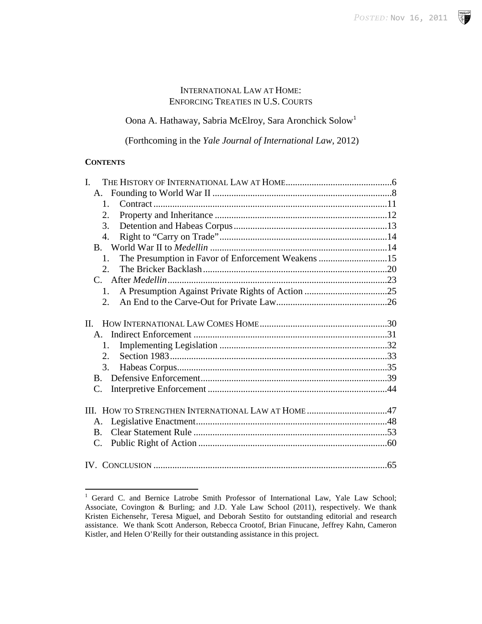**SP** 

# INTERNATIONAL LAW AT HOME: ENFORCING TREATIES IN U.S. COURTS

Oona A. Hathaway, Sabria McElroy, Sara Aronchick Solow[1](#page-0-0)

(Forthcoming in the *Yale Journal of International Law*, 2012)

## **CONTENTS**

| $\mathbf{I}$ .                                                       |  |
|----------------------------------------------------------------------|--|
|                                                                      |  |
| $1_{-}$                                                              |  |
| 2.                                                                   |  |
| 3.                                                                   |  |
| $\overline{4}$ .                                                     |  |
|                                                                      |  |
| The Presumption in Favor of Enforcement Weakens 15<br>$\mathbf{1}$ . |  |
| 2.                                                                   |  |
|                                                                      |  |
| $1_{\ldots}$                                                         |  |
| $2^{\circ}$                                                          |  |
|                                                                      |  |
| II.                                                                  |  |
|                                                                      |  |
| $\mathbf{1}$ .                                                       |  |
| $2^{\circ}$                                                          |  |
| 3.                                                                   |  |
| $\mathbf{B}$                                                         |  |
| C.                                                                   |  |
|                                                                      |  |
| III. HOW TO STRENGTHEN INTERNATIONAL LAW AT HOME 47                  |  |
| A.                                                                   |  |
| $\bf{B}$                                                             |  |
| C.                                                                   |  |
|                                                                      |  |
|                                                                      |  |

<span id="page-0-1"></span><span id="page-0-0"></span><sup>&</sup>lt;sup>1</sup> Gerard C. and Bernice Latrobe Smith Professor of International Law, Yale Law School; Associate, Covington & Burling; and J.D. Yale Law School (2011), respectively. We thank Kristen Eichensehr, Teresa Miguel, and Deborah Sestito for outstanding editorial and research assistance. We thank Scott Anderson, Rebecca Crootof, Brian Finucane, Jeffrey Kahn, Cameron Kistler, and Helen O'Reilly for their outstanding assistance in this project.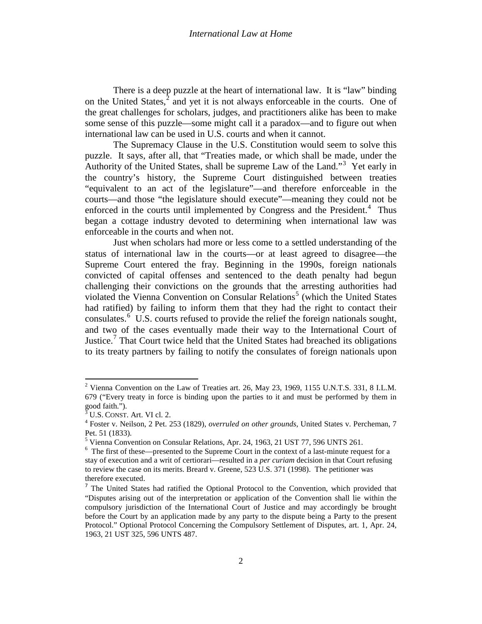There is a deep puzzle at the heart of international law. It is "law" binding on the United States, $<sup>2</sup>$  $<sup>2</sup>$  $<sup>2</sup>$  and yet it is not always enforceable in the courts. One of</sup> the great challenges for scholars, judges, and practitioners alike has been to make some sense of this puzzle—some might call it a paradox—and to figure out when international law can be used in U.S. courts and when it cannot.

The Supremacy Clause in the U.S. Constitution would seem to solve this puzzle. It says, after all, that "Treaties made, or which shall be made, under the Authority of the United States, shall be supreme Law of the Land."<sup>[3](#page-1-0)</sup> Yet early in the country's history, the Supreme Court distinguished between treaties "equivalent to an act of the legislature"—and therefore enforceable in the courts—and those "the legislature should execute"—meaning they could not be enforced in the courts until implemented by Congress and the President.<sup>[4](#page-1-1)</sup> Thus began a cottage industry devoted to determining when international law was enforceable in the courts and when not.

Just when scholars had more or less come to a settled understanding of the status of international law in the courts—or at least agreed to disagree—the Supreme Court entered the fray. Beginning in the 1990s, foreign nationals convicted of capital offenses and sentenced to the death penalty had begun challenging their convictions on the grounds that the arresting authorities had violated the Vienna Convention on Consular Relations<sup>[5](#page-1-2)</sup> (which the United States had ratified) by failing to inform them that they had the right to contact their consulates.<sup>[6](#page-1-3)</sup> U.S. courts refused to provide the relief the foreign nationals sought, and two of the cases eventually made their way to the International Court of Justice.<sup>[7](#page-1-4)</sup> That Court twice held that the United States had breached its obligations to its treaty partners by failing to notify the consulates of foreign nationals upon

<sup>&</sup>lt;sup>2</sup> Vienna Convention on the Law of Treaties art. 26, May 23, 1969, 1155 U.N.T.S. 331, 8 I.L.M. 679 ("Every treaty in force is binding upon the parties to it and must be performed by them in good faith.").

<span id="page-1-1"></span><span id="page-1-0"></span><sup>&</sup>lt;sup>3</sup> U.S. CONST. Art. VI cl. 2.<br><sup>4</sup> Foster v. Neilson, 2 Pet. 253 (1829), *overruled on other grounds*, United States v. Percheman, 7 Pet. 51 (1833).

<span id="page-1-2"></span><sup>5</sup> Vienna Convention on Consular Relations, Apr. 24, 1963, 21 UST 77, 596 UNTS 261.

<span id="page-1-3"></span><sup>&</sup>lt;sup>6</sup> The first of these—presented to the Supreme Court in the context of a last-minute request for a stay of execution and a writ of certiorari—resulted in a *per curiam* decision in that Court refusing to review the case on its merits. Breard v. Greene, 523 U.S. 371 (1998). The petitioner was therefore executed.

<span id="page-1-5"></span><span id="page-1-4"></span><sup>&</sup>lt;sup>7</sup> The United States had ratified the Optional Protocol to the Convention, which provided that "Disputes arising out of the interpretation or application of the Convention shall lie within the compulsory jurisdiction of the International Court of Justice and may accordingly be brought before the Court by an application made by any party to the dispute being a Party to the present Protocol." Optional Protocol Concerning the Compulsory Settlement of Disputes, art. 1, Apr. 24, 1963, 21 UST 325, 596 UNTS 487.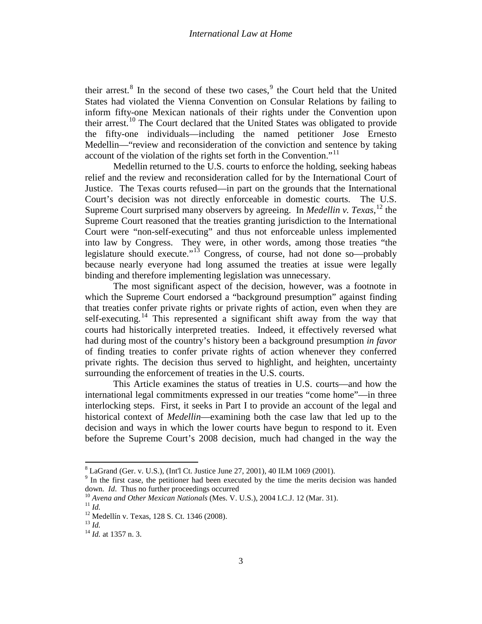their arrest.<sup>[8](#page-1-5)</sup> In the second of these two cases,  $9$  the Court held that the United States had violated the Vienna Convention on Consular Relations by failing to inform fifty-one Mexican nationals of their rights under the Convention upon their arrest.<sup>[10](#page-2-1)</sup> The Court declared that the United States was obligated to provide the fifty-one individuals—including the named petitioner Jose Ernesto Medellin—"review and reconsideration of the conviction and sentence by taking account of the violation of the rights set forth in the Convention."<sup>[11](#page-2-2)</sup>

Medellin returned to the U.S. courts to enforce the holding, seeking habeas relief and the review and reconsideration called for by the International Court of Justice. The Texas courts refused—in part on the grounds that the International Court's decision was not directly enforceable in domestic courts. The U.S. Supreme Court surprised many observers by agreeing. In *Medellin v. Texas*,<sup>[12](#page-2-3)</sup> the Supreme Court reasoned that the treaties granting jurisdiction to the International Court were "non-self-executing" and thus not enforceable unless implemented into law by Congress. They were, in other words, among those treaties "the legislature should execute."[13](#page-2-4) Congress, of course, had not done so—probably because nearly everyone had long assumed the treaties at issue were legally binding and therefore implementing legislation was unnecessary.

The most significant aspect of the decision, however, was a footnote in which the Supreme Court endorsed a "background presumption" against finding that treaties confer private rights or private rights of action, even when they are self-executing.<sup>[14](#page-2-5)</sup> This represented a significant shift away from the way that courts had historically interpreted treaties. Indeed, it effectively reversed what had during most of the country's history been a background presumption *in favor* of finding treaties to confer private rights of action whenever they conferred private rights. The decision thus served to highlight, and heighten, uncertainty surrounding the enforcement of treaties in the U.S. courts.

This Article examines the status of treaties in U.S. courts—and how the international legal commitments expressed in our treaties "come home"—in three interlocking steps. First, it seeks in Part I to provide an account of the legal and historical context of *Medellin*—examining both the case law that led up to the decision and ways in which the lower courts have begun to respond to it. Even before the Supreme Court's 2008 decision, much had changed in the way the

<sup>&</sup>lt;sup>8</sup> LaGrand (Ger. v. U.S.), (Int'l Ct. Justice June 27, 2001), 40 ILM 1069 (2001).<br><sup>9</sup> In the first case, the petitioner had been executed by the time the merits decision was handed

<span id="page-2-0"></span>

<span id="page-2-1"></span>down. *Id.* Thus no further proceedings occurred<br><sup>10</sup> Avena and Other Mexican Nationals (Mes. V. U.S.), 2004 I.C.J. 12 (Mar. 31).<br><sup>11</sup> Id.<br><sup>12</sup> Medellín v. Texas, 128 S. Ct. 1346 (2008).<br><sup>13</sup> Id.<br><sup>14</sup> Id. at 1357 n. 3.

<span id="page-2-3"></span><span id="page-2-2"></span>

<span id="page-2-4"></span>

<span id="page-2-5"></span>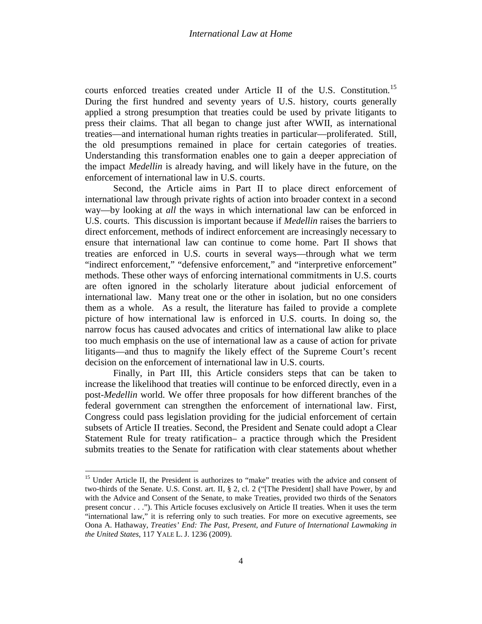<span id="page-3-1"></span>courts enforced treaties created under Article II of the U.S. Constitution.<sup>[15](#page-2-0)</sup> During the first hundred and seventy years of U.S. history, courts generally applied a strong presumption that treaties could be used by private litigants to press their claims. That all began to change just after WWII, as international treaties—and international human rights treaties in particular—proliferated. Still, the old presumptions remained in place for certain categories of treaties. Understanding this transformation enables one to gain a deeper appreciation of the impact *Medellin* is already having, and will likely have in the future, on the enforcement of international law in U.S. courts.

Second, the Article aims in Part II to place direct enforcement of international law through private rights of action into broader context in a second way—by looking at *all* the ways in which international law can be enforced in U.S. courts. This discussion is important because if *Medellin* raises the barriers to direct enforcement, methods of indirect enforcement are increasingly necessary to ensure that international law can continue to come home. Part II shows that treaties are enforced in U.S. courts in several ways—through what we term "indirect enforcement," "defensive enforcement," and "interpretive enforcement" methods. These other ways of enforcing international commitments in U.S. courts are often ignored in the scholarly literature about judicial enforcement of international law. Many treat one or the other in isolation, but no one considers them as a whole. As a result, the literature has failed to provide a complete picture of how international law is enforced in U.S. courts. In doing so, the narrow focus has caused advocates and critics of international law alike to place too much emphasis on the use of international law as a cause of action for private litigants—and thus to magnify the likely effect of the Supreme Court's recent decision on the enforcement of international law in U.S. courts.

<span id="page-3-0"></span>Finally, in Part III, this Article considers steps that can be taken to increase the likelihood that treaties will continue to be enforced directly, even in a post-*Medellin* world. We offer three proposals for how different branches of the federal government can strengthen the enforcement of international law. First, Congress could pass legislation providing for the judicial enforcement of certain subsets of Article II treaties. Second, the President and Senate could adopt a Clear Statement Rule for treaty ratification– a practice through which the President submits treaties to the Senate for ratification with clear statements about whether

<sup>&</sup>lt;sup>15</sup> Under Article II, the President is authorizes to "make" treaties with the advice and consent of two-thirds of the Senate. U.S. Const. art. II, § 2, cl. 2 ("[The President] shall have Power, by and with the Advice and Consent of the [Senate,](http://en.wikipedia.org/wiki/United_States_Senate) to make [Treaties,](http://en.wikipedia.org/wiki/Treaty) provided two thirds of the Senators present concur . . ."). This Article focuses exclusively on Article II treaties. When it uses the term "international law," it is referring only to such treaties. For more on executive agreements, see Oona A. Hathaway, *Treaties' End: The Past, Present, and Future of International Lawmaking in the United States*, 117 YALE L. J. 1236 (2009).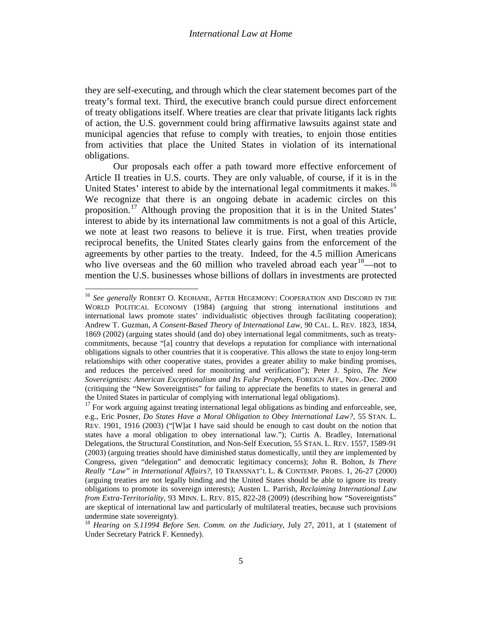they are self-executing, and through which the clear statement becomes part of the treaty's formal text. Third, the executive branch could pursue direct enforcement of treaty obligations itself. Where treaties are clear that private litigants lack rights of action, the U.S. government could bring affirmative lawsuits against state and municipal agencies that refuse to comply with treaties, to enjoin those entities from activities that place the United States in violation of its international obligations.

Our proposals each offer a path toward more effective enforcement of Article II treaties in U.S. courts. They are only valuable, of course, if it is in the United States' interest to abide by the international legal commitments it makes.<sup>[16](#page-3-0)</sup> We recognize that there is an ongoing debate in academic circles on this proposition.[17](#page-4-0) Although proving the proposition that it is in the United States' interest to abide by its international law commitments is not a goal of this Article, we note at least two reasons to believe it is true. First, when treaties provide reciprocal benefits, the United States clearly gains from the enforcement of the agreements by other parties to the treaty. Indeed, for the 4.5 million Americans who live overseas and the 60 million who traveled abroad each year<sup>18</sup>—not to mention the U.S. businesses whose billions of dollars in investments are protected

<span id="page-4-3"></span><sup>&</sup>lt;sup>16</sup> See generally ROBERT O. KEOHANE, AFTER HEGEMONY: COOPERATION AND DISCORD IN THE WORLD POLITICAL ECONOMY (1984) (arguing that strong international institutions and international laws promote states' individualistic objectives through facilitating cooperation); Andrew T. Guzman, *A Consent-Based Theory of International Law*, 90 CAL. L. REV. 1823, 1834, 1869 (2002) (arguing states should (and do) obey international legal commitments, such as treatycommitments, because "[a] country that develops a reputation for compliance with international obligations signals to other countries that it is cooperative. This allows the state to enjoy long-term relationships with other cooperative states, provides a greater ability to make binding promises, and reduces the perceived need for monitoring and verification"); Peter J. Spiro, *The New Sovereigntists: American Exceptionalism and Its False Prophets*, FOREIGN AFF., Nov.-Dec. 2000 (critiquing the "New Sovereigntists" for failing to appreciate the benefits to states in general and the United States in particular of complying with international legal obligations).

<span id="page-4-2"></span><span id="page-4-0"></span> $17$  For work arguing against treating international legal obligations as binding and enforceable, see, e.g., Eric Posner, *Do States Have a Moral Obligation to Obey International Law?*, 55 STAN. L. REV. 1901, 1916 (2003) ("[W]at I have said should be enough to cast doubt on the notion that states have a moral obligation to obey international law."); Curtis A. Bradley, International Delegations, the Structural Constitution, and Non-Self Execution, 55 STAN. L. REV. 1557, 1589-91 (2003) (arguing treaties should have diminished status domestically, until they are implemented by Congress, given "delegation" and democratic legitimacy concerns); John R. Bolton, *Is There Really "Law" in International Affairs?*, 10 TRANSNAT'L L. & CONTEMP. PROBS. 1, 26-27 (2000) (arguing treaties are not legally binding and the United States should be able to ignore its treaty obligations to promote its sovereign interests); Austen L. Parrish, *Reclaiming International Law from Extra-Territoriality*, 93 MINN. L. REV. 815, 822-28 (2009) (describing how "Sovereigntists" are skeptical of international law and particularly of multilateral treaties, because such provisions undermine state sovereignty).

<span id="page-4-1"></span><sup>18</sup> *Hearing on S.11994 Before Sen. Comm. on the Judiciary*, July 27, 2011, at 1 (statement of Under Secretary Patrick F. Kennedy).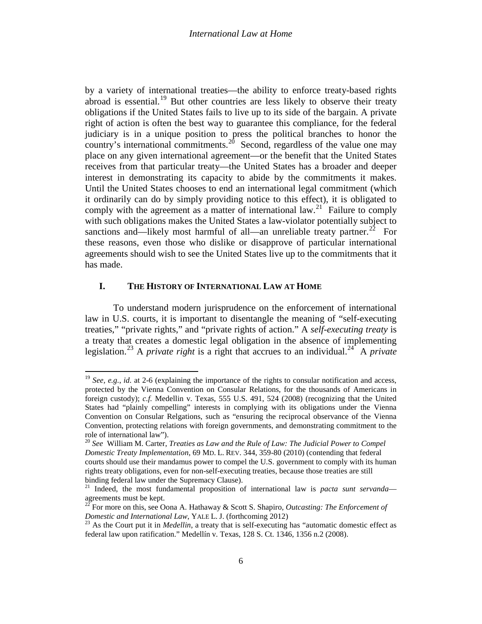by a variety of international treaties—the ability to enforce treaty-based rights abroad is essential.<sup>[19](#page-4-2)</sup> But other countries are less likely to observe their treaty obligations if the United States fails to live up to its side of the bargain. A private right of action is often the best way to guarantee this compliance, for the federal judiciary is in a unique position to press the political branches to honor the country's international commitments.<sup>[20](#page-5-0)</sup> Second, regardless of the value one may place on any given international agreement—or the benefit that the United States receives from that particular treaty—the United States has a broader and deeper interest in demonstrating its capacity to abide by the commitments it makes. Until the United States chooses to end an international legal commitment (which it ordinarily can do by simply providing notice to this effect), it is obligated to comply with the agreement as a matter of international law.<sup>21</sup> Failure to comply with such obligations makes the United States a law-violator potentially subject to sanctions and—likely most harmful of all—an unreliable treaty partner.<sup>[22](#page-5-2)</sup> For these reasons, even those who dislike or disapprove of particular international agreements should wish to see the United States live up to the commitments that it has made.

# <span id="page-5-6"></span>**I. THE HISTORY OF INTERNATIONAL LAW AT HOME**

<span id="page-5-5"></span><span id="page-5-4"></span>To understand modern jurisprudence on the enforcement of international law in U.S. courts, it is important to disentangle the meaning of "self-executing treaties," "private rights," and "private rights of action." A *self-executing treaty* is a treaty that creates a domestic legal obligation in the absence of implementing legislation.<sup>[23](#page-5-3)</sup> A *private right* is a right that accrues to an individual.<sup>24</sup> A *private* 

<sup>&</sup>lt;sup>19</sup> *See, e.g., id.* at 2-6 (explaining the importance of the rights to consular notification and access, protected by the Vienna Convention on Consular Relations, for the thousands of Americans in foreign custody); *c.f.* Medellin v. Texas, 555 U.S. 491, 524 (2008) (recognizing that the United States had "plainly compelling" interests in complying with its obligations under the Vienna Convention on Consular Relgations, such as "ensuring the reciprocal observance of the Vienna Convention, protecting relations with foreign governments, and demonstrating commitment to the role of international law").

<span id="page-5-0"></span><sup>20</sup> *See* William M. Carter, *Treaties as Law and the Rule of Law: The Judicial Power to Compel Domestic Treaty Implementation*, 69 MD. L. REV. 344, 359-80 (2010) (contending that federal courts should use their mandamus power to compel the U.S. government to comply with its human rights treaty obligations, even for non-self-executing treaties, because those treaties are still binding federal law under the Supremacy Clause).

<span id="page-5-1"></span><sup>&</sup>lt;sup>21</sup> Indeed, the most fundamental proposition of international law is *pacta sunt servanda*—agreements must be kept.

<span id="page-5-2"></span><sup>&</sup>lt;sup>22</sup> For more on this, see Oona A. Hathaway & Scott S. Shapiro, *Outcasting: The Enforcement of Domestic and International Law*, YALE L. J. (forthcoming 2012)

<span id="page-5-3"></span><sup>&</sup>lt;sup>23</sup> As the Court put it in *Medellin*, a treaty that is self-executing has "automatic domestic effect as federal law upon ratification." Medellín v. Texas, 128 S. Ct. 1346, 1356 n.2 (2008).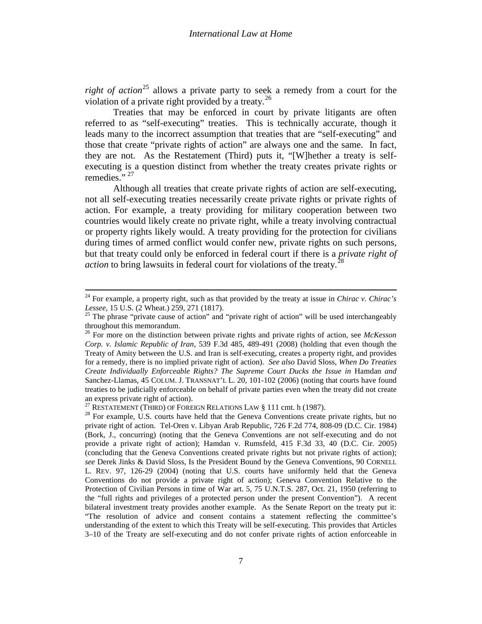<span id="page-6-4"></span>*right of action*<sup>[25](#page-5-5)</sup> allows a private party to seek a remedy from a court for the violation of a private right provided by a treaty.<sup>[26](#page-6-0)</sup>

Treaties that may be enforced in court by private litigants are often referred to as "self-executing" treaties. This is technically accurate, though it leads many to the incorrect assumption that treaties that are "self-executing" and those that create "private rights of action" are always one and the same. In fact, they are not. As the Restatement (Third) puts it, "[W]hether a treaty is selfexecuting is a question distinct from whether the treaty creates private rights or remedies." $27$ 

<span id="page-6-6"></span><span id="page-6-5"></span>Although all treaties that create private rights of action are self-executing, not all self-executing treaties necessarily create private rights or private rights of action. For example, a treaty providing for military cooperation between two countries would likely create no private right, while a treaty involving contractual or property rights likely would. A treaty providing for the protection for civilians during times of armed conflict would confer new, private rights on such persons, but that treaty could only be enforced in federal court if there is a *private right of action* to bring lawsuits in federal court for violations of the treaty.<sup>[28](#page-6-2)</sup>

<span id="page-6-7"></span><sup>&</sup>lt;sup>24</sup> For example, a property right, such as that provided by the treaty at issue in *Chirac v. Chirac's Lessee*, 15 U.S. (2 Wheat.) 259, 271 (1817).

<sup>&</sup>lt;sup>25</sup> The phrase "private cause of action" and "private right of action" will be used interchangeably throughout this memorandum.

<span id="page-6-0"></span><sup>&</sup>lt;sup>26</sup> For more on the distinction between private rights and private rights of action, see *McKesson Corp. v. Islamic Republic of Iran*, 539 F.3d 485, 489-491 (2008) (holding that even though the Treaty of Amity between the U.S. and Iran is self-executing, creates a property right, and provides for a remedy, there is no implied private right of action). *See also* David Sloss, *When Do Treaties Create Individually Enforceable Rights? The Supreme Court Ducks the Issue in Hamdan and* Sanchez-Llamas, 45 COLUM. J. TRANSNAT'L L. 20, 101-102 (2006) (noting that courts have found treaties to be judicially enforceable on behalf of private parties even when the treaty did not create an express private right of action).<br>
<sup>27</sup> RESTATEMENT (THIRD) OF FOREIGN RELATIONS LAW § 111 cmt. h (1987).

<span id="page-6-3"></span><span id="page-6-2"></span><span id="page-6-1"></span> $^{28}$  For example, U.S. courts have held that the Geneva Conventions create private rights, but no private right of action. Tel-Oren v. Libyan Arab Republic, 726 F.2d 774, 808-09 (D.C. Cir. 1984) (Bork, J., concurring) (noting that the Geneva Conventions are not self-executing and do not provide a private right of action); Hamdan v. Rumsfeld, 415 F.3d 33, 40 (D.C. Cir. 2005) (concluding that the Geneva Conventions created private rights but not private rights of action); *see* Derek Jinks & David Sloss, Is the President Bound by the Geneva Conventions, 90 CORNELL L. REV. 97, 126-29 (2004) (noting that U.S. courts have uniformly held that the Geneva Conventions do not provide a private right of action); Geneva Convention Relative to the Protection of Civilian Persons in time of War art. 5, 75 U.N.T.S. 287, Oct. 21, 1950 (referring to the "full rights and privileges of a protected person under the present Convention"). A recent bilateral investment treaty provides another example. As the Senate Report on the treaty put it: "The resolution of advice and consent contains a statement reflecting the committee's understanding of the extent to which this Treaty will be self-executing. This provides that Articles 3–10 of the Treaty are self-executing and do not confer private rights of action enforceable in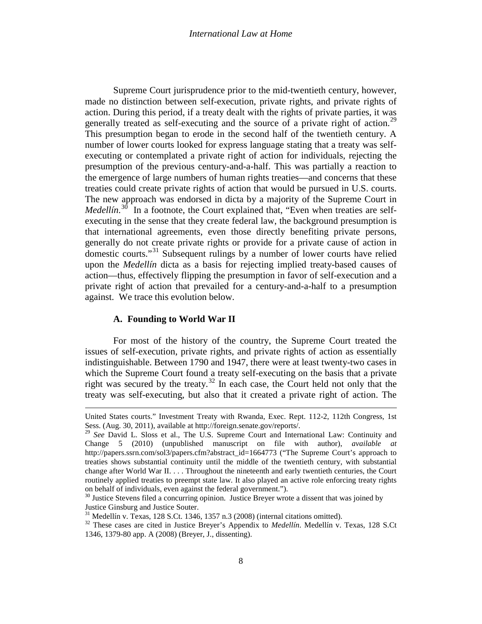<span id="page-7-4"></span>Supreme Court jurisprudence prior to the mid-twentieth century, however, made no distinction between self-execution, private rights, and private rights of action. During this period, if a treaty dealt with the rights of private parties, it was generally treated as self-executing and the source of a private right of action.<sup>[29](#page-6-3)</sup> This presumption began to erode in the second half of the twentieth century. A number of lower courts looked for express language stating that a treaty was selfexecuting or contemplated a private right of action for individuals, rejecting the presumption of the previous century-and-a-half. This was partially a reaction to the emergence of large numbers of human rights treaties—and concerns that these treaties could create private rights of action that would be pursued in U.S. courts. The new approach was endorsed in dicta by a majority of the Supreme Court in *Medellín*.<sup>[30](#page-7-0)</sup> In a footnote, the Court explained that, "Even when treaties are selfexecuting in the sense that they create federal law, the background presumption is that international agreements, even those directly benefiting private persons, generally do not create private rights or provide for a private cause of action in domestic courts."[31](#page-7-1) Subsequent rulings by a number of lower courts have relied upon the *Medellín* dicta as a basis for rejecting implied treaty-based causes of action—thus, effectively flipping the presumption in favor of self-execution and a private right of action that prevailed for a century-and-a-half to a presumption against. We trace this evolution below.

## **A. Founding to World War II**

 $\overline{\phantom{a}}$ 

For most of the history of the country, the Supreme Court treated the issues of self-execution, private rights, and private rights of action as essentially indistinguishable. Between 1790 and 1947, there were at least twenty-two cases in which the Supreme Court found a treaty self-executing on the basis that a private right was secured by the treaty.<sup>[32](#page-7-2)</sup> In each case, the Court held not only that the treaty was self-executing, but also that it created a private right of action. The

United States courts." Investment Treaty with Rwanda, Exec. Rept. 112-2, 112th Congress, 1st Sess. (Aug. 30, 2011), available at http://foreign.senate.gov/reports/.

<sup>29</sup> *See* David L. Sloss et al., The U.S. Supreme Court and International Law: Continuity and Change 5 (2010) (unpublished manuscript on file with author), *available at*  http://papers.ssrn.com/sol3/papers.cfm?abstract\_id=1664773 ("The Supreme Court's approach to treaties shows substantial continuity until the middle of the twentieth century, with substantial change after World War II. . . . Throughout the nineteenth and early twentieth centuries, the Court routinely applied treaties to preempt state law. It also played an active role enforcing treaty rights on behalf of individuals, even against the federal government.").

<span id="page-7-3"></span><span id="page-7-0"></span> $30$  Justice Stevens filed a concurring opinion. Justice Breyer wrote a dissent that was joined by Justice Ginsburg and Justice Souter.<br><sup>31</sup> Medellín v. Texas, 128 S.Ct. 1346, 1357 n.3 (2008) (internal citations omitted).

<span id="page-7-2"></span><span id="page-7-1"></span>

<sup>&</sup>lt;sup>32</sup> These cases are cited in Justice Breyer's Appendix to *Medellín*. Medellín v. Texas, 128 S.Ct 1346, 1379-80 app. A (2008) (Breyer, J., dissenting).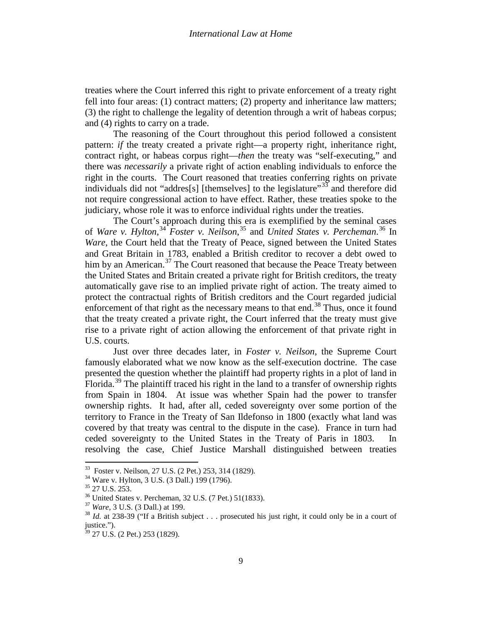treaties where the Court inferred this right to private enforcement of a treaty right fell into four areas: (1) contract matters; (2) property and inheritance law matters; (3) the right to challenge the legality of detention through a writ of habeas corpus; and (4) rights to carry on a trade.

The reasoning of the Court throughout this period followed a consistent pattern: *if* the treaty created a private right—a property right, inheritance right, contract right, or habeas corpus right—*then* the treaty was "self-executing," and there was *necessarily* a private right of action enabling individuals to enforce the right in the courts. The Court reasoned that treaties conferring rights on private individuals did not "addres[s] [themselves] to the legislature"<sup>[33](#page-7-3)</sup> and therefore did not require congressional action to have effect. Rather, these treaties spoke to the judiciary, whose role it was to enforce individual rights under the treaties.

The Court's approach during this era is exemplified by the seminal cases of *Ware v. Hylton*, [34](#page-8-0) *Foster v. Neilson*, [35](#page-8-1) and *United States v. Percheman*. [36](#page-8-2) In *Ware*, the Court held that the Treaty of Peace, signed between the United States and Great Britain in 1783, enabled a British creditor to recover a debt owed to him by an American.<sup>[37](#page-8-3)</sup> The Court reasoned that because the Peace Treaty between the United States and Britain created a private right for British creditors, the treaty automatically gave rise to an implied private right of action. The treaty aimed to protect the contractual rights of British creditors and the Court regarded judicial enforcement of that right as the necessary means to that end.<sup>[38](#page-8-4)</sup> Thus, once it found that the treaty created a private right, the Court inferred that the treaty must give rise to a private right of action allowing the enforcement of that private right in U.S. courts.

<span id="page-8-6"></span>Just over three decades later, in *Foster v. Neilson*, the Supreme Court famously elaborated what we now know as the self-execution doctrine. The case presented the question whether the plaintiff had property rights in a plot of land in Florida.<sup>[39](#page-8-5)</sup> The plaintiff traced his right in the land to a transfer of ownership rights from Spain in 1804. At issue was whether Spain had the power to transfer ownership rights. It had, after all, ceded sovereignty over some portion of the territory to France in the Treaty of San Ildefonso in 1800 (exactly what land was covered by that treaty was central to the dispute in the case). France in turn had ceded sovereignty to the United States in the Treaty of Paris in 1803. In resolving the case, Chief Justice Marshall distinguished between treaties

<span id="page-8-1"></span>

<span id="page-8-2"></span>

<span id="page-8-4"></span><span id="page-8-3"></span>

<span id="page-8-0"></span><sup>&</sup>lt;sup>33</sup> Foster v. Neilson, 27 U.S. (2 Pet.) 253, 314 (1829).<br><sup>34</sup> Ware v. Hylton, 3 U.S. (3 Dall.) 199 (1796).<br><sup>35</sup> 27 U.S. 253.<br><sup>36</sup> United States v. Percheman, 32 U.S. (7 Pet.) 51(1833).<br><sup>37</sup> Ware, 3 U.S. (3 Dall.) at 199. justice.").

<span id="page-8-5"></span> $39$  27 U.S. (2 Pet.) 253 (1829).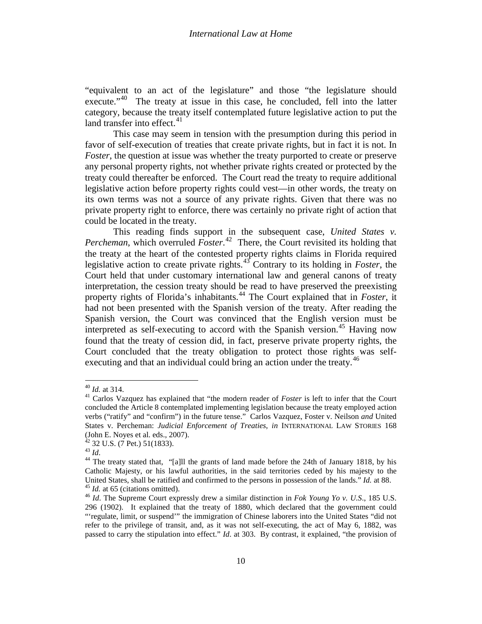"equivalent to an act of the legislature" and those "the legislature should execute."<sup>40</sup> The treaty at issue in this case, he concluded, fell into the latter category, because the treaty itself contemplated future legislative action to put the land transfer into effect. $41$ 

This case may seem in tension with the presumption during this period in favor of self-execution of treaties that create private rights, but in fact it is not. In *Foster*, the question at issue was whether the treaty purported to create or preserve any personal property rights, not whether private rights created or protected by the treaty could thereafter be enforced. The Court read the treaty to require additional legislative action before property rights could vest—in other words, the treaty on its own terms was not a source of any private rights. Given that there was no private property right to enforce, there was certainly no private right of action that could be located in the treaty.

This reading finds support in the subsequent case, *United States v. Percheman*, which overruled *Foster*. [42](#page-9-1) There, the Court revisited its holding that the treaty at the heart of the contested property rights claims in Florida required legislative action to create private rights.[43](#page-9-2) Contrary to its holding in *Foster*, the Court held that under customary international law and general canons of treaty interpretation, the cession treaty should be read to have preserved the preexisting property rights of Florida's inhabitants.<sup>[44](#page-9-3)</sup> The Court explained that in *Foster*, it had not been presented with the Spanish version of the treaty. After reading the Spanish version, the Court was convinced that the English version must be interpreted as self-executing to accord with the Spanish version. [45](#page-9-4) Having now found that the treaty of cession did, in fact, preserve private property rights, the Court concluded that the treaty obligation to protect those rights was self-executing and that an individual could bring an action under the treaty.<sup>[46](#page-9-5)</sup>

<span id="page-9-0"></span><sup>40</sup> *Id.* at 314. <sup>41</sup> Carlos Vazquez has explained that "the modern reader of *Foster* is left to infer that the Court concluded the Article 8 contemplated implementing legislation because the treaty employed action verbs ("ratify" and "confirm") in the future tense." Carlos Vazquez, Foster v. Neilson *and* United States v. Percheman: *Judicial Enforcement of Treaties*, *in* INTERNATIONAL LAW STORIES 168 (John E. Noyes et al. eds., 2007).<br><sup>42</sup> 32 U.S. (7 Pet.) 51(1833).<br><sup>43</sup> *Id*.<br><sup>44</sup> The treaty stated that, "[a]ll the grants of land made before the 24th of January 1818, by his

<span id="page-9-1"></span>

<span id="page-9-6"></span><span id="page-9-3"></span><span id="page-9-2"></span>Catholic Majesty, or his lawful authorities, in the said territories ceded by his majesty to the United States, shall be ratified and confirmed to the persons in possession of the lands." *Id.* at 88.<br><sup>45</sup> *Id.* at 65 (citations omitted).<br><sup>46</sup> *Id.* The Supreme Court expressly drew a similar distinction in *Fok Young* 

<span id="page-9-5"></span><span id="page-9-4"></span><sup>296 (1902).</sup> It explained that the treaty of 1880, which declared that the government could "'regulate, limit, or suspend'" the immigration of Chinese laborers into the United States "did not refer to the privilege of transit, and, as it was not self-executing, the act of May 6, 1882, was passed to carry the stipulation into effect." *Id*. at 303. By contrast, it explained, "the provision of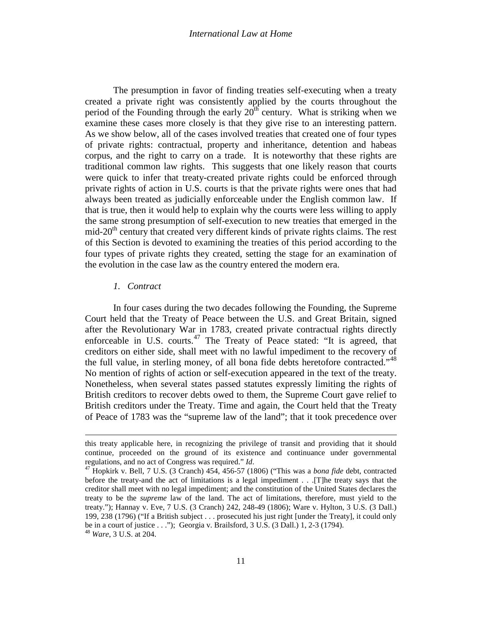#### *International Law at Home*

The presumption in favor of finding treaties self-executing when a treaty created a private right was consistently applied by the courts throughout the period of the Founding through the early  $20<sup>th</sup>$  century. What is striking when we examine these cases more closely is that they give rise to an interesting pattern. As we show below, all of the cases involved treaties that created one of four types of private rights: contractual, property and inheritance, detention and habeas corpus, and the right to carry on a trade. It is noteworthy that these rights are traditional common law rights. This suggests that one likely reason that courts were quick to infer that treaty-created private rights could be enforced through private rights of action in U.S. courts is that the private rights were ones that had always been treated as judicially enforceable under the English common law. If that is true, then it would help to explain why the courts were less willing to apply the same strong presumption of self-execution to new treaties that emerged in the mid- $20<sup>th</sup>$  century that created very different kinds of private rights claims. The rest of this Section is devoted to examining the treaties of this period according to the four types of private rights they created, setting the stage for an examination of the evolution in the case law as the country entered the modern era.

#### *1. Contract*

 $\overline{\phantom{a}}$ 

<span id="page-10-1"></span>In four cases during the two decades following the Founding, the Supreme Court held that the Treaty of Peace between the U.S. and Great Britain, signed after the Revolutionary War in 1783, created private contractual rights directly enforceable in U.S. courts. $47$  The Treaty of Peace stated: "It is agreed, that creditors on either side, shall meet with no lawful impediment to the recovery of the full value, in sterling money, of all bona fide debts heretofore contracted."<sup>[48](#page-10-0)</sup> No mention of rights of action or self-execution appeared in the text of the treaty. Nonetheless, when several states passed statutes expressly limiting the rights of British creditors to recover debts owed to them, the Supreme Court gave relief to British creditors under the Treaty. Time and again, the Court held that the Treaty of Peace of 1783 was the "supreme law of the land"; that it took precedence over

this treaty applicable here, in recognizing the privilege of transit and providing that it should continue, proceeded on the ground of its existence and continuance under governmental

<span id="page-10-0"></span>regulations, and no act of Congress was required." *Id*. <sup>47</sup> Hopkirk v. Bell, 7 U.S. (3 Cranch) 454, 456-57 (1806) ("This was a *bona fide* debt, contracted before the treaty-and the act of limitations is a legal impediment . . .[T]he treaty says that the creditor shall meet with no legal impediment; and the constitution of the United States declares the treaty to be the *supreme* law of the land. The act of limitations, therefore, must yield to the treaty."); Hannay v. Eve, 7 U.S. (3 Cranch) 242, 248-49 (1806); Ware v. Hylton, 3 U.S. (3 Dall.) 199, 238 (1796) ("If a British subject . . . prosecuted his just right [under the Treaty], it could only be in a court of justice . . ."); Georgia v. Brailsford, 3 U.S. (3 Dall.) 1, 2-3 (1794). <sup>48</sup> *Ware*, 3 U.S. at 204.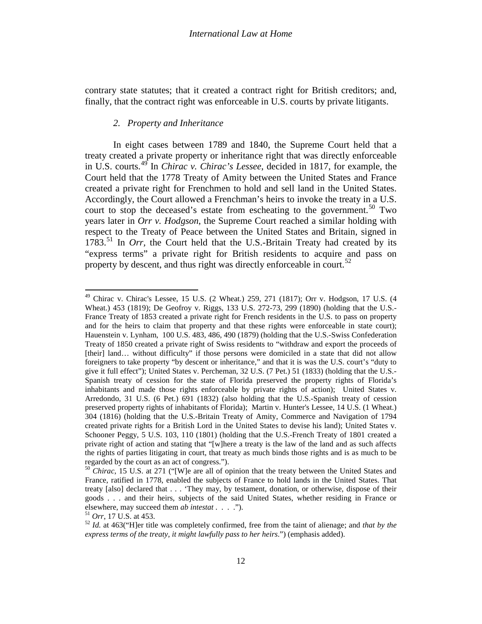contrary state statutes; that it created a contract right for British creditors; and, finally, that the contract right was enforceable in U.S. courts by private litigants.

# *2. Property and Inheritance*

In eight cases between 1789 and 1840, the Supreme Court held that a treaty created a private property or inheritance right that was directly enforceable in U.S. courts.[49](#page-10-1) In *Chirac v. Chirac's Lessee*, decided in 1817, for example, the Court held that the 1778 Treaty of Amity between the United States and France created a private right for Frenchmen to hold and sell land in the United States. Accordingly, the Court allowed a Frenchman's heirs to invoke the treaty in a U.S. court to stop the deceased's estate from escheating to the government.<sup>[50](#page-11-0)</sup> Two years later in *Orr v. Hodgson*, the Supreme Court reached a similar holding with respect to the Treaty of Peace between the United States and Britain, signed in 1783.<sup>[51](#page-11-1)</sup> In *Orr*, the Court held that the U.S.-Britain Treaty had created by its "express terms" a private right for British residents to acquire and pass on property by descent, and thus right was directly enforceable in court.<sup>[52](#page-11-2)</sup>

 $49$  Chirac v. Chirac's Lessee, 15 U.S. (2 Wheat.) 259, 271 (1817); Orr v. Hodgson, 17 U.S. (4 Wheat.) 453 (1819); De Geofroy v. Riggs, 133 U.S. 272-73, 299 (1890) (holding that the U.S.- France Treaty of 1853 created a private right for French residents in the U.S. to pass on property and for the heirs to claim that property and that these rights were enforceable in state court); Hauenstein v. Lynham, 100 U.S. 483, 486, 490 (1879) (holding that the U.S.-Swiss Confederation Treaty of 1850 created a private right of Swiss residents to "withdraw and export the proceeds of [their] land... without difficulty" if those persons were domiciled in a state that did not allow foreigners to take property "by descent or inheritance," and that it is was the U.S. court's "duty to give it full effect"); United States v. Percheman, 32 U.S. (7 Pet.) 51 (1833) (holding that the U.S.- Spanish treaty of cession for the state of Florida preserved the property rights of Florida's inhabitants and made those rights enforceable by private rights of action); United States v. Arredondo, 31 U.S. (6 Pet.) 691 (1832) (also holding that the U.S.-Spanish treaty of cession preserved property rights of inhabitants of Florida); Martin v. Hunter's Lessee, 14 U.S. (1 Wheat.) 304 (1816) (holding that the U.S.-Britain Treaty of Amity, Commerce and Navigation of 1794 created private rights for a British Lord in the United States to devise his land); United States v. Schooner Peggy, 5 U.S. 103, 110 (1801) (holding that the U.S.-French Treaty of 1801 created a private right of action and stating that "[w]here a treaty is the law of the land and as such affects the rights of parties litigating in court, that treaty as much binds those rights and is as much to be

<span id="page-11-3"></span><span id="page-11-0"></span>regarded by the court as an act of congress."). <sup>50</sup> *Chirac*, 15 U.S. at 271 ("[W]e are all of opinion that the treaty between the United States and France, ratified in 1778, enabled the subjects of France to hold lands in the United States. That treaty [also] declared that . . . 'They may, by testament, donation, or otherwise, dispose of their goods . . . and their heirs, subjects of the said United States, whether residing in France or elsewhere, may succeed them *ab intestat* . . . .").

<span id="page-11-2"></span><span id="page-11-1"></span><sup>&</sup>lt;sup>51</sup> *Orr*, 17 U.S. at 453. **ab interestat** them as completely confirmed, free from the taint of alienage; and *that by the*  $\frac{52 \text{ Id.}}{24 \text{ H}}$  at 463("H]er title was completely confirmed, free from the taint of alienag *express terms of the treaty, it might lawfully pass to her heirs*.") (emphasis added).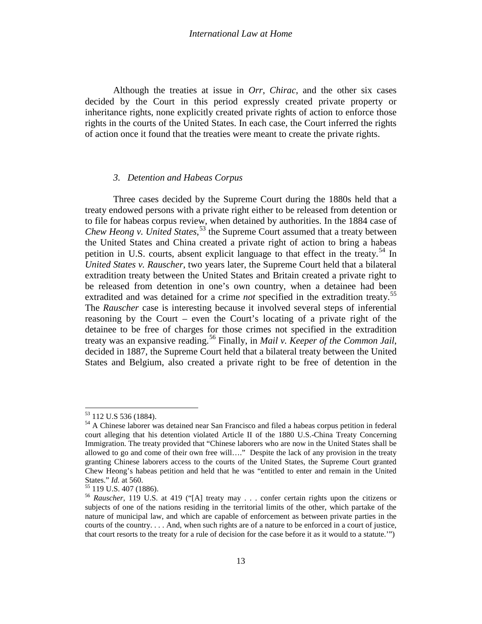#### *International Law at Home*

Although the treaties at issue in *Orr*, *Chirac*, and the other six cases decided by the Court in this period expressly created private property or inheritance rights, none explicitly created private rights of action to enforce those rights in the courts of the United States. In each case, the Court inferred the rights of action once it found that the treaties were meant to create the private rights.

## *3. Detention and Habeas Corpus*

Three cases decided by the Supreme Court during the 1880s held that a treaty endowed persons with a private right either to be released from detention or to file for habeas corpus review, when detained by authorities. In the 1884 case of *Chew Heong v. United States*, [53](#page-11-3) the Supreme Court assumed that a treaty between the United States and China created a private right of action to bring a habeas petition in U.S. courts, absent explicit language to that effect in the treaty.<sup>[54](#page-12-0)</sup> In *United States v. Rauscher*, two years later, the Supreme Court held that a bilateral extradition treaty between the United States and Britain created a private right to be released from detention in one's own country, when a detainee had been extradited and was detained for a crime *not* specified in the extradition treaty.<sup>[55](#page-12-1)</sup> The *Rauscher* case is interesting because it involved several steps of inferential reasoning by the Court – even the Court's locating of a private right of the detainee to be free of charges for those crimes not specified in the extradition treaty was an expansive reading.[56](#page-12-2) Finally, in *Mail v. Keeper of the Common Jail*, decided in 1887, the Supreme Court held that a bilateral treaty between the United States and Belgium, also created a private right to be free of detention in the

<span id="page-12-0"></span><sup>&</sup>lt;sup>53</sup> 112 U.S 536 (1884).<br><sup>54</sup> A Chinese laborer was detained near San Francisco and filed a habeas corpus petition in federal court alleging that his detention violated Article II of the 1880 U.S.-China Treaty Concerning Immigration. The treaty provided that "Chinese laborers who are now in the United States shall be allowed to go and come of their own free will…." Despite the lack of any provision in the treaty granting Chinese laborers access to the courts of the United States, the Supreme Court granted Chew Heong's habeas petition and held that he was "entitled to enter and remain in the United States." *Id.* at 560.<br><sup>55</sup> 119 U.S. 407 (1886).<br><sup>56</sup> *Rauscher*, 119 U.S. at 419 ("[A] treaty may . . . confer certain rights upon the citizens or

<span id="page-12-2"></span><span id="page-12-1"></span>subjects of one of the nations residing in the territorial limits of the other, which partake of the nature of municipal law, and which are capable of enforcement as between private parties in the courts of the country. . . . And, when such rights are of a nature to be enforced in a court of justice, that court resorts to the treaty for a rule of decision for the case before it as it would to a statute.'")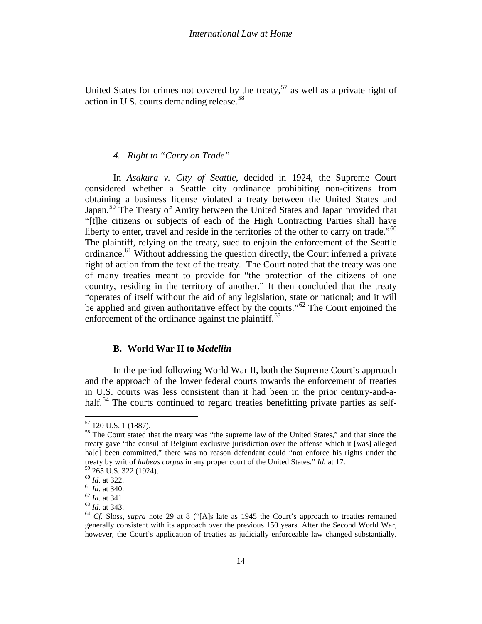United States for crimes not covered by the treaty,  $57$  as well as a private right of action in U.S. courts demanding release.<sup>[58](#page-13-0)</sup>

# *4. Right to "Carry on Trade"*

In *Asakura v. City of Seattle*, decided in 1924, the Supreme Court considered whether a Seattle city ordinance prohibiting non-citizens from obtaining a business license violated a treaty between the United States and Japan.<sup>[59](#page-13-1)</sup> The Treaty of Amity between the United States and Japan provided that "[t]he citizens or subjects of each of the High Contracting Parties shall have liberty to enter, travel and reside in the territories of the other to carry on trade." $60$ The plaintiff, relying on the treaty, sued to enjoin the enforcement of the Seattle ordinance.<sup>[61](#page-13-3)</sup> Without addressing the question directly, the Court inferred a private right of action from the text of the treaty. The Court noted that the treaty was one of many treaties meant to provide for "the protection of the citizens of one country, residing in the territory of another." It then concluded that the treaty "operates of itself without the aid of any legislation, state or national; and it will be applied and given authoritative effect by the courts."<sup>[62](#page-13-4)</sup> The Court enjoined the enforcement of the ordinance against the plaintiff. $63$ 

# **B. World War II to** *Medellin*

<span id="page-13-7"></span>In the period following World War II, both the Supreme Court's approach and the approach of the lower federal courts towards the enforcement of treaties in U.S. courts was less consistent than it had been in the prior century-and-a-half.<sup>[64](#page-13-6)</sup> The courts continued to regard treaties benefitting private parties as self-

<span id="page-13-0"></span> $57$  120 U.S. 1 (1887).<br> $58$  The Court stated that the treaty was "the supreme law of the United States," and that since the treaty gave "the consul of Belgium exclusive jurisdiction over the offense which it [was] alleged ha<sup>[d]</sup> been committed," there was no reason defendant could "not enforce his rights under the treaty by writ of *habeas corpus* in any proper court of the United States." *Id.* at 17. <sup>59</sup> 265 U.S. 322 (1924).

<span id="page-13-4"></span>

<span id="page-13-5"></span>

<span id="page-13-6"></span>

<span id="page-13-3"></span><span id="page-13-2"></span><span id="page-13-1"></span><sup>&</sup>lt;sup>60</sup> *Id.* at 322.<br>
<sup>61</sup> *Id.* at 340.<br>
<sup>62</sup> *Id.* at 341.<br>
<sup>63</sup> *Id.* at 343.<br>
<sup>64</sup> *Cf.* Sloss, *supra* note [29](#page-7-4) at 8 ("[A]s late as 1945 the Court's approach to treaties remained generally consistent with its approach over the previous 150 years. After the Second World War, however, the Court's application of treaties as judicially enforceable law changed substantially.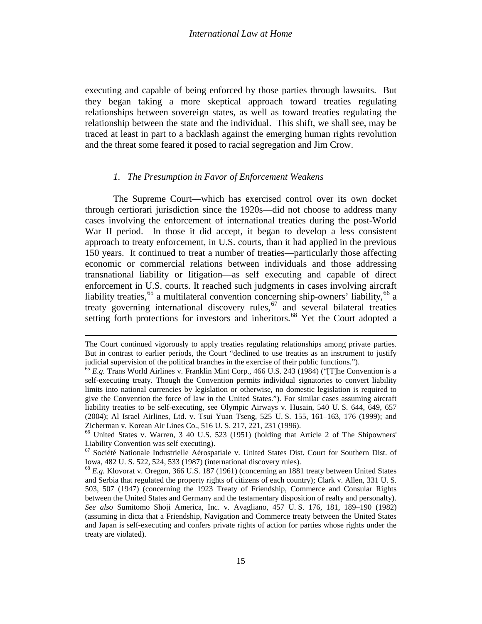executing and capable of being enforced by those parties through lawsuits. But they began taking a more skeptical approach toward treaties regulating relationships between sovereign states, as well as toward treaties regulating the relationship between the state and the individual. This shift, we shall see, may be traced at least in part to a backlash against the emerging human rights revolution and the threat some feared it posed to racial segregation and Jim Crow.

### *1. The Presumption in Favor of Enforcement Weakens*

<span id="page-14-3"></span>The Supreme Court—which has exercised control over its own docket through certiorari jurisdiction since the 1920s—did not choose to address many cases involving the enforcement of international treaties during the post-World War II period. In those it did accept, it began to develop a less consistent approach to treaty enforcement, in U.S. courts, than it had applied in the previous 150 years. It continued to treat a number of treaties—particularly those affecting economic or commercial relations between individuals and those addressing transnational liability or litigation—as self executing and capable of direct enforcement in U.S. courts. It reached such judgments in cases involving aircraft liability treaties,<sup>[65](#page-13-7)</sup> a multilateral convention concerning ship-owners' liability,<sup>[66](#page-14-0)</sup> a treaty governing international discovery rules,  $67$  and several bilateral treaties setting forth protections for investors and inheritors.<sup>[68](#page-14-2)</sup> Yet the Court adopted a

l

The Court continued vigorously to apply treaties regulating relationships among private parties. But in contrast to earlier periods, the Court "declined to use treaties as an instrument to justify judicial supervision of the political branches in the exercise of their public functions.").

<sup>65</sup> *E.g.* Trans World Airlines v. Franklin Mint Corp., 466 U.S. 243 (1984) ("[T]he Convention is a self-executing treaty. Though the Convention permits individual signatories to convert liability limits into national currencies by legislation or otherwise, no domestic legislation is required to give the Convention the force of law in the United States."). For similar cases assuming aircraft liability treaties to be self-executing, see Olympic Airways v. Husain, [540 U.](http://www.law.cornell.edu/supct-cgi/get-us-cite?540+644) S. 644, 649, 657 (2004); Al Israel Airlines, Ltd. v. Tsui Yuan Tseng, 525 U. S. 155, 161–163, 176 (1999); and Zicherman v. Korean Air Lines Co., 516 U. S. 217, 221, 231 (1996). <sup>66</sup> United States v. Warren, 3 40 U.S. 523 (1951) (holding that Article 2 of The Shipowners'

<span id="page-14-0"></span>Liability Convention was self executing).

<span id="page-14-1"></span> $67$  Société Nationale Industrielle Aérospatiale v. United States Dist. Court for Southern Dist. of Iowa, [482 U.](http://www.law.cornell.edu/supct-cgi/get-us-cite?482+522) S. 522, 524, 533 (1987) (international discovery rules). <sup>68</sup> *E.g.* Klovorat v. Oregon, 366 U.S. 187 (1961) (concerning an 1881 treaty between United States

<span id="page-14-2"></span>and Serbia that regulated the property rights of citizens of each country); Clark v. Allen, 331 U. S. 503, 507 (1947) (concerning the 1923 Treaty of Friendship, Commerce and Consular Rights between the United States and Germany and the testamentary disposition of realty and personalty). *See also* Sumitomo Shoji America, Inc. v. Avagliano, [457 U.](http://www.law.cornell.edu/supct-cgi/get-us-cite?457+176) S. 176, 181, 189–190 (1982) (assuming in dicta that a Friendship, Navigation and Commerce treaty between the United States and Japan is self-executing and confers private rights of action for parties whose rights under the treaty are violated).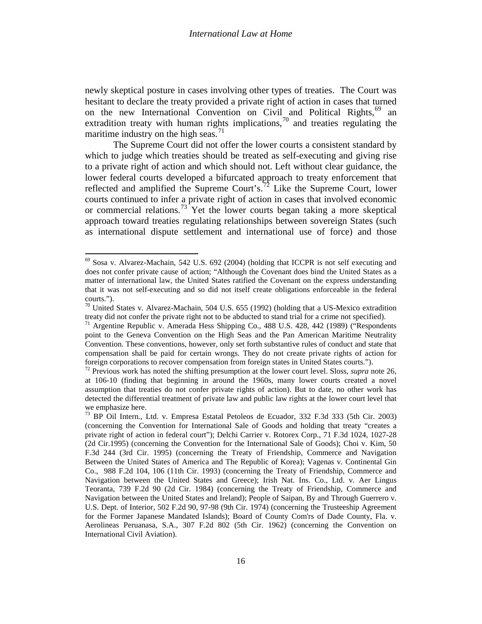newly skeptical posture in cases involving other types of treaties. The Court was hesitant to declare the treaty provided a private right of action in cases that turned on the new International Convention on Civil and Political Rights,<sup>[69](#page-14-3)</sup> an extradition treaty with human rights implications,  $\frac{70}{10}$  $\frac{70}{10}$  $\frac{70}{10}$  and treaties regulating the maritime industry on the high seas.<sup>[71](#page-15-1)</sup>

The Supreme Court did not offer the lower courts a consistent standard by which to judge which treaties should be treated as self-executing and giving rise to a private right of action and which should not. Left without clear guidance, the lower federal courts developed a bifurcated approach to treaty enforcement that reflected and amplified the Supreme Court's.<sup>[72](#page-15-2)</sup> Like the Supreme Court, lower courts continued to infer a private right of action in cases that involved economic or commercial relations.<sup>[73](#page-15-3)</sup> Yet the lower courts began taking a more skeptical approach toward treaties regulating relationships between sovereign States (such as international dispute settlement and international use of force) and those

<span id="page-15-5"></span><span id="page-15-4"></span> $69$  Sosa v. Alvarez-Machain, 542 U.S. 692 (2004) (holding that ICCPR is not self executing and does not confer private cause of action; "Although the Covenant does bind the United States as a matter of international law, the United States ratified the Covenant on the express understanding that it was not self-executing and so did not itself create obligations enforceable in the federal courts.").

<span id="page-15-0"></span> $70$  United States v. Alvarez-Machain, 504 U.S. 655 (1992) (holding that a US-Mexico extradition treaty did not confer the private right not to be abducted to stand trial for a crime not specified).<br><sup>71</sup> Argentine Republic v. Amerada Hess Shipping Co., 488 U.S. 428, 442 (1989) ("Respondents

<span id="page-15-1"></span>point to the Geneva Convention on the High Seas and the Pan American Maritime Neutrality Convention. These conventions, however, only set forth substantive rules of conduct and state that compensation shall be paid for certain wrongs. They do not create private rights of action for foreign corporations to recover compensation from foreign states in United States courts."). <sup>72</sup> Previous work has noted the shifting presumption at the lower court level. Sloss, *supra* note [26,](#page-6-4) 

<span id="page-15-2"></span>at 106-10 (finding that beginning in around the 1960s, many lower courts created a novel assumption that treaties do not confer private rights of action). But to date, no other work has detected the differential treatment of private law and public law rights at the lower court level that we emphasize here.

<span id="page-15-3"></span> $^{73}$  BP Oil Intern., Ltd. v. Empresa Estatal Petoleos de Ecuador, 332 F.3d 333 (5th Cir. 2003) (concerning the Convention for International Sale of Goods and holding that treaty "creates a private right of action in federal court"); Delchi Carrier v. Rotorex Corp., 71 F.3d 1024, 1027-28 (2d Cir.1995) (concerning the Convention for the International Sale of Goods); Choi v. Kim, 50 F.3d 244 (3rd Cir. 1995) (concerning the Treaty of Friendship, Commerce and Navigation Between the United States of America and The Republic of Korea); Vagenas v. Continental Gin Co., 988 F.2d 104, 106 (11th Cir. 1993) (concerning the Treaty of Friendship, Commerce and Navigation between the United States and Greece); Irish Nat. Ins. Co., Ltd. v. Aer Lingus Teoranta, 739 F.2d 90 (2d Cir. 1984) (concerning the Treaty of Friendship, Commerce and Navigation between the United States and Ireland); People of Saipan, By and Through Guerrero v. U.S. Dept. of Interior, 502 F.2d 90, 97-98 (9th Cir. 1974) (concerning the Trusteeship Agreement for the Former Japanese Mandated Islands); Board of County Com'rs of Dade County, Fla. v. Aerolineas Peruanasa, S.A., 307 F.2d 802 (5th Cir. 1962) (concerning the Convention on International Civil Aviation).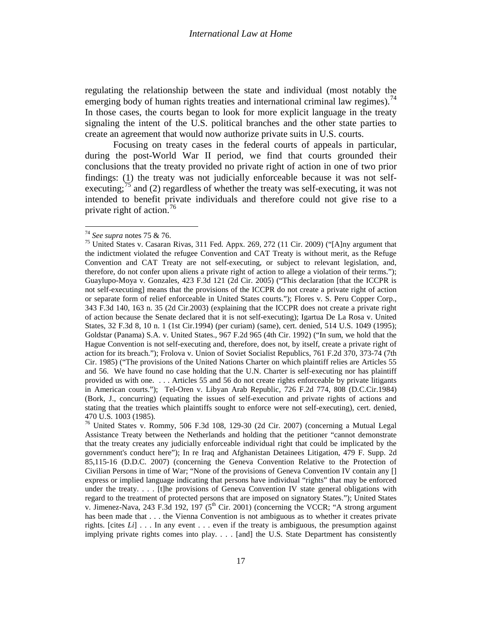regulating the relationship between the state and individual (most notably the emerging body of human rights treaties and international criminal law regimes).<sup>[74](#page-15-4)</sup> In those cases, the courts began to look for more explicit language in the treaty signaling the intent of the U.S. political branches and the other state parties to create an agreement that would now authorize private suits in U.S. courts.

<span id="page-16-0"></span>Focusing on treaty cases in the federal courts of appeals in particular, during the post-World War II period, we find that courts grounded their conclusions that the treaty provided no private right of action in one of two prior findings: (1) the treaty was not judicially enforceable because it was not self-executing;<sup>[75](#page-16-2)</sup> and (2) regardless of whether the treaty was self-executing, it was not intended to benefit private individuals and therefore could not give rise to a private right of action.<sup>[76](#page-16-3)</sup>

<span id="page-16-1"></span>

<span id="page-16-2"></span><sup>&</sup>lt;sup>74</sup> *See supra* notes [75](#page-16-0) & [76.](#page-16-1)<br><sup>75</sup> United States v. Casaran Rivas, 311 Fed. Appx. 269, 272 (11 Cir. 2009) ("[A]ny argument that the indictment violated the refugee Convention and CAT Treaty is without merit, as the Refuge Convention and CAT Treaty are not self-executing, or subject to relevant legislation, and, therefore, do not confer upon aliens a private right of action to allege a violation of their terms."); Guaylupo-Moya v. Gonzales, 423 F.3d 121 (2d Cir. 2005) ("This declaration [that the ICCPR is not self-executing] means that the provisions of the ICCPR do not create a private right of action or separate form of relief enforceable in United States courts."); Flores v. S. Peru Copper Corp., 343 F.3d 140, 163 n. 35 (2d Cir.2003) (explaining that the ICCPR does not create a private right of action because the Senate declared that it is not self-executing); Igartua De La Rosa v. United States, 32 F.3d 8, 10 n. 1 (1st Cir.1994) (per curiam) (same), cert. denied, 514 U.S. 1049 (1995); Goldstar (Panama) S.A. v. United States., 967 F.2d 965 (4th Cir. 1992) ("In sum, we hold that the Hague Convention is not self-executing and, therefore, does not, by itself, create a private right of action for its breach."); Frolova v. Union of Soviet Socialist Republics, 761 F.2d 370, 373-74 (7th Cir. 1985) ("The provisions of the United Nations Charter on which plaintiff relies are Articles 55 and 56. We have found no case holding that the U.N. Charter is self-executing nor has plaintiff provided us with one. . . . Articles 55 and 56 do not create rights enforceable by private litigants in American courts."); Tel-Oren v. Libyan Arab Republic, 726 F.2d 774, 808 (D.C.Cir.1984) (Bork, J., concurring) (equating the issues of self-execution and private rights of actions and stating that the treaties which plaintiffs sought to enforce were not self-executing), cert. denied, 470 U.S. 1003 (1985).

<span id="page-16-4"></span><span id="page-16-3"></span><sup>&</sup>lt;sup>76</sup> United States v. Rommy, 506 F.3d 108, 129-30 (2d Cir. 2007) (concerning a Mutual Legal Assistance Treaty between the Netherlands and holding that the petitioner "cannot demonstrate that the treaty creates any judicially enforceable individual right that could be implicated by the government's conduct here"); In re Iraq and Afghanistan Detainees Litigation, 479 F. Supp. 2d 85,115-16 (D.D.C. 2007) (concerning the Geneva Convention Relative to the Protection of Civilian Persons in time of War; "None of the provisions of Geneva Convention IV contain any [] express or implied language indicating that persons have individual "rights" that may be enforced under the treaty. . . . [t]he provisions of Geneva Convention IV state general obligations with regard to the treatment of protected persons that are imposed on signatory States."); United States v. Jimenez-Nava, 243 F.3d 192, 197 ( $5<sup>th</sup>$  Cir. 2001) (concerning the VCCR; "A strong argument has been made that . . . the Vienna Convention is not ambiguous as to whether it creates private rights. [cites *Li*] . . . In any event . . . even if the treaty is ambiguous, the presumption against implying private rights comes into play. . . . [and] the U.S. State Department has consistently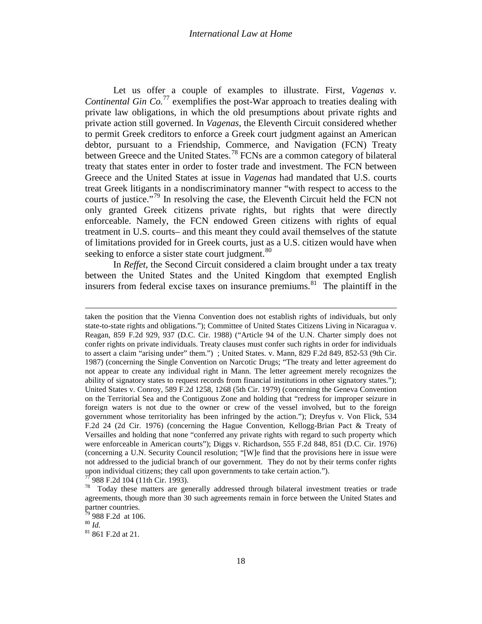#### *International Law at Home*

Let us offer a couple of examples to illustrate. First, *Vagenas v.* Continental Gin Co.<sup>[77](#page-16-4)</sup> exemplifies the post-War approach to treaties dealing with private law obligations, in which the old presumptions about private rights and private action still governed. In *Vagenas*, the Eleventh Circuit considered whether to permit Greek creditors to enforce a Greek court judgment against an American debtor, pursuant to a Friendship, Commerce, and Navigation (FCN) Treaty between Greece and the United States.<sup>[78](#page-17-0)</sup> FCNs are a common category of bilateral treaty that states enter in order to foster trade and investment. The FCN between Greece and the United States at issue in *Vagenas* had mandated that U.S. courts treat Greek litigants in a nondiscriminatory manner "with respect to access to the courts of justice."<sup>[79](#page-17-1)</sup> In resolving the case, the Eleventh Circuit held the FCN not only granted Greek citizens private rights, but rights that were directly enforceable. Namely, the FCN endowed Green citizens with rights of equal treatment in U.S. courts– and this meant they could avail themselves of the statute of limitations provided for in Greek courts, just as a U.S. citizen would have when seeking to enforce a sister state court judgment.<sup>[80](#page-17-2)</sup>

In *Reffet*, the Second Circuit considered a claim brought under a tax treaty between the United States and the United Kingdom that exempted English insurers from federal excise taxes on insurance premiums. $81$  The plaintiff in the

l

<span id="page-17-4"></span>taken the position that the Vienna Convention does not establish rights of individuals, but only state-to-state rights and obligations."); Committee of United States Citizens Living in Nicaragua v. Reagan, 859 F.2d 929, 937 (D.C. Cir. 1988) ("Article 94 of the U.N. Charter simply does not confer rights on private individuals. Treaty clauses must confer such rights in order for individuals to assert a claim "arising under" them.") ; United States. v. Mann*,* 829 F.2d 849, 852-53 (9th Cir. 1987) (concerning the Single Convention on Narcotic Drugs; "The treaty and letter agreement do not appear to create any individual right in Mann. The letter agreement merely recognizes the ability of signatory states to request records from financial institutions in other signatory states."); United States v. Conroy, 589 F.2d 1258, 1268 (5th Cir. 1979) (concerning the Geneva Convention on the Territorial Sea and the Contiguous Zone and holding that "redress for improper seizure in foreign waters is not due to the owner or crew of the vessel involved, but to the foreign government whose territoriality has been infringed by the action."); Dreyfus v. Von Flick, 534 F.2d 24 (2d Cir. 1976) (concerning the Hague Convention, Kellogg-Brian Pact & Treaty of Versailles and holding that none "conferred any private rights with regard to such property which were enforceable in American courts"); Diggs v. Richardson, 555 F.2d 848, 851 (D.C. Cir. 1976) (concerning a U.N. Security Council resolution; "[W]e find that the provisions here in issue were not addressed to the judicial branch of our government. They do not by their terms confer rights upon individual citizens; they call upon governments to take certain action.").  $^{77}$  988 F.2d 104 (11th Cir. 1993).

<span id="page-17-0"></span> $78$  Today these matters are generally addressed through bilateral investment treaties or trade agreements, though more than 30 such agreements remain in force between the United States and partner countries.

<span id="page-17-1"></span><sup>&</sup>lt;sup>79</sup> 988 F.2d at 106.<br><sup>80</sup> *Id.*<br><sup>81</sup> 861 F.2d at 21.

<span id="page-17-3"></span><span id="page-17-2"></span>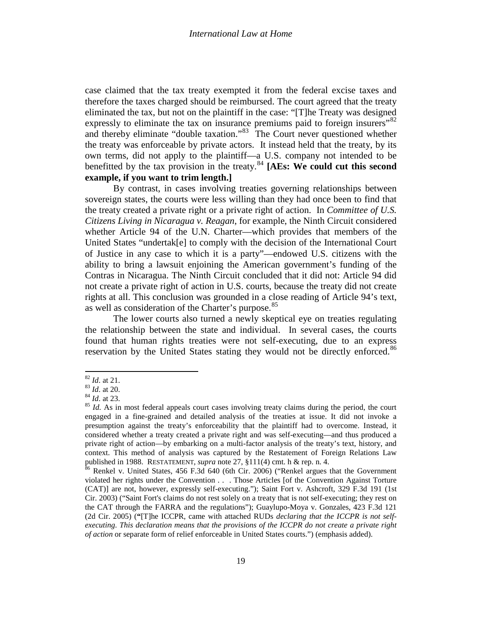case claimed that the tax treaty exempted it from the federal excise taxes and therefore the taxes charged should be reimbursed. The court agreed that the treaty eliminated the tax, but not on the plaintiff in the case: "[T]he Treaty was designed expressly to eliminate the tax on insurance premiums paid to foreign insurers"<sup>[82](#page-17-4)</sup> and thereby eliminate "double taxation."[83](#page-18-0) The Court never questioned whether the treaty was enforceable by private actors. It instead held that the treaty, by its own terms, did not apply to the plaintiff—a U.S. company not intended to be benefitted by the tax provision in the treaty.[84](#page-18-1) **[AEs: We could cut this second example, if you want to trim length.]**

By contrast, in cases involving treaties governing relationships between sovereign states, the courts were less willing than they had once been to find that the treaty created a private right or a private right of action. In *Committee of U.S. Citizens Living in Nicaragua v. Reagan*, for example, the Ninth Circuit considered whether Article 94 of the U.N. Charter—which provides that members of the United States "undertak[e] to comply with the decision of the International Court of Justice in any case to which it is a party"—endowed U.S. citizens with the ability to bring a lawsuit enjoining the American government's funding of the Contras in Nicaragua. The Ninth Circuit concluded that it did not: Article 94 did not create a private right of action in U.S. courts, because the treaty did not create rights at all. This conclusion was grounded in a close reading of Article 94's text, as well as consideration of the Charter's purpose.<sup>[85](#page-18-2)</sup>

The lower courts also turned a newly skeptical eye on treaties regulating the relationship between the state and individual. In several cases, the courts found that human rights treaties were not self-executing, due to an express reservation by the United States stating they would not be directly enforced.<sup>[86](#page-18-3)</sup>

<span id="page-18-1"></span><span id="page-18-0"></span>

<span id="page-18-2"></span>

<sup>82</sup> *Id.* at 21.<br><sup>83</sup> *Id.* at 20.<br><sup>84</sup> *Id.* at 23.<br><sup>85</sup> *Id.* As in most federal appeals court cases involving treaty claims during the period, the court engaged in a fine-grained and detailed analysis of the treaties at issue. It did not invoke a presumption against the treaty's enforceability that the plaintiff had to overcome. Instead, it considered whether a treaty created a private right and was self-executing—and thus produced a private right of action—by embarking on a multi-factor analysis of the treaty's text, history, and context. This method of analysis was captured by the Restatement of Foreign Relations Law published in 1988. RESTATEMENT, *supra* note [27,](#page-6-5) §111(4) cmt. h & rep. n. 4.<br><sup>86</sup> Renkel v. United States, 456 F.3d 640 (6th Cir. 2006) ("Renkel argues that the Government

<span id="page-18-4"></span><span id="page-18-3"></span>violated her rights under the Convention . . . Those Articles [of the Convention Against Torture (CAT)] are not, however, expressly self-executing."); Saint Fort v. Ashcroft, 329 F.3d 191 (1st Cir. 2003) ("Saint Fort's claims do not rest solely on a treaty that is not self-executing; they rest on the CAT through the FARRA and the regulations"); Guaylupo-Moya v. Gonzales, 423 F.3d 121 (2d Cir. 2005) (**"**[T]he ICCPR, came with attached RUDs *declaring that the ICCPR is not selfexecuting. This declaration means that the provisions of the ICCPR do not create a private right of action* or separate form of relief enforceable in United States courts.") (emphasis added).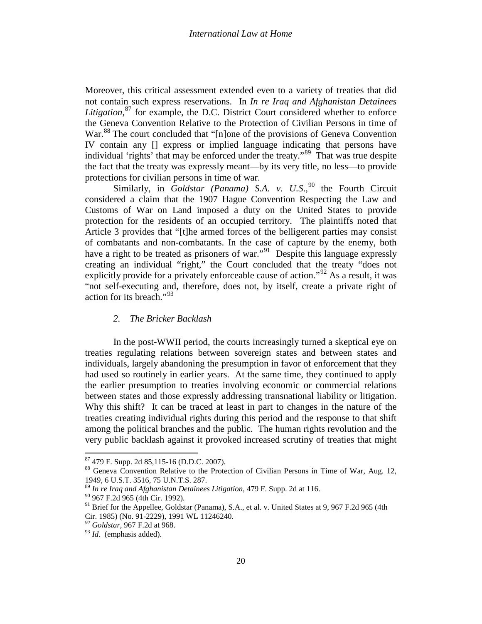<span id="page-19-6"></span>Moreover, this critical assessment extended even to a variety of treaties that did not contain such express reservations. In *In re Iraq and Afghanistan Detainees Litigation*, [87](#page-18-4) for example, the D.C. District Court considered whether to enforce the Geneva Convention Relative to the Protection of Civilian Persons in time of War.<sup>[88](#page-19-0)</sup> The court concluded that "[n]one of the provisions of Geneva Convention IV contain any [] express or implied language indicating that persons have individual 'rights' that may be enforced under the treaty."[89](#page-19-1) That was true despite the fact that the treaty was expressly meant—by its very title, no less—to provide protections for civilian persons in time of war.

Similarly, in *Goldstar (Panama) S.A. v. U.S.*,<sup>[90](#page-19-2)</sup> the Fourth Circuit considered a claim that the 1907 Hague Convention Respecting the Law and Customs of War on Land imposed a duty on the United States to provide protection for the residents of an occupied territory. The plaintiffs noted that Article 3 provides that "[t]he armed forces of the belligerent parties may consist of combatants and non-combatants. In the case of capture by the enemy, both have a right to be treated as prisoners of war."<sup>[91](#page-19-3)</sup> Despite this language expressly creating an individual "right," the Court concluded that the treaty "does not explicitly provide for a privately enforceable cause of action.<sup> $2$ </sup> As a result, it was "not self-executing and, therefore, does not, by itself, create a private right of action for its breach." $^{93}$  $^{93}$  $^{93}$ 

# *2. The Bricker Backlash*

<span id="page-19-7"></span>In the post-WWII period, the courts increasingly turned a skeptical eye on treaties regulating relations between sovereign states and between states and individuals, largely abandoning the presumption in favor of enforcement that they had used so routinely in earlier years. At the same time, they continued to apply the earlier presumption to treaties involving economic or commercial relations between states and those expressly addressing transnational liability or litigation. Why this shift? It can be traced at least in part to changes in the nature of the treaties creating individual rights during this period and the response to that shift among the political branches and the public. The human rights revolution and the very public backlash against it provoked increased scrutiny of treaties that might

<span id="page-19-0"></span>

 $^{87}$  479 F. Supp. 2d 85,115-16 (D.D.C. 2007).<br> $^{88}$  Geneva Convention Relative to the Protection of Civilian Persons in Time of War, Aug. 12, 1949, 6 U.S.T. 3516, 75 U.N.T.S. 287.

<span id="page-19-1"></span><sup>89</sup> *In re Iraq and Afghanistan Detainees Litigation*, 479 F. Supp. 2d at 116.

<span id="page-19-2"></span><sup>90</sup> 967 F.2d 965 (4th Cir. 1992).

<span id="page-19-3"></span><sup>&</sup>lt;sup>91</sup> Brief for the Appellee, Goldstar (Panama), S.A., et al. v. United States at 9, 967 F.2d 965 (4th Cir. 1985) (No. 91-2229), 1991 WL 11246240. *<sup>92</sup> Goldstar*, 967 F.2d at 968.

<span id="page-19-4"></span>

<span id="page-19-5"></span><sup>&</sup>lt;sup>93</sup> *Id.* (emphasis added).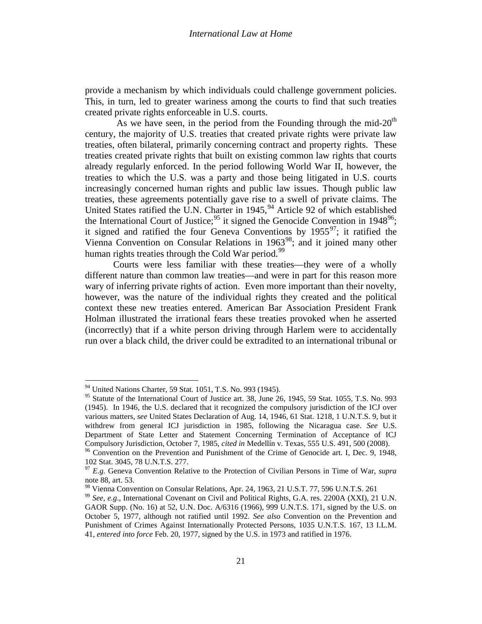provide a mechanism by which individuals could challenge government policies. This, in turn, led to greater wariness among the courts to find that such treaties created private rights enforceable in U.S. courts.

As we have seen, in the period from the Founding through the mid- $20<sup>th</sup>$ century, the majority of U.S. treaties that created private rights were private law treaties, often bilateral, primarily concerning contract and property rights. These treaties created private rights that built on existing common law rights that courts already regularly enforced. In the period following World War II, however, the treaties to which the U.S. was a party and those being litigated in U.S. courts increasingly concerned human rights and public law issues. Though public law treaties, these agreements potentially gave rise to a swell of private claims. The United States ratified the U.N. Charter in  $1945$  $1945$  $1945$ ,  $94$  Article 92 of which established the International Court of Justice;<sup>[95](#page-20-0)</sup> it signed the Genocide Convention in 1948<sup>96</sup>; it signed and ratified the four Geneva Conventions by  $1955^{\circ7}$ ; it ratified the Vienna Convention on Consular Relations in  $1963^{98}$ ; and it joined many other human rights treaties through the Cold War period.<sup>[99](#page-20-4)</sup>

Courts were less familiar with these treaties—they were of a wholly different nature than common law treaties—and were in part for this reason more wary of inferring private rights of action. Even more important than their novelty, however, was the nature of the individual rights they created and the political context these new treaties entered. American Bar Association President Frank Holman illustrated the irrational fears these treaties provoked when he asserted (incorrectly) that if a white person driving through Harlem were to accidentally run over a black child, the driver could be extradited to an international tribunal or

<sup>&</sup>lt;sup>94</sup> United Nations Charter, 59 Stat. 1051, T.S. No. 993 (1945).

<span id="page-20-0"></span><sup>&</sup>lt;sup>95</sup> Statute of the International Court of Justice art. 38, June 26, 1945, [59](http://web2.westlaw.com/result/result.aspx?rs=WLW10.02&ss=CNT&rp=%2fWelcome%2f208%2fdefault.wl&origin=Search&sv=Split&sri=328&cfid=1&fn=_top&referenceposition=SR%3b28027&rlt=CLID_QRYRLT193042825813&n=2&sskey=CLID_SSSA5972725813&mt=208&eq=Welcome%2f208&method=TNC&query=%2259+STAT.+1055%22&srch=TRUE&db=JLR&rlti=1&vr=2.0&fmqv=s&service=Search&cnt=DOC&referencepositiontype=T&scxt=WL&rltdb=CLID_DB809912625813) [Stat.](http://web2.westlaw.com/result/result.aspx?rs=WLW10.02&ss=CNT&rp=%2fWelcome%2f208%2fdefault.wl&origin=Search&sv=Split&sri=328&cfid=1&fn=_top&referenceposition=SR%3b28028&rlt=CLID_QRYRLT193042825813&n=2&sskey=CLID_SSSA5972725813&mt=208&eq=Welcome%2f208&method=TNC&query=%2259+STAT.+1055%22&srch=TRUE&db=JLR&rlti=1&vr=2.0&fmqv=s&service=Search&cnt=DOC&referencepositiontype=T&scxt=WL&rltdb=CLID_DB809912625813) [1055,](http://web2.westlaw.com/result/result.aspx?rs=WLW10.02&ss=CNT&rp=%2fWelcome%2f208%2fdefault.wl&origin=Search&sv=Split&sri=328&cfid=1&fn=_top&referenceposition=SR%3b28029&rlt=CLID_QRYRLT193042825813&n=2&sskey=CLID_SSSA5972725813&mt=208&eq=Welcome%2f208&method=TNC&query=%2259+STAT.+1055%22&srch=TRUE&db=JLR&rlti=1&vr=2.0&fmqv=s&service=Search&cnt=DOC&referencepositiontype=T&scxt=WL&rltdb=CLID_DB809912625813) T.S. No. 993 (1945). In 1946, the U.S. declared that it recognized the compulsory jurisdiction of the ICJ over various matters, *see* United States Declaration of Aug. 14, 1946, 61 Stat. 1218, 1 U.N.T.S. 9, but it withdrew from general ICJ jurisdiction in 1985, following the Nicaragua case. *See* U.S. Department of State Letter and Statement Concerning Termination of Acceptance of ICJ Compulsory Jurisdiction, October 7, 1985, *cited in* Medellín v. Texas, 555 U.S. 491, 500 (2008).

<span id="page-20-1"></span><sup>&</sup>lt;sup>96</sup> Convention on the Prevention and Punishment of the Crime of Genocide art. I, Dec. 9, 1948, 102 Stat. 3045, 78 U.N.T.S. 277.

<span id="page-20-2"></span><sup>97</sup> *E.g.* Geneva Convention Relative to the Protection of Civilian Persons in Time of War, *supra*  not[e 88,](#page-19-6) art. 53.<br><sup>98</sup> Vienna Convention on Consular Relations, Apr. 24, 1963, 21 U.S.T. 77, 596 U.N.T.S. 261

<span id="page-20-4"></span><span id="page-20-3"></span><sup>&</sup>lt;sup>99</sup> See, e.g., International Covenant on Civil and Political Rights, G.A. res. 2200A (XXI), 21 U.N. GAOR Supp. (No. 16) at 52, U.N. Doc. A/6316 (1966), 999 U.N.T.S. 171, signed by the U.S. on October 5, 1977, although not ratified until 1992. *See also* Convention on the Prevention and Punishment of Crimes Against Internationally Protected Persons, 1035 U.N.T.S. 167, 13 I.L.M. 41, *entered into force* Feb. 20, 1977, signed by the U.S. in 1973 and ratified in 1976.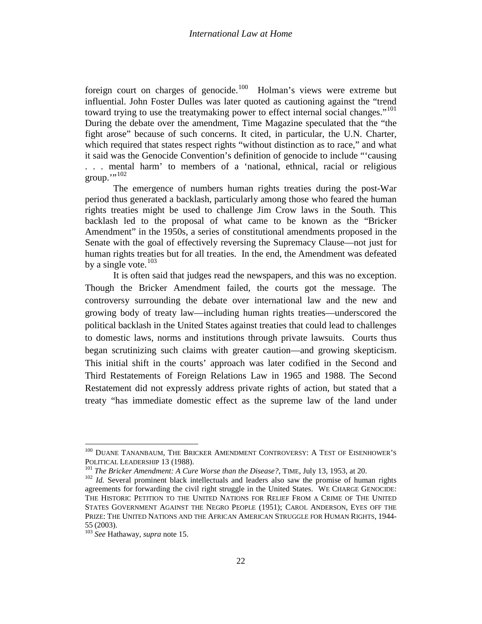foreign court on charges of genocide.<sup>[100](#page-20-1)</sup> Holman's views were extreme but influential. John Foster Dulles was later quoted as cautioning against the "trend toward trying to use the treatymaking power to effect internal social changes."<sup>[101](#page-21-0)</sup> During the debate over the amendment, Time Magazine speculated that the "the fight arose" because of such concerns. It cited, in particular, the U.N. Charter, which required that states respect rights "without distinction as to race," and what it said was the Genocide Convention's definition of genocide to include "'causing . . . mental harm' to members of a 'national, ethnical, racial or religious  $\text{group.}^{\cdots,102}$  $\text{group.}^{\cdots,102}$  $\text{group.}^{\cdots,102}$ 

The emergence of numbers human rights treaties during the post-War period thus generated a backlash, particularly among those who feared the human rights treaties might be used to challenge Jim Crow laws in the South. This backlash led to the proposal of what came to be known as the "Bricker Amendment" in the 1950s, a series of constitutional amendments proposed in the Senate with the goal of effectively reversing the Supremacy Clause—not just for human rights treaties but for all treaties. In the end, the Amendment was defeated by a single vote. $103$ 

It is often said that judges read the newspapers, and this was no exception. Though the Bricker Amendment failed, the courts got the message. The controversy surrounding the debate over international law and the new and growing body of treaty law—including human rights treaties—underscored the political backlash in the United States against treaties that could lead to challenges to domestic laws, norms and institutions through private lawsuits. Courts thus began scrutinizing such claims with greater caution—and growing skepticism. This initial shift in the courts' approach was later codified in the Second and Third Restatements of Foreign Relations Law in 1965 and 1988. The Second Restatement did not expressly address private rights of action, but stated that a treaty "has immediate domestic effect as the supreme law of the land under

<span id="page-21-3"></span> $^{100}$  DUANE TANANBAUM, THE BRICKER AMENDMENT CONTROVERSY: A TEST OF EISENHOWER'S POLITICAL LEADERSHIP 13 (1988).<br><sup>101</sup> The Bricker Amendment: A Cure Worse than the Disease?, TIME, July 13, 1953, at 20.<br><sup>102</sup> Id. Several prominent black intellectuals and leaders also saw the promise of human rights

<span id="page-21-1"></span><span id="page-21-0"></span>agreements for forwarding the civil right struggle in the United States. WE CHARGE GENOCIDE: THE HISTORIC PETITION TO THE UNITED NATIONS FOR RELIEF FROM A CRIME OF THE UNITED STATES GOVERNMENT AGAINST THE NEGRO PEOPLE (1951); CAROL ANDERSON, EYES OFF THE Prize: The United Nations and the African American Struggle for Human Rights, 1944-55 (2003).

<span id="page-21-2"></span><sup>&</sup>lt;sup>103</sup> See Hathaway, *supra* note [15.](#page-3-1)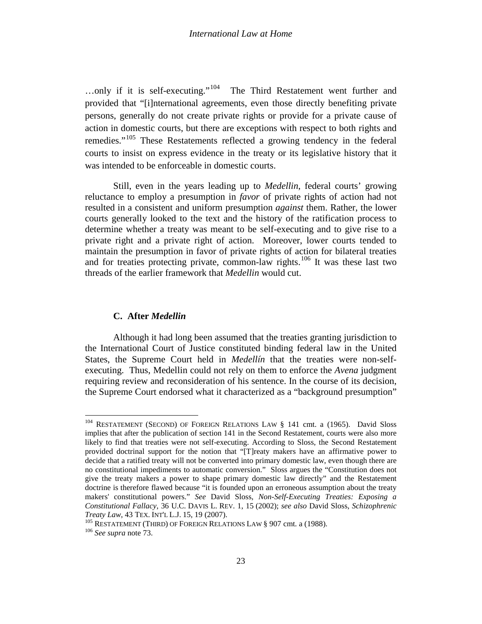...only if it is self-executing."<sup>[104](#page-21-3)</sup> The Third Restatement went further and provided that "[i]nternational agreements, even those directly benefiting private persons, generally do not create private rights or provide for a private cause of action in domestic courts, but there are exceptions with respect to both rights and remedies."[105](#page-22-0) These Restatements reflected a growing tendency in the federal courts to insist on express evidence in the treaty or its legislative history that it was intended to be enforceable in domestic courts.

Still, even in the years leading up to *Medellin*, federal courts' growing reluctance to employ a presumption in *favor* of private rights of action had not resulted in a consistent and uniform presumption *against* them. Rather, the lower courts generally looked to the text and the history of the ratification process to determine whether a treaty was meant to be self-executing and to give rise to a private right and a private right of action. Moreover, lower courts tended to maintain the presumption in favor of private rights of action for bilateral treaties and for treaties protecting private, common-law rights.<sup>[106](#page-22-1)</sup> It was these last two threads of the earlier framework that *Medellin* would cut.

# **C. After** *Medellin*

Although it had long been assumed that the treaties granting jurisdiction to the International Court of Justice constituted binding federal law in the United States, the Supreme Court held in *Medellín* that the treaties were non-selfexecuting. Thus, Medellin could not rely on them to enforce the *Avena* judgment requiring review and reconsideration of his sentence. In the course of its decision, the Supreme Court endorsed what it characterized as a "background presumption"

<span id="page-22-2"></span><sup>&</sup>lt;sup>104</sup> RESTATEMENT (SECOND) OF FOREIGN RELATIONS LAW § 141 cmt. a (1965). David Sloss implies that after the publication of section 141 in the Second Restatement, courts were also more likely to find that treaties were not self-executing. According to Sloss, the Second Restatement provided doctrinal support for the notion that "[T]reaty makers have an affirmative power to decide that a ratified treaty will not be converted into primary domestic law, even though there are no constitutional impediments to automatic conversion." Sloss argues the "Constitution does not give the treaty makers a power to shape primary domestic law directly" and the Restatement doctrine is therefore flawed because "it is founded upon an erroneous assumption about the treaty makers' constitutional powers." *See* David Sloss, *Non-Self-Executing Treaties: Exposing a Constitutional Fallacy*, 36 U.C. DAVIS L. REV. 1, 15 (2002); *see also* David Sloss, *Schizophrenic Treaty Law*, 43 TEX. INT'L L.J. 15, 19 (2007).<br><sup>105</sup> RESTATEMENT (THIRD) OF FOREIGN RELATIONS LAW § 907 cmt. a (1988).<br><sup>106</sup> *See supra* not[e 73.](#page-15-5)

<span id="page-22-0"></span>

<span id="page-22-1"></span>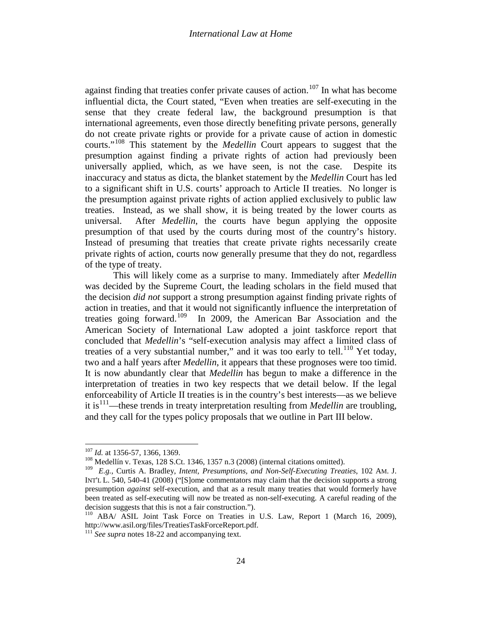against finding that treaties confer private causes of action.<sup>[107](#page-22-2)</sup> In what has become influential dicta, the Court stated, "Even when treaties are self-executing in the sense that they create federal law, the background presumption is that international agreements, even those directly benefiting private persons, generally do not create private rights or provide for a private cause of action in domestic courts."[108](#page-23-0) This statement by the *Medellin* Court appears to suggest that the presumption against finding a private rights of action had previously been universally applied, which, as we have seen, is not the case. Despite its inaccuracy and status as dicta, the blanket statement by the *Medellin* Court has led to a significant shift in U.S. courts' approach to Article II treaties. No longer is the presumption against private rights of action applied exclusively to public law treaties. Instead, as we shall show, it is being treated by the lower courts as universal. After *Medellin*, the courts have begun applying the opposite presumption of that used by the courts during most of the country's history. Instead of presuming that treaties that create private rights necessarily create private rights of action, courts now generally presume that they do not, regardless of the type of treaty.

<span id="page-23-5"></span>This will likely come as a surprise to many. Immediately after *Medellin*  was decided by the Supreme Court, the leading scholars in the field mused that the decision *did not* support a strong presumption against finding private rights of action in treaties, and that it would not significantly influence the interpretation of treaties going forward. [109](#page-23-1) In 2009, the American Bar Association and the American Society of International Law adopted a joint taskforce report that concluded that *Medellin*'s "self-execution analysis may affect a limited class of treaties of a very substantial number," and it was too early to tell.<sup>[110](#page-23-2)</sup> Yet today, two and a half years after *Medellin*, it appears that these prognoses were too timid. It is now abundantly clear that *Medellin* has begun to make a difference in the interpretation of treaties in two key respects that we detail below. If the legal enforceability of Article II treaties is in the country's best interests—as we believe it is<sup>111</sup>—these trends in treaty interpretation resulting from *Medellin* are troubling, and they call for the types policy proposals that we outline in Part III below.

<span id="page-23-4"></span><sup>&</sup>lt;sup>107</sup> *Id.* at 1356-57, 1366, 1369.<br><sup>108</sup> Medellín v. Texas, 128 S.Ct. 1346, 1357 n.3 (2008) (internal citations omitted).

<span id="page-23-1"></span><span id="page-23-0"></span><sup>109</sup> *E.g.*, Curtis A. Bradley, *Intent, Presumptions, and Non-Self-Executing Treaties*, 102 AM. J. INT'L L. 540, 540-41 (2008) ("[S]ome commentators may claim that the decision supports a strong presumption *against* self-execution, and that as a result many treaties that would formerly have been treated as self-executing will now be treated as non-self-executing. A careful reading of the decision suggests that this is not a fair construction.").

<span id="page-23-2"></span><sup>&</sup>lt;sup>110</sup> ABA/ ASIL Joint Task Force on Treaties in U.S. Law, Report 1 (March 16, 2009), http://www.asil.org/files/TreatiesTaskForceReport.pdf.

<span id="page-23-3"></span> $\frac{111}{2}$  See supra note[s 18-](#page-4-3)[22](#page-5-6) and accompanying text.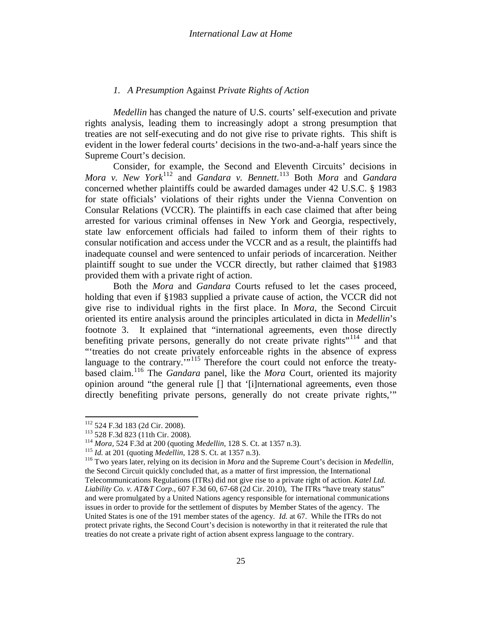### *1. A Presumption* Against *Private Rights of Action*

*Medellin* has changed the nature of U.S. courts' self-execution and private rights analysis, leading them to increasingly adopt a strong presumption that treaties are not self-executing and do not give rise to private rights. This shift is evident in the lower federal courts' decisions in the two-and-a-half years since the Supreme Court's decision.

Consider, for example, the Second and Eleventh Circuits' decisions in *Mora v. New York*[112](#page-23-4) and *Gandara v. Bennett*. [113](#page-24-0) Both *Mora* and *Gandara* concerned whether plaintiffs could be awarded damages under 42 U.S.C. § 1983 for state officials' violations of their rights under the Vienna Convention on Consular Relations (VCCR). The plaintiffs in each case claimed that after being arrested for various criminal offenses in New York and Georgia, respectively, state law enforcement officials had failed to inform them of their rights to consular notification and access under the VCCR and as a result, the plaintiffs had inadequate counsel and were sentenced to unfair periods of incarceration. Neither plaintiff sought to sue under the VCCR directly, but rather claimed that §1983 provided them with a private right of action.

Both the *Mora* and *Gandara* Courts refused to let the cases proceed, holding that even if §1983 supplied a private cause of action, the VCCR did not give rise to individual rights in the first place. In *Mora*, the Second Circuit oriented its entire analysis around the principles articulated in dicta in *Medellin*'s footnote 3. It explained that "international agreements, even those directly benefiting private persons, generally do not create private rights"<sup>[114](#page-24-1)</sup> and that "'treaties do not create privately enforceable rights in the absence of express language to the contrary. $\cdots$ <sup>[115](#page-24-2)</sup> Therefore the court could not enforce the treatybased claim.[116](#page-24-3) The *Gandara* panel, like the *Mora* Court, oriented its majority opinion around "the general rule [] that '[i]nternational agreements, even those directly benefiting private persons, generally do not create private rights,'"

<span id="page-24-1"></span><span id="page-24-0"></span>

<span id="page-24-3"></span><span id="page-24-2"></span>

<sup>&</sup>lt;sup>112</sup> 524 F.3d 183 (2d Cir. 2008).<br><sup>113</sup> 528 F.3d 823 (11th Cir. 2008).<br><sup>114</sup> *Mora*, 524 F.3d at 200 (quoting *Medellin*, 128 S. Ct. at 1357 n.3).<br><sup>115</sup> *Id.* at 201 (quoting *Medellin*, 128 S. Ct. at 1357 n.3).<br><sup>115</sup> Tw the Second Circuit quickly concluded that, as a matter of first impression, the International Telecommunications Regulations (ITRs) did not give rise to a private right of action. *Katel Ltd. Liability Co. v. AT&T Corp*., 607 F.3d 60, 67-68 (2d Cir. 2010), The ITRs "have treaty status" and were promulgated by a United Nations agency responsible for international communications issues in order to provide for the settlement of disputes by Member States of the agency. The United States is one of the 191 member states of the agency. *Id.* at 67. While the ITRs do not protect private rights, the Second Court's decision is noteworthy in that it reiterated the rule that treaties do not create a private right of action absent express language to the contrary.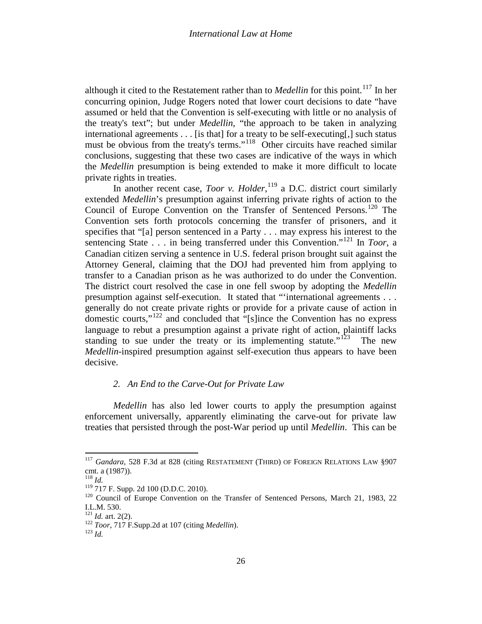although it cited to the Restatement rather than to *Medellin* for this point.<sup>[117](#page-24-3)</sup> In her concurring opinion, Judge Rogers noted that lower court decisions to date "have assumed or held that the Convention is self-executing with little or no analysis of the treaty's text"; but under *Medellin*, "the approach to be taken in analyzing international agreements . . . [is that] for a treaty to be self-executing[,] such status must be obvious from the treaty's terms."<sup>[118](#page-25-0)</sup> Other circuits have reached similar conclusions, suggesting that these two cases are indicative of the ways in which the *Medellin* presumption is being extended to make it more difficult to locate private rights in treaties.

In another recent case, *Toor v. Holder*,<sup>[119](#page-25-1)</sup> a D.C. district court similarly extended *Medellin*'s presumption against inferring private rights of action to the Council of Europe Convention on the Transfer of Sentenced Persons. [120](#page-25-2) The Convention sets forth protocols concerning the transfer of prisoners, and it specifies that "[a] person sentenced in a Party . . . may express his interest to the sentencing State  $\ldots$  in being transferred under this Convention.<sup>"[121](#page-25-3)</sup> In *Toor*, a Canadian citizen serving a sentence in U.S. federal prison brought suit against the Attorney General, claiming that the DOJ had prevented him from applying to transfer to a Canadian prison as he was authorized to do under the Convention. The district court resolved the case in one fell swoop by adopting the *Medellin* presumption against self-execution. It stated that "'international agreements . . . generally do not create private rights or provide for a private cause of action in domestic courts,"[122](#page-25-4) and concluded that "[s]ince the Convention has no express language to rebut a presumption against a private right of action, plaintiff lacks standing to sue under the treaty or its implementing statute."<sup>[123](#page-25-5)</sup> The new *Medellin*-inspired presumption against self-execution thus appears to have been decisive.

# *2. An End to the Carve-Out for Private Law*

<span id="page-25-6"></span>*Medellin* has also led lower courts to apply the presumption against enforcement universally, apparently eliminating the carve-out for private law treaties that persisted through the post-War period up until *Medellin*. This can be

<sup>&</sup>lt;sup>117</sup> *Gandara*, 528 F.3d at 828 (citing RESTATEMENT (THIRD) OF FOREIGN RELATIONS LAW §907 cmt. a (1987)).

<span id="page-25-0"></span><sup>&</sup>lt;sup>118</sup> *Id.*  $^{118}$  *Id.*  $^{119}$  717 F. Supp. 2d 100 (D.D.C. 2010).

<span id="page-25-2"></span><span id="page-25-1"></span> $120$  Council of Europe Convention on the Transfer of Sentenced Persons, March 21, 1983, 22 I.L.M. 530.<br> $^{121}$  *Id.* art. 2(2).

<span id="page-25-4"></span><span id="page-25-3"></span><sup>122</sup> *Toor*, 717 F.Supp.2d at 107 (citing *Medellin*).<br><sup>123</sup> *Id* 

<span id="page-25-5"></span>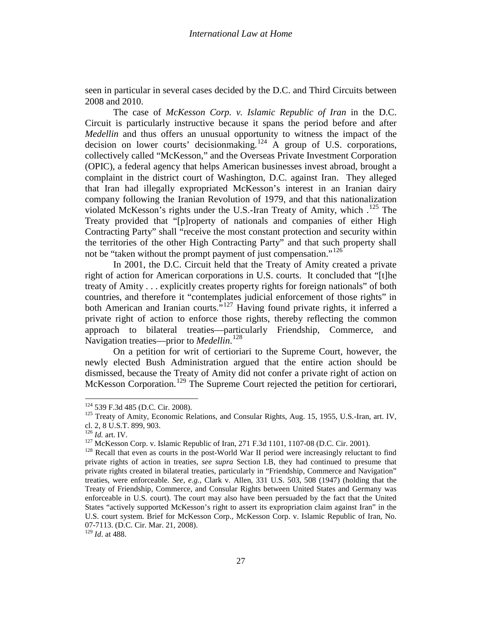seen in particular in several cases decided by the D.C. and Third Circuits between 2008 and 2010.

The case of *McKesson Corp. v. Islamic Republic of Iran* in the D.C. Circuit is particularly instructive because it spans the period before and after *Medellin* and thus offers an unusual opportunity to witness the impact of the decision on lower courts' decision making.<sup>[124](#page-25-6)</sup> A group of U.S. corporations, collectively called "McKesson," and the Overseas Private Investment Corporation (OPIC), a federal agency that helps American businesses invest abroad, brought a complaint in the district court of Washington, D.C. against Iran. They alleged that Iran had illegally expropriated McKesson's interest in an Iranian dairy company following the Iranian Revolution of 1979, and that this nationalization violated McKesson's rights under the U.S.-Iran Treaty of Amity, which .<sup>[125](#page-26-0)</sup> The Treaty provided that "[p]roperty of nationals and companies of either High Contracting Party" shall "receive the most constant protection and security within the territories of the other High Contracting Party" and that such property shall not be "taken without the prompt payment of just compensation."<sup>[126](#page-26-1)</sup>

In 2001, the D.C. Circuit held that the Treaty of Amity created a private right of action for American corporations in U.S. courts. It concluded that "[t]he treaty of Amity . . . explicitly creates property rights for foreign nationals" of both countries, and therefore it "contemplates judicial enforcement of those rights" in both American and Iranian courts."<sup>[127](#page-26-2)</sup> Having found private rights, it inferred a private right of action to enforce those rights, thereby reflecting the common approach to bilateral treaties—particularly Friendship, Commerce, and Navigation treaties—prior to *Medellin*. [128](#page-26-3)

On a petition for writ of certioriari to the Supreme Court, however, the newly elected Bush Administration argued that the entire action should be dismissed, because the Treaty of Amity did not confer a private right of action on McKesson Corporation.<sup>[129](#page-26-4)</sup> The Supreme Court rejected the petition for certiorari,

<span id="page-26-5"></span><span id="page-26-0"></span><sup>&</sup>lt;sup>124</sup> 539 F.3d 485 (D.C. Cir. 2008).<br><sup>125</sup> Treaty of Amity, Economic Relations, and Consular Rights, Aug. 15, 1955, U.S.-Iran, art. IV, cl. 2, 8 U.S.T. 899, 903.

<span id="page-26-1"></span><sup>&</sup>lt;sup>126</sup> *Id.* art. IV.<br><sup>127</sup> McKesson Corp. v. Islamic Republic of Iran, 271 F.3d 1101, 1107-08 (D.C. Cir. 2001).<br><sup>128</sup> Recall that even as courts in the post-World War II period were increasingly reluctant to find

<span id="page-26-3"></span><span id="page-26-2"></span>private rights of action in treaties*, see supra* Section I.B, they had continued to presume that private rights created in bilateral treaties, particularly in "Friendship, Commerce and Navigation" treaties, were enforceable. *See, e.g.,* Clark v. Allen, 331 U.S. 503, 508 (1947) (holding that the Treaty of Friendship, Commerce, and Consular Rights between United States and Germany was enforceable in U.S. court). The court may also have been persuaded by the fact that the United States "actively supported McKesson's right to assert its expropriation claim against Iran" in the U.S. court system. Brief for McKesson Corp., McKesson Corp. v. Islamic Republic of Iran, No. 07-7113. (D.C. Cir. Mar. 21, 2008). <sup>129</sup> *Id*. at 488.

<span id="page-26-4"></span>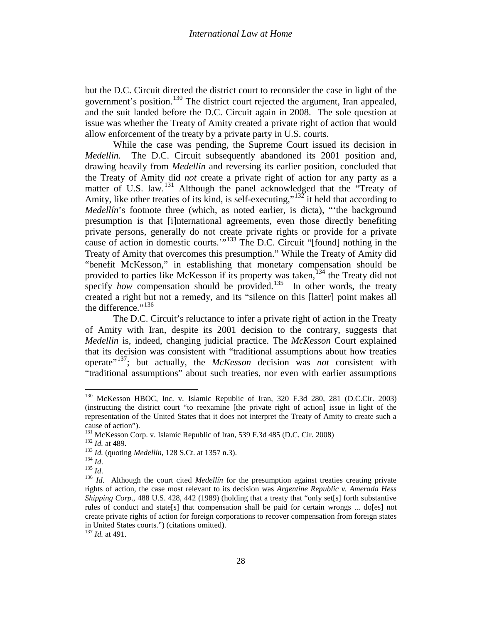but the D.C. Circuit directed the district court to reconsider the case in light of the government's position.[130](#page-26-5) The district court rejected the argument, Iran appealed, and the suit landed before the D.C. Circuit again in 2008. The sole question at issue was whether the Treaty of Amity created a private right of action that would allow enforcement of the treaty by a private party in U.S. courts.

While the case was pending, the Supreme Court issued its decision in *Medellin*. The D.C. Circuit subsequently abandoned its 2001 position and, drawing heavily from *Medellin* and reversing its earlier position, concluded that the Treaty of Amity did *not* create a private right of action for any party as a matter of U.S. law.<sup>[131](#page-27-0)</sup> Although the panel acknowledged that the "Treaty of Amity, like other treaties of its kind, is self-executing," $132$  it held that according to *Medellín*'s footnote three (which, as noted earlier, is dicta), "the background presumption is that [i]nternational agreements, even those directly benefiting private persons, generally do not create private rights or provide for a private cause of action in domestic courts. $1.33$  The D.C. Circuit "[found] nothing in the Treaty of Amity that overcomes this presumption." While the Treaty of Amity did "benefit McKesson," in establishing that monetary compensation should be provided to parties like McKesson if its property was taken,<sup>[134](#page-27-3)</sup> the Treaty did not specify *how* compensation should be provided.<sup>[135](#page-27-4)</sup> In other words, the treaty created a right but not a remedy, and its "silence on this [latter] point makes all the difference." $^{136}$  $^{136}$  $^{136}$ 

The D.C. Circuit's reluctance to infer a private right of action in the Treaty of Amity with Iran, despite its 2001 decision to the contrary, suggests that *Medellin* is, indeed, changing judicial practice. The *McKesson* Court explained that its decision was consistent with "traditional assumptions about how treaties operate"[137](#page-27-6); but actually, the *McKesson* decision was *not* consistent with "traditional assumptions" about such treaties, nor even with earlier assumptions

<span id="page-27-7"></span><sup>130</sup> McKesson HBOC, Inc. v. Islamic Republic of Iran, 320 F.3d 280, 281 (D.C.Cir. 2003) (instructing the district court "to reexamine [the private right of action] issue in light of the representation of the United States that it does not interpret the Treaty of Amity to create such a cause of action").<br><sup>131</sup> McKesson Corp. v. Islamic Republic of Iran, 539 F.3d 485 (D.C. Cir. 2008)

<span id="page-27-3"></span><span id="page-27-2"></span>

<span id="page-27-5"></span><span id="page-27-4"></span>

<span id="page-27-1"></span><span id="page-27-0"></span><sup>&</sup>lt;sup>132</sup> *Id.* at 489.<br>
<sup>133</sup> *Id.* (quoting *Medellín*, 128 S.Ct. at 1357 n.3).<br>
<sup>134</sup> *Id.*<br>
<sup>135</sup> *Id.*<br>
<sup>136</sup> *Id.* Although the court cited *Medellín* for the presumption against treaties creating private rights of action, the case most relevant to its decision was *Argentine Republic v. Amerada Hess Shipping Corp*., 488 U.S. 428, 442 (1989) (holding that a treaty that "only set[s] forth substantive rules of conduct and state[s] that compensation shall be paid for certain wrongs ... do[es] not create private rights of action for foreign corporations to recover compensation from foreign states in United States courts.") (citations omitted).

<span id="page-27-6"></span><sup>137</sup> *Id.* at 491.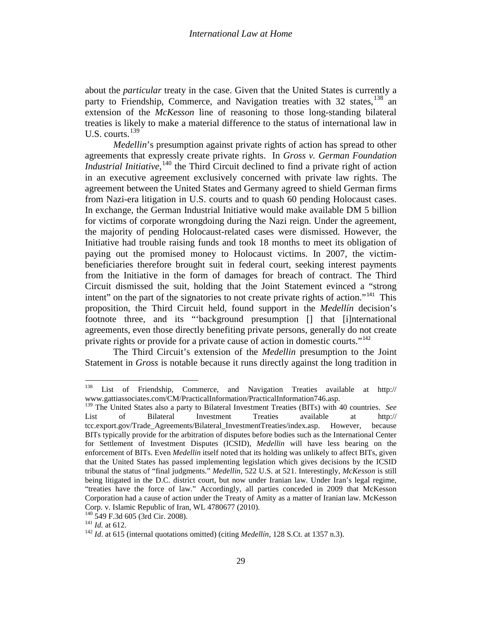about the *particular* treaty in the case. Given that the United States is currently a party to Friendship, Commerce, and Navigation treaties with 32 states,  $^{138}$  $^{138}$  $^{138}$  an extension of the *McKesson* line of reasoning to those long-standing bilateral treaties is likely to make a material difference to the status of international law in U.S. courts.<sup>[139](#page-28-0)</sup>

*Medellin*'s presumption against private rights of action has spread to other agreements that expressly create private rights. In *Gross v. German Foundation Industrial Initiative*,<sup>[140](#page-28-1)</sup> the Third Circuit declined to find a private right of action in an executive agreement exclusively concerned with private law rights. The agreement between the United States and Germany agreed to shield German firms from Nazi-era litigation in U.S. courts and to quash 60 pending Holocaust cases. In exchange, the German Industrial Initiative would make available DM 5 billion for victims of corporate wrongdoing during the Nazi reign. Under the agreement, the majority of pending Holocaust-related cases were dismissed. However, the Initiative had trouble raising funds and took 18 months to meet its obligation of paying out the promised money to Holocaust victims. In 2007, the victimbeneficiaries therefore brought suit in federal court, seeking interest payments from the Initiative in the form of damages for breach of contract. The Third Circuit dismissed the suit, holding that the Joint Statement evinced a "strong intent" on the part of the signatories to not create private rights of action."<sup>[141](#page-28-2)</sup> This proposition, the Third Circuit held, found support in the *Medellín* decision's footnote three, and its "'background presumption [] that [i]nternational agreements, even those directly benefiting private persons, generally do not create private rights or provide for a private cause of action in domestic courts."<sup>[142](#page-28-3)</sup>

The Third Circuit's extension of the *Medellin* presumption to the Joint Statement in *Gross* is notable because it runs directly against the long tradition in

<sup>138</sup> List of Friendship, Commerce, and Navigation Treaties available at http:// www.gattiassociates.com/CM/PracticalInformation/PracticalInformation746.asp.

<span id="page-28-4"></span><span id="page-28-0"></span><sup>&</sup>lt;sup>139</sup> The United States also a party to Bilateral Investment Treaties (BITs) with 40 countries. *See* List of Bilateral Investment Treaties available at http:// List of Bilateral Investment Treaties available at http:// tcc.export.gov/Trade\_Agreements/Bilateral\_InvestmentTreaties/index.asp. However, because BITs typically provide for the arbitration of disputes before bodies such as the International Center for Settlement of Investment Disputes (ICSID), *Medellin* will have less bearing on the enforcement of BITs. Even *Medellin* itself noted that its holding was unlikely to affect BITs, given that the United States has passed implementing legislation which gives decisions by the ICSID tribunal the status of "final judgments." *Medellin*, 522 U.S. at 521. Interestingly, *McKesson* is still being litigated in the D.C. district court, but now under Iranian law. Under Iran's legal regime, "treaties have the force of law." Accordingly, all parties conceded in 2009 that McKesson Corporation had a cause of action under the Treaty of Amity as a matter of Iranian law. McKesson

<span id="page-28-3"></span><span id="page-28-2"></span>

<span id="page-28-1"></span><sup>&</sup>lt;sup>140</sup> 549 F.3d 605 (3rd Cir. 2008). <sup>141</sup> *Id.* at 612. <sup>142</sup> *Id.* at 615 (internal quotations omitted) (citing *Medellín*, 128 S.Ct. at 1357 n.3).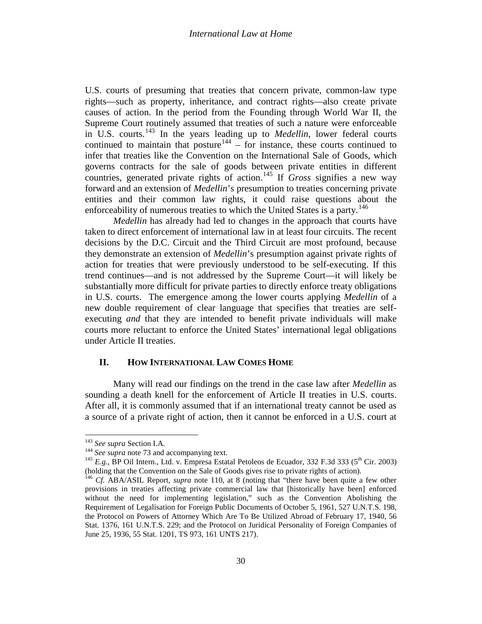U.S. courts of presuming that treaties that concern private, common-law type rights—such as property, inheritance, and contract rights—also create private causes of action. In the period from the Founding through World War II, the Supreme Court routinely assumed that treaties of such a nature were enforceable in U.S. courts. [143](#page-28-4) In the years leading up to *Medellin*, lower federal courts continued to maintain that posture  $144 - 6$  $144 - 6$  instance, these courts continued to infer that treaties like the Convention on the International Sale of Goods, which governs contracts for the sale of goods between private entities in different countries, generated private rights of action.<sup>[145](#page-29-1)</sup> If *Gross* signifies a new way forward and an extension of *Medellin*'s presumption to treaties concerning private entities and their common law rights, it could raise questions about the enforceability of numerous treaties to which the United States is a party.<sup>[146](#page-29-2)</sup>

*Medellin* has already had led to changes in the approach that courts have taken to direct enforcement of international law in at least four circuits. The recent decisions by the D.C. Circuit and the Third Circuit are most profound, because they demonstrate an extension of *Medellin*'s presumption against private rights of action for treaties that were previously understood to be self-executing. If this trend continues—and is not addressed by the Supreme Court—it will likely be substantially more difficult for private parties to directly enforce treaty obligations in U.S. courts. The emergence among the lower courts applying *Medellin* of a new double requirement of clear language that specifies that treaties are selfexecuting *and* that they are intended to benefit private individuals will make courts more reluctant to enforce the United States' international legal obligations under Article II treaties.

### **II. HOW INTERNATIONAL LAW COMES HOME**

Many will read our findings on the trend in the case law after *Medellin* as sounding a death knell for the enforcement of Article II treaties in U.S. courts. After all, it is commonly assumed that if an international treaty cannot be used as a source of a private right of action, then it cannot be enforced in a U.S. court at

<span id="page-29-1"></span><span id="page-29-0"></span>

<sup>&</sup>lt;sup>143</sup> *See supra* Section I.A.<br><sup>144</sup> *See supra* not[e 73](#page-15-5) and accompanying text.<br><sup>145</sup> *E.g.*, BP Oil Intern., Ltd. v. Empresa Estatal Petoleos de Ecuador, 332 F.3d 333 (5<sup>th</sup> Cir. 2003) (holding that the Convention on the Sale of Goods gives rise to private rights of action).

<span id="page-29-2"></span><sup>146</sup> *Cf.* ABA/ASIL Report, *supra* note [110,](#page-23-5) at 8 (noting that "there have been quite a few other provisions in treaties affecting private commercial law that [historically have been] enforced without the need for implementing legislation," such as the Convention Abolishing the Requirement of Legalisation for Foreign Public Documents of October 5, 1961, 527 U.N.T.S. 198, the Protocol on Powers of Attorney Which Are To Be Utilized Abroad of February 17, 1940, 56 Stat. 1376, 161 U.N.T.S. 229; and the Protocol on Juridical Personality of Foreign Companies of June 25, 1936, 55 Stat. 1201, TS 973, 161 UNTS 217).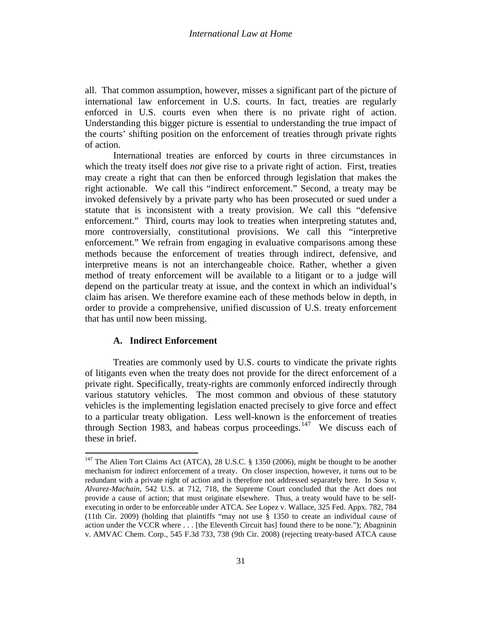all. That common assumption, however, misses a significant part of the picture of international law enforcement in U.S. courts. In fact, treaties are regularly enforced in U.S. courts even when there is no private right of action. Understanding this bigger picture is essential to understanding the true impact of the courts' shifting position on the enforcement of treaties through private rights of action.

International treaties are enforced by courts in three circumstances in which the treaty itself does *not* give rise to a private right of action. First, treaties may create a right that can then be enforced through legislation that makes the right actionable. We call this "indirect enforcement." Second, a treaty may be invoked defensively by a private party who has been prosecuted or sued under a statute that is inconsistent with a treaty provision. We call this "defensive enforcement." Third, courts may look to treaties when interpreting statutes and, more controversially, constitutional provisions. We call this "interpretive enforcement." We refrain from engaging in evaluative comparisons among these methods because the enforcement of treaties through indirect, defensive, and interpretive means is not an interchangeable choice. Rather, whether a given method of treaty enforcement will be available to a litigant or to a judge will depend on the particular treaty at issue, and the context in which an individual's claim has arisen. We therefore examine each of these methods below in depth, in order to provide a comprehensive, unified discussion of U.S. treaty enforcement that has until now been missing.

# **A. Indirect Enforcement**

<span id="page-30-0"></span>Treaties are commonly used by U.S. courts to vindicate the private rights of litigants even when the treaty does not provide for the direct enforcement of a private right. Specifically, treaty-rights are commonly enforced indirectly through various statutory vehicles. The most common and obvious of these statutory vehicles is the implementing legislation enacted precisely to give force and effect to a particular treaty obligation. Less well-known is the enforcement of treaties through Section 1983, and habeas corpus proceedings.<sup>[147](#page-29-1)</sup> We discuss each of these in brief.

<sup>&</sup>lt;sup>147</sup> The Alien Tort Claims Act (ATCA), 28 U.S.C. § 1350 (2006), might be thought to be another mechanism for indirect enforcement of a treaty. On closer inspection, however, it turns out to be redundant with a private right of action and is therefore not addressed separately here. In *Sosa v. Alvarez-Machain*, 542 U.S. at 712, 718, the Supreme Court concluded that the Act does not provide a cause of action; that must originate elsewhere. Thus, a treaty would have to be selfexecuting in order to be enforceable under ATCA. *See* Lopez v. Wallace, 325 Fed. Appx. 782, 784 (11th Cir. 2009) (holding that plaintiffs "may not use § 1350 to create an individual cause of action under the VCCR where . . . [the Eleventh Circuit has] found there to be none."); Abagninin v. AMVAC Chem. Corp., 545 F.3d 733, 738 (9th Cir. 2008) (rejecting treaty-based ATCA cause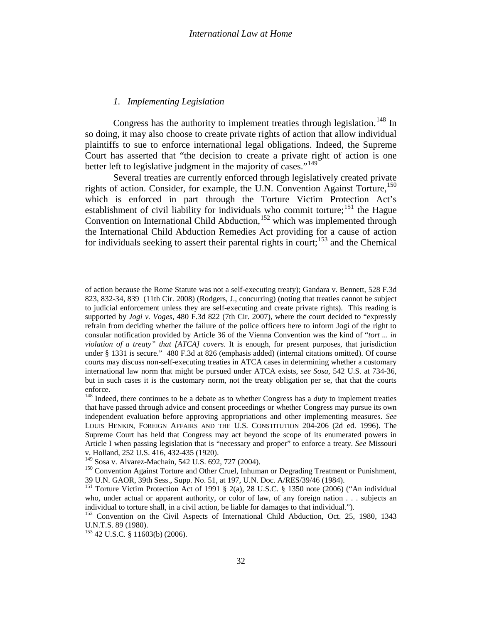# <span id="page-31-6"></span>*1. Implementing Legislation*

Congress has the authority to implement treaties through legislation.<sup>[148](#page-30-0)</sup> In so doing, it may also choose to create private rights of action that allow individual plaintiffs to sue to enforce international legal obligations. Indeed, the Supreme Court has asserted that "the decision to create a private right of action is one better left to legislative judgment in the majority of cases."<sup>[149](#page-31-0)</sup>

Several treaties are currently enforced through legislatively created private rights of action. Consider, for example, the U.N. Convention Against Torture, [150](#page-31-1) which is enforced in part through the Torture Victim Protection Act's establishment of civil liability for individuals who commit torture;<sup>[151](#page-31-2)</sup> the Hague Convention on International Child Abduction,<sup>[152](#page-31-3)</sup> which was implemented through the International Child Abduction Remedies Act providing for a cause of action for individuals seeking to assert their parental rights in court;<sup>[153](#page-31-4)</sup> and the Chemical

l

of action because the Rome Statute was not a self-executing treaty); Gandara v. Bennett, 528 F.3d 823, 832-34, 839 (11th Cir. 2008) (Rodgers, J., concurring) (noting that treaties cannot be subject to judicial enforcement unless they are self-executing and create private rights). This reading is supported by *Jogi v. Voges*, 480 F.3d 822 (7th Cir. 2007), where the court decided to "expressly refrain from deciding whether the failure of the police officers here to inform Jogi of the right to consular notification provided by Article 36 of the Vienna Convention was the kind of "*tort ... in violation of a treaty" that [ATCA] covers*. It is enough, for present purposes, that jurisdiction under § 1331 is secure." 480 F.3d at 826 (emphasis added) (internal citations omitted). Of course courts may discuss non-self-executing treaties in ATCA cases in determining whether a customary international law norm that might be pursued under ATCA exists, s*ee Sosa,* 542 U.S. at 734-36, but in such cases it is the customary norm, not the treaty obligation per se, that that the courts enforce.

<span id="page-31-5"></span><sup>148</sup> Indeed, there continues to be a debate as to whether Congress has a *duty* to implement treaties that have passed through advice and consent proceedings or whether Congress may pursue its own independent evaluation before approving appropriations and other implementing measures. *See*  LOUIS HENKIN, FOREIGN AFFAIRS AND THE U.S. CONSTITUTION 204-206 (2d ed. 1996). The Supreme Court has held that Congress may act beyond the scope of its enumerated powers in Article I when passing legislation that is "necessary and proper" to enforce a treaty. *See* Missouri

<span id="page-31-1"></span><span id="page-31-0"></span>

v. Holland, 252 U.S. 416, 432-435 (1920).<br><sup>149</sup> Sosa v. Alvarez-Machain, 542 U.S. 692, 727 (2004).<br><sup>150</sup> Convention Against Torture and Other Cruel, Inhuman or Degrading Treatment or Punishment, 39 U.N. GAOR, 39th Sess., Supp. No. 51, at 197, U.N. Doc. A/RES/39/46 (1984).

<span id="page-31-2"></span><sup>&</sup>lt;sup>151</sup> Torture Victim Protection Act of 1991 § 2(a), 28 U.S.C. § 1350 note (2006) ("An individual who, under actual or apparent authority, or color of law, of any foreign nation . . . subjects an individual to torture shall, in a civil action, be liable for damages to that individual.").

<span id="page-31-3"></span><sup>&</sup>lt;sup>152</sup> Convention on the Civil Aspects of International Child Abduction, Oct. 25, 1980, 1343 U.N.T.S. 89 (1980).

<span id="page-31-4"></span><sup>153</sup> 42 U.S.C. § 11603(b) (2006).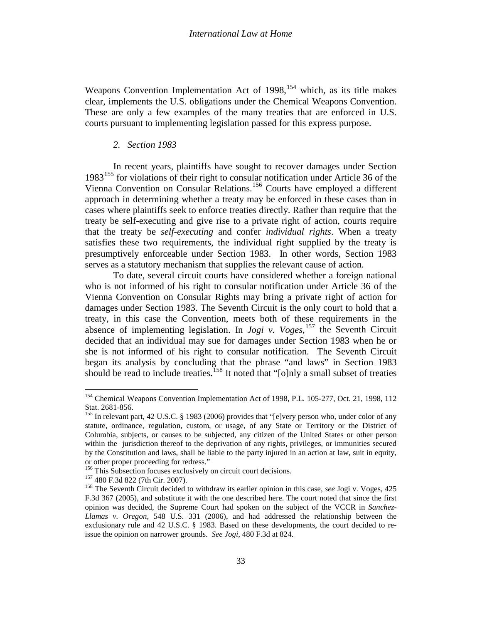Weapons Convention Implementation Act of  $1998$ ,  $154$  which, as its title makes clear, implements the U.S. obligations under the Chemical Weapons Convention. These are only a few examples of the many treaties that are enforced in U.S. courts pursuant to implementing legislation passed for this express purpose.

### *2. Section 1983*

In recent years, plaintiffs have sought to recover damages under Section 1983<sup>[155](#page-32-0)</sup> for violations of their right to consular notification under Article 36 of the Vienna Convention on Consular Relations.[156](#page-32-1) Courts have employed a different approach in determining whether a treaty may be enforced in these cases than in cases where plaintiffs seek to enforce treaties directly. Rather than require that the treaty be self-executing and give rise to a private right of action, courts require that the treaty be *self-executing* and confer *individual rights*. When a treaty satisfies these two requirements, the individual right supplied by the treaty is presumptively enforceable under Section 1983. In other words, Section 1983 serves as a statutory mechanism that supplies the relevant cause of action.

To date, several circuit courts have considered whether a foreign national who is not informed of his right to consular notification under Article 36 of the Vienna Convention on Consular Rights may bring a private right of action for damages under Section 1983. The Seventh Circuit is the only court to hold that a treaty, in this case the Convention, meets both of these requirements in the absence of implementing legislation. In *Jogi v. Voges,* [157](#page-32-2) the Seventh Circuit decided that an individual may sue for damages under Section 1983 when he or she is not informed of his right to consular notification. The Seventh Circuit began its analysis by concluding that the phrase "and laws" in Section 1983 should be read to include treaties.<sup>[158](#page-32-3)</sup> It noted that "[o]nly a small subset of treaties

<sup>&</sup>lt;sup>154</sup> Chemical Weapons Convention Implementation Act of 1998, P.L. 105-277, Oct. 21, 1998, 112 Stat. 2681-856.<br><sup>155</sup> In relevant part, 42 U.S.C. § 1983 (2006) provides that "[e]very person who, under color of any

<span id="page-32-4"></span><span id="page-32-0"></span>statute, ordinance, regulation, custom, or usage, of any State or Territory or the District of Columbia, subjects, or causes to be subjected, any citizen of the United States or other person within the jurisdiction thereof to the deprivation of any rights, privileges, or immunities secured by the Constitution and laws, shall be liable to the party injured in an action at law, suit in equity, or other proper proceeding for redress."<br><sup>156</sup> This Subsection focuses exclusively on circuit court decisions.

<span id="page-32-2"></span><span id="page-32-1"></span>

<span id="page-32-3"></span>

<sup>&</sup>lt;sup>157</sup> 480 F.3d 822 (7th Cir. 2007).<br><sup>158</sup> The Seventh Circuit decided to withdraw its earlier opinion in this case, *see* Jogi v. Voges, 425 F.3d 367 (2005), and substitute it with the one described here. The court noted that since the first opinion was decided, the Supreme Court had spoken on the subject of the VCCR in *Sanchez-Llamas v. Oregon*, 548 U.S. 331 (2006), and had addressed the relationship between the exclusionary rule and 42 U.S.C. § 1983. Based on these developments, the court decided to reissue the opinion on narrower grounds. *See Jogi*, 480 F.3d at 824.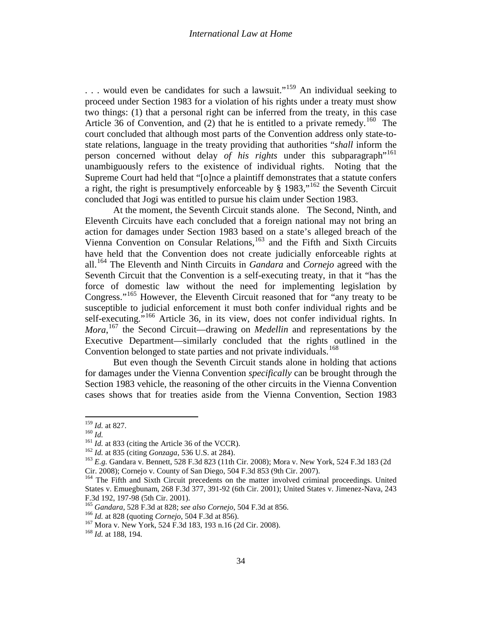... would even be candidates for such a lawsuit."<sup>[159](#page-32-4)</sup> An individual seeking to proceed under Section 1983 for a violation of his rights under a treaty must show two things: (1) that a personal right can be inferred from the treaty, in this case Article 36 of Convention, and (2) that he is entitled to a private remedy.<sup>160</sup> The court concluded that although most parts of the Convention address only state-tostate relations, language in the treaty providing that authorities "*shall* inform the person concerned without delay *of his rights* under this subparagraph<sup>"[161](#page-33-1)</sup> unambiguously refers to the existence of individual rights. Noting that the Supreme Court had held that "[o]nce a plaintiff demonstrates that a statute confers a right, the right is presumptively enforceable by  $\S$  1983,"<sup>[162](#page-33-2)</sup> the Seventh Circuit concluded that Jogi was entitled to pursue his claim under Section 1983.

At the moment, the Seventh Circuit stands alone. The Second, Ninth, and Eleventh Circuits have each concluded that a foreign national may not bring an action for damages under Section 1983 based on a state's alleged breach of the Vienna Convention on Consular Relations, [163](#page-33-3) and the Fifth and Sixth Circuits have held that the Convention does not create judicially enforceable rights at all.[164](#page-33-4) The Eleventh and Ninth Circuits in *Gandara* and *Cornejo* agreed with the Seventh Circuit that the Convention is a self-executing treaty, in that it "has the force of domestic law without the need for implementing legislation by Congress."<sup>[165](#page-33-5)</sup> However, the Eleventh Circuit reasoned that for "any treaty to be susceptible to judicial enforcement it must both confer individual rights and be self-executing."<sup>[166](#page-33-6)</sup> Article 36, in its view, does not confer individual rights. In *Mora*, [167](#page-33-7) the Second Circuit—drawing on *Medellin* and representations by the Executive Department—similarly concluded that the rights outlined in the Convention belonged to state parties and not private individuals.<sup>[168](#page-33-8)</sup>

<span id="page-33-9"></span>But even though the Seventh Circuit stands alone in holding that actions for damages under the Vienna Convention *specifically* can be brought through the Section 1983 vehicle, the reasoning of the other circuits in the Vienna Convention cases shows that for treaties aside from the Vienna Convention, Section 1983

<span id="page-33-2"></span><span id="page-33-1"></span>

<span id="page-33-3"></span>

<span id="page-33-0"></span><sup>&</sup>lt;sup>159</sup> *Id.* at 827.<br>
<sup>160</sup> *Id.*<br>
<sup>161</sup> *Id.* at 833 (citing the Article 36 of the VCCR).<br>
<sup>162</sup> *Id.* at 835 (citing *Gonzaga*, 536 U.S. at 284).<br>
<sup>162</sup> *E.g.* Gandara v. Bennett, 528 F.3d 823 (11th Cir. 2008); Mora v. N

<span id="page-33-4"></span><sup>&</sup>lt;sup>164</sup> The Fifth and Sixth Circuit precedents on the matter involved criminal proceedings. United States v. Emuegbunam, 268 F.3d 377, 391-92 (6th Cir. 2001); United States v. Jimenez-Nava, 243

<span id="page-33-6"></span><span id="page-33-5"></span><sup>&</sup>lt;sup>165</sup> Gandara, 528 F.3d at 828; see also Cornejo, 504 F.3d at 856.<br><sup>166</sup> Id. at 828 (quoting Cornejo, 504 F.3d at 856).<br><sup>167</sup> Mora v. New York, 524 F.3d 183, 193 n.16 (2d Cir. 2008).<br><sup>168</sup> Id. at 188, 194.

<span id="page-33-8"></span><span id="page-33-7"></span>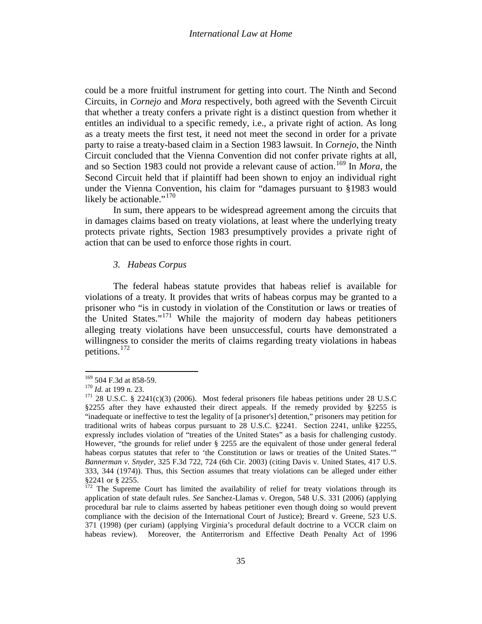could be a more fruitful instrument for getting into court. The Ninth and Second Circuits, in *Cornejo* and *Mora* respectively, both agreed with the Seventh Circuit that whether a treaty confers a private right is a distinct question from whether it entitles an individual to a specific remedy, i.e., a private right of action. As long as a treaty meets the first test, it need not meet the second in order for a private party to raise a treaty-based claim in a Section 1983 lawsuit. In *Cornejo*, the Ninth Circuit concluded that the Vienna Convention did not confer private rights at all, and so Section 1983 could not provide a relevant cause of action.[169](#page-33-9) In *Mora*, the Second Circuit held that if plaintiff had been shown to enjoy an individual right under the Vienna Convention, his claim for "damages pursuant to §1983 would likely be actionable." $170$ 

In sum, there appears to be widespread agreement among the circuits that in damages claims based on treaty violations, at least where the underlying treaty protects private rights, Section 1983 presumptively provides a private right of action that can be used to enforce those rights in court.

# *3. Habeas Corpus*

The federal habeas statute provides that habeas relief is available for violations of a treaty. It provides that writs of habeas corpus may be granted to a prisoner who "is in custody in violation of the Constitution or laws or treaties of the United States."[171](#page-34-1) While the majority of modern day habeas petitioners alleging treaty violations have been unsuccessful, courts have demonstrated a willingness to consider the merits of claims regarding treaty violations in habeas petitions.[172](#page-34-2)

<span id="page-34-1"></span>

<span id="page-34-3"></span><span id="page-34-0"></span><sup>&</sup>lt;sup>169</sup> 504 F.3d at 858-59.<br><sup>170</sup> *Id.* at 199 n. 23.<br><sup>171</sup> 28 U.S.C. § 2241(c)(3) (2006). Most federal prisoners file habeas petitions under 28 U.S.C §2255 after they have exhausted their direct appeals. If the remedy provided by §2255 is "inadequate or ineffective to test the legality of [a prisoner's] detention," prisoners may petition for traditional writs of habeas corpus pursuant to 28 U.S.C. §2241. Section 2241, unlike §2255, expressly includes violation of "treaties of the United States" as a basis for challenging custody. However, "the grounds for relief under § 2255 are the equivalent of those under general federal habeas corpus statutes that refer to 'the Constitution or laws or treaties of the United States.'" *Bannerman v. Snyder,* 325 F.3d 722, 724 (6th Cir. 2003) (citing Davis v. United States, 417 U.S. 333, 344 (1974)). Thus, this Section assumes that treaty violations can be alleged under either §2241 or § 2255.

<span id="page-34-2"></span><sup>&</sup>lt;sup>172</sup> The Supreme Court has limited the availability of relief for treaty violations through its application of state default rules. *See* Sanchez-Llamas v. Oregon, 548 U.S. 331 (2006) (applying procedural bar rule to claims asserted by habeas petitioner even though doing so would prevent compliance with the decision of the International Court of Justice); Breard v. Greene, 523 U.S. 371 (1998) (per curiam) (applying Virginia's procedural default doctrine to a VCCR claim on habeas review). Moreover, the Antiterrorism and Effective Death Penalty Act of 1996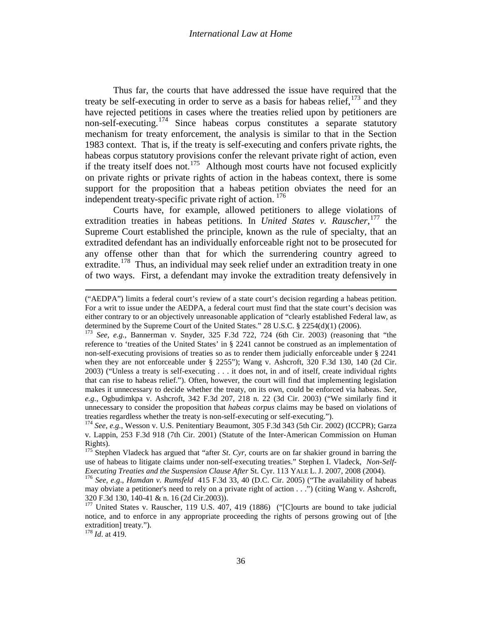Thus far, the courts that have addressed the issue have required that the treaty be self-executing in order to serve as a basis for habeas relief, <sup>[173](#page-34-3)</sup> and they have rejected petitions in cases where the treaties relied upon by petitioners are non-self-executing.[174](#page-35-0) Since habeas corpus constitutes a separate statutory mechanism for treaty enforcement, the analysis is similar to that in the Section 1983 context. That is, if the treaty is self-executing and confers private rights, the habeas corpus statutory provisions confer the relevant private right of action, even if the treaty itself does not.<sup>[175](#page-35-1)</sup> Although most courts have not focused explicitly on private rights or private rights of action in the habeas context, there is some support for the proposition that a habeas petition obviates the need for an independent treaty-specific private right of action. <sup>[176](#page-35-2)</sup>

Courts have, for example, allowed petitioners to allege violations of extradition treaties in habeas petitions. In *United States v. Rauscher*,<sup>[177](#page-35-3)</sup> the Supreme Court established the principle, known as the rule of specialty, that an extradited defendant has an individually enforceable right not to be prosecuted for any offense other than that for which the surrendering country agreed to extradite.<sup>178</sup> Thus, an individual may seek relief under an extradition treaty in one of two ways. First, a defendant may invoke the extradition treaty defensively in

 $\overline{\phantom{a}}$ 

<sup>(&</sup>quot;AEDPA") limits a federal court's review of a state court's decision regarding a habeas petition. For a writ to issue under the AEDPA, a federal court must find that the state court's decision was either contrary to or an objectively unreasonable application of "clearly established Federal law, as determined by the Supreme Court of the United States." 28 U.S.C. § 2254(d)(1) (2006).

<sup>&</sup>lt;sup>173</sup> See, e.g., Bannerman v. Snyder, 325 F.3d 722, 724 (6th Cir. 2003) (reasoning that "the reference to 'treaties of the United States' in § 2241 cannot be construed as an implementation of non-self-executing provisions of treaties so as to render them judicially enforceable under § 2241 when they are not enforceable under § 2255"); Wang v. Ashcroft, 320 F.3d 130, 140 (2d Cir. 2003) ("Unless a treaty is self-executing . . . it does not, in and of itself, create individual rights that can rise to habeas relief."). Often, however, the court will find that implementing legislation makes it unnecessary to decide whether the treaty, on its own, could be enforced via habeas. *See, e.g.*, Ogbudimkpa v. Ashcroft, 342 F.3d 207, 218 n. 22 (3d Cir. 2003) ("We similarly find it unnecessary to consider the proposition that *habeas corpus* claims may be based on violations of treaties regardless whether the treaty is non-self-executing or self-executing.").

<span id="page-35-5"></span><span id="page-35-0"></span><sup>&</sup>lt;sup>174</sup> See, e.g., Wesson v. U.S. Penitentiary Beaumont, 305 F.3d 343 (5th Cir. 2002) (ICCPR); Garza v. Lappin, 253 F.3d 918 (7th Cir. 2001) (Statute of the Inter-American Commission on Human Rights).

<span id="page-35-1"></span><sup>&</sup>lt;sup>175</sup> Stephen Vladeck has argued that "after *St. Cyr*, courts are on far shakier ground in barring the use of habeas to litigate claims under non-self-executing treaties." Stephen I. Vladeck, *Non-Self-*<br>*Executing Treaties and the Suspension Clause After St. Cyr. 113 YALE L. J. 2007, 2008 (2004).* 

<span id="page-35-2"></span><sup>&</sup>lt;sup>176</sup> See, e.g., *Hamdan v. Rumsfeld* 415 F.3d 33, 40 (D.C. Cir. 2005) ("The availability of habeas may obviate a petitioner's need to rely on a private right of action . . .") (citing Wang v. Ashcroft,  $320$  F.3d 130, 140-41 & n. 16 (2d Cir.2003)).

<span id="page-35-3"></span> $177$  United States v. Rauscher, 119 U.S. 407, 419 (1886) ("[C]ourts are bound to take judicial notice, and to enforce in any appropriate proceeding the rights of persons growing out of [the extradition] treaty.").

<span id="page-35-4"></span><sup>178</sup> *Id*. at 419.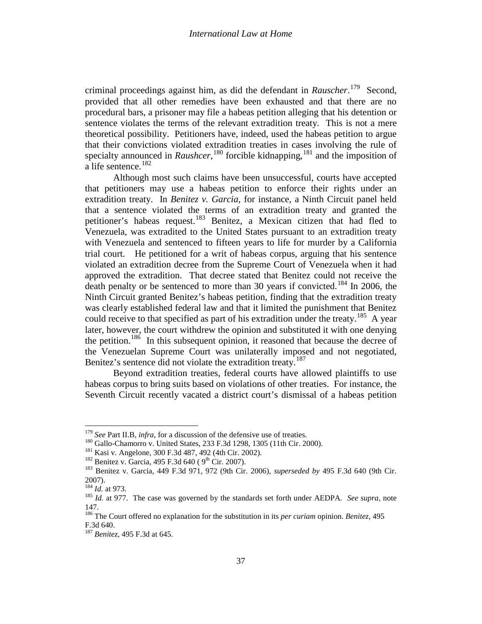criminal proceedings against him, as did the defendant in *Rauscher*. [179](#page-35-5) Second, provided that all other remedies have been exhausted and that there are no procedural bars, a prisoner may file a habeas petition alleging that his detention or sentence violates the terms of the relevant extradition treaty. This is not a mere theoretical possibility. Petitioners have, indeed, used the habeas petition to argue that their convictions violated extradition treaties in cases involving the rule of specialty announced in *Raushcer*,<sup>[180](#page-36-0)</sup> forcible kidnapping,<sup>[181](#page-36-1)</sup> and the imposition of a life sentence.<sup>[182](#page-36-2)</sup>

Although most such claims have been unsuccessful, courts have accepted that petitioners may use a habeas petition to enforce their rights under an extradition treaty. In *Benitez v. Garcia*, for instance, a Ninth Circuit panel held that a sentence violated the terms of an extradition treaty and granted the petitioner's habeas request.<sup>[183](#page-36-3)</sup> Benitez, a Mexican citizen that had fled to Venezuela, was extradited to the United States pursuant to an extradition treaty with Venezuela and sentenced to fifteen years to life for murder by a California trial court. He petitioned for a writ of habeas corpus, arguing that his sentence violated an extradition decree from the Supreme Court of Venezuela when it had approved the extradition. That decree stated that Benitez could not receive the death penalty or be sentenced to more than 30 years if convicted.<sup>[184](#page-36-4)</sup> In 2006, the Ninth Circuit granted Benitez's habeas petition, finding that the extradition treaty was clearly established federal law and that it limited the punishment that Benitez could receive to that specified as part of his extradition under the treaty.<sup>185</sup> A year later, however, the court withdrew the opinion and substituted it with one denying the petition.<sup>186</sup> In this subsequent opinion, it reasoned that because the decree of the Venezuelan Supreme Court was unilaterally imposed and not negotiated, Benitez's sentence did not violate the extradition treaty.<sup>187</sup>

Beyond extradition treaties, federal courts have allowed plaintiffs to use habeas corpus to bring suits based on violations of other treaties. For instance, the Seventh Circuit recently vacated a district court's dismissal of a habeas petition

<span id="page-36-1"></span>

<span id="page-36-3"></span><span id="page-36-2"></span>

<span id="page-36-8"></span><span id="page-36-0"></span><sup>&</sup>lt;sup>179</sup> See Part II.B, *infra*, for a discussion of the defensive use of treaties.<br><sup>180</sup> Gallo-Chamorro v. United States, 233 F.3d 1298, 1305 (11th Cir. 2000).<br><sup>181</sup> Kasi v. Angelone, 300 F.3d 487, 492 (4th Cir. 2002).<br><sup>182</sup>  $2007$ ).<br><sup>184</sup> *Id.* at 973.

<span id="page-36-5"></span><span id="page-36-4"></span><sup>&</sup>lt;sup>185</sup> *Id.* at 977. The case was governed by the standards set forth under AEDPA. See supra, note 147.

<span id="page-36-7"></span><span id="page-36-6"></span><sup>186</sup> The Court offered no explanation for the substitution in its *per curiam* opinion. *Benitez*, 495 F.3d 640. <sup>187</sup> *Benitez*, 495 F.3d at 645.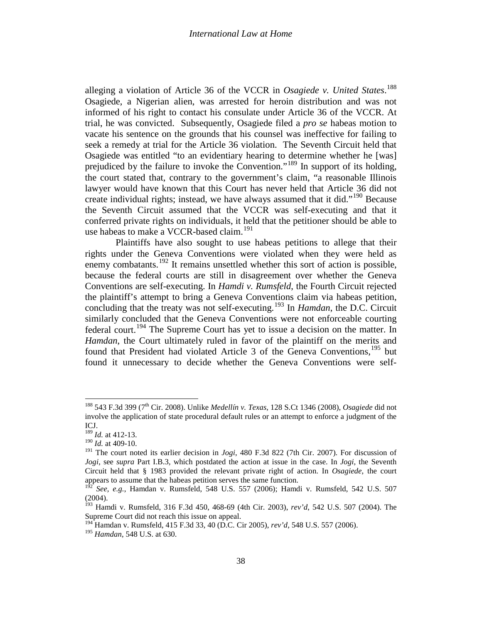alleging a violation of Article 36 of the VCCR in *Osagiede v. United States*. [188](#page-36-8) Osagiede, a Nigerian alien, was arrested for heroin distribution and was not informed of his right to contact his consulate under Article 36 of the VCCR. At trial, he was convicted. Subsequently, Osagiede filed a *pro se* habeas motion to vacate his sentence on the grounds that his counsel was ineffective for failing to seek a remedy at trial for the Article 36 violation. The Seventh Circuit held that Osagiede was entitled "to an evidentiary hearing to determine whether he [was] prejudiced by the failure to invoke the Convention."[189](#page-37-0) In support of its holding, the court stated that, contrary to the government's claim, "a reasonable Illinois lawyer would have known that this Court has never held that Article 36 did not create individual rights; instead, we have always assumed that it did."<sup>[190](#page-37-1)</sup> Because the Seventh Circuit assumed that the VCCR was self-executing and that it conferred private rights on individuals, it held that the petitioner should be able to use habeas to make a VCCR-based claim.<sup>[191](#page-37-2)</sup>

Plaintiffs have also sought to use habeas petitions to allege that their rights under the Geneva Conventions were violated when they were held as enemy combatants.<sup>[192](#page-37-3)</sup> It remains unsettled whether this sort of action is possible, because the federal courts are still in disagreement over whether the Geneva Conventions are self-executing. In *Hamdi v. Rumsfeld*, the Fourth Circuit rejected the plaintiff's attempt to bring a Geneva Conventions claim via habeas petition, concluding that the treaty was not self-executing.[193](#page-37-4) In *Hamdan*, the D.C. Circuit similarly concluded that the Geneva Conventions were not enforceable courting federal court.[194](#page-37-5) The Supreme Court has yet to issue a decision on the matter. In *Hamdan*, the Court ultimately ruled in favor of the plaintiff on the merits and found that President had violated Article 3 of the Geneva Conventions.<sup>[195](#page-37-6)</sup> but found it unnecessary to decide whether the Geneva Conventions were self-

<span id="page-37-7"></span><sup>188</sup> 543 F.3d 399 (7th Cir. 2008). Unlike *Medellín v. Texas*, 128 S.Ct 1346 (2008), *Osagiede* did not involve the application of state procedural default rules or an attempt to enforce a judgment of the ICJ.

<span id="page-37-0"></span><sup>189</sup> *Id.* at 412-13.

<sup>190</sup> *Id.* at 409-10.

<span id="page-37-2"></span><span id="page-37-1"></span><sup>&</sup>lt;sup>191</sup> The court noted its earlier decision in *Jogi*, 480 F.3d 822 (7th Cir. 2007). For discussion of *Jogi*, see *supra* Part I.B.3*,* which postdated the action at issue in the case. In *Jogi*, the Seventh Circuit held that § 1983 provided the relevant private right of action. In *Osagiede*, the court appears to assume that the habeas petition serves the same function.

<span id="page-37-3"></span><sup>192</sup> *See, e.g.*, Hamdan v. Rumsfeld, 548 U.S. 557 (2006); Hamdi v. Rumsfeld, 542 U.S. 507  $(2004).$ 

<span id="page-37-4"></span><sup>193</sup> Hamdi v. Rumsfeld, 316 F.3d 450, 468-69 (4th Cir. 2003), *rev'd*, 542 U.S. 507 (2004). The Supreme Court did not reach this issue on appeal.

<sup>194</sup> Hamdan v. Rumsfeld, 415 F.3d 33, 40 (D.C. Cir 2005), *rev'd*, 548 U.S. 557 (2006).

<span id="page-37-6"></span><span id="page-37-5"></span><sup>195</sup> *Hamdan*, 548 U.S. at 630.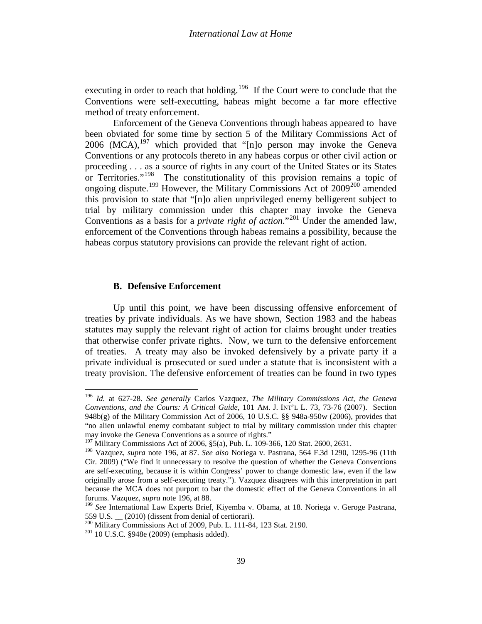<span id="page-38-0"></span>executing in order to reach that holding.<sup>[196](#page-37-7)</sup> If the Court were to conclude that the Conventions were self-executting, habeas might become a far more effective method of treaty enforcement.

Enforcement of the Geneva Conventions through habeas appeared to have been obviated for some time by section 5 of the Military Commissions Act of 2006 (MCA),  $197$  which provided that "[n]o person may invoke the Geneva Conventions or any protocols thereto in any habeas corpus or other civil action or proceeding . . . as a source of rights in any court of the United States or its States or Territories."<sup>198</sup> The constitutionality of this provision remains a topic of ongoing dispute.<sup>[199](#page-38-3)</sup> However, the Military Commissions Act of  $2009^{200}$  $2009^{200}$  amended this provision to state that "[n]o alien unprivileged enemy belligerent subject to trial by military commission under this chapter may invoke the Geneva Conventions as a basis for a *private right of action*."[201](#page-38-5) Under the amended law, enforcement of the Conventions through habeas remains a possibility, because the habeas corpus statutory provisions can provide the relevant right of action.

### **B. Defensive Enforcement**

<span id="page-38-6"></span>Up until this point, we have been discussing offensive enforcement of treaties by private individuals. As we have shown, Section 1983 and the habeas statutes may supply the relevant right of action for claims brought under treaties that otherwise confer private rights. Now, we turn to the defensive enforcement of treaties. A treaty may also be invoked defensively by a private party if a private individual is prosecuted or sued under a statute that is inconsistent with a treaty provision. The defensive enforcement of treaties can be found in two types

<sup>196</sup> *Id.* at 627-28. *See generally* Carlos Vazquez, *The Military Commissions Act, the Geneva Conventions, and the Courts: A Critical Guide*, 101 AM. J. INT'L L. 73, 73-76 (2007). Section 948b(g) of the Military Commission Act of 2006, 10 U.S.C. §§ 948a-950w (2006), provides that "no alien unlawful enemy combatant subject to trial by military commission under this chapter may invoke the Geneva Conventions as a source of rights."

<sup>&</sup>lt;sup>197</sup> Military Commissions Act of 2006, §5(a), Pub. L. 109-366, 120 Stat. 2600, 2631.

<span id="page-38-2"></span><span id="page-38-1"></span><sup>198</sup> Vazquez, *supra* note [196,](#page-38-0) at 87. *See also* Noriega v. Pastrana, 564 F.3d 1290, 1295-96 (11th Cir. 2009) ("We find it unnecessary to resolve the question of whether the Geneva Conventions are self-executing, because it is within Congress' power to change domestic law, even if the law originally arose from a self-executing treaty."). Vazquez disagrees with this interpretation in part because the MCA does not purport to bar the domestic effect of the Geneva Conventions in all forums. Vazquez, *supra* note [196,](#page-38-0) at 88.

<span id="page-38-3"></span><sup>199</sup> *See* International Law Experts Brief, Kiyemba v. Obama, at 18. Noriega v. Geroge Pastrana, 559 U.S. \_\_ (2010) (dissent from denial of certiorari).

<span id="page-38-4"></span><sup>&</sup>lt;sup>200</sup> Military Commissions Act of 2009, Pub. L. 111-84, 123 Stat. 2190.<br><sup>201</sup> 10 U.S.C. §948e (2009) (emphasis added).

<span id="page-38-5"></span>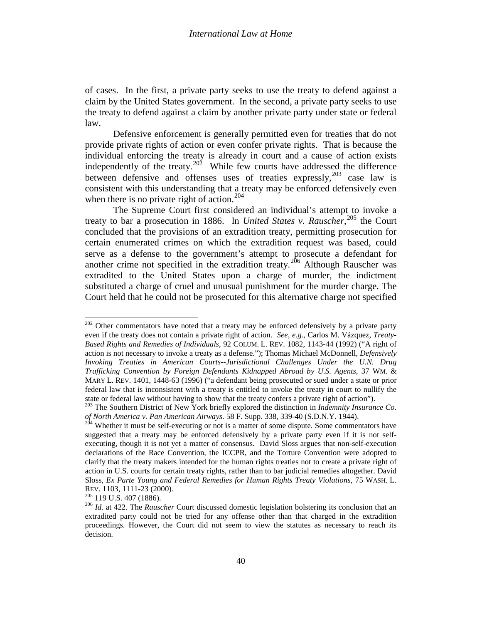of cases. In the first, a private party seeks to use the treaty to defend against a claim by the United States government. In the second, a private party seeks to use the treaty to defend against a claim by another private party under state or federal law.

Defensive enforcement is generally permitted even for treaties that do not provide private rights of action or even confer private rights. That is because the individual enforcing the treaty is already in court and a cause of action exists independently of the treaty.<sup>202</sup> While few courts have addressed the difference between defensive and offenses uses of treaties expressly,  $203$  case law is consistent with this understanding that a treaty may be enforced defensively even when there is no private right of action.<sup>[204](#page-39-1)</sup>

The Supreme Court first considered an individual's attempt to invoke a treaty to bar a prosecution in 1886. In *United States v. Rauscher*, [205](#page-39-2) the Court concluded that the provisions of an extradition treaty, permitting prosecution for certain enumerated crimes on which the extradition request was based, could serve as a defense to the government's attempt to prosecute a defendant for another crime not specified in the extradition treaty.<sup>[206](#page-39-3)</sup> Although Rauscher was extradited to the United States upon a charge of murder, the indictment substituted a charge of cruel and unusual punishment for the murder charge. The Court held that he could not be prosecuted for this alternative charge not specified

 $202$  Other commentators have noted that a treaty may be enforced defensively by a private party even if the treaty does not contain a private right of action. *See, e.g.*, Carlos M. Vázquez, *Treaty-Based Rights and Remedies of Individuals*, 92 COLUM. L. REV. 1082, 1143-44 (1992) ("A right of action is not necessary to invoke a treaty as a defense."); Thomas Michael McDonnell, *Defensively Invoking Treaties in American Courts--Jurisdictional Challenges Under the U.N. Drug Trafficking Convention by Foreign Defendants Kidnapped Abroad by U.S. Agents*, 37 WM. & MARY L. REV. 1401, 1448-63 (1996) ("a defendant being prosecuted or sued under a state or prior federal law that is inconsistent with a treaty is entitled to invoke the treaty in court to nullify the state or federal law without having to show that the treaty confers a private right of action").

<span id="page-39-0"></span><sup>&</sup>lt;sup>203</sup> The Southern District of New York briefly explored the distinction in *Indemnity Insurance Co. of North America v. Pan American Airways.* 58 F. Supp. 338, 339-40 (S.D.N.Y. 1944).

<span id="page-39-4"></span><span id="page-39-1"></span><sup>&</sup>lt;sup>204</sup> Whether it must be self-executing or not is a matter of some dispute. Some commentators have suggested that a treaty may be enforced defensively by a private party even if it is not selfexecuting, though it is not yet a matter of consensus. David Sloss argues that non-self-execution declarations of the Race Convention, the ICCPR, and the Torture Convention were adopted to clarify that the treaty makers intended for the human rights treaties not to create a private right of action in U.S. courts for certain treaty rights, rather than to bar judicial remedies altogether. David Sloss, *Ex Parte Young and Federal Remedies for Human Rights Treaty Violations*, 75 WASH. L. REV. 1103, 1111-23 (2000).<br><sup>205</sup> 119 U.S. 407 (1886).<br><sup>206</sup> *Id.* at 422. The *Rauscher* Court discussed domestic legislation bolstering its conclusion that an

<span id="page-39-2"></span>

<span id="page-39-3"></span>extradited party could not be tried for any offense other than that charged in the extradition proceedings. However, the Court did not seem to view the statutes as necessary to reach its decision.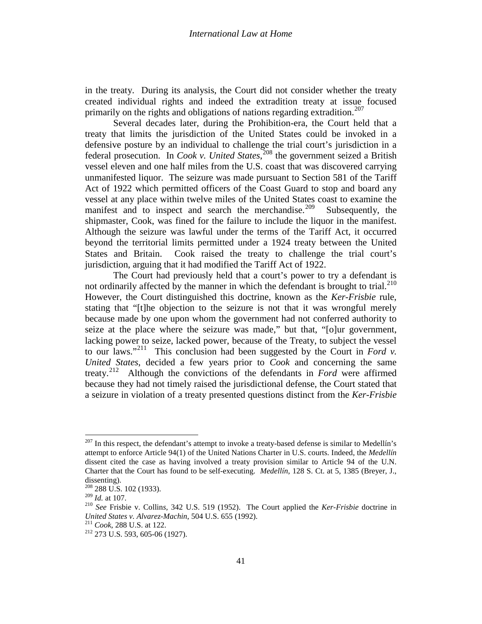in the treaty. During its analysis, the Court did not consider whether the treaty created individual rights and indeed the extradition treaty at issue focused primarily on the rights and obligations of nations regarding extradition.<sup>[207](#page-39-4)</sup>

Several decades later, during the Prohibition-era, the Court held that a treaty that limits the jurisdiction of the United States could be invoked in a defensive posture by an individual to challenge the trial court's jurisdiction in a federal prosecution. In *Cook v. United States*, [208](#page-40-0) the government seized a British vessel eleven and one half miles from the U.S. coast that was discovered carrying unmanifested liquor. The seizure was made pursuant to Section 581 of the Tariff Act of 1922 which permitted officers of the Coast Guard to stop and board any vessel at any place within twelve miles of the United States coast to examine the manifest and to inspect and search the merchandise.<sup>[209](#page-40-1)</sup> Subsequently, the shipmaster, Cook, was fined for the failure to include the liquor in the manifest. Although the seizure was lawful under the terms of the Tariff Act, it occurred beyond the territorial limits permitted under a 1924 treaty between the United States and Britain. Cook raised the treaty to challenge the trial court's jurisdiction, arguing that it had modified the Tariff Act of 1922.

The Court had previously held that a court's power to try a defendant is not ordinarily affected by the manner in which the defendant is brought to trial. $^{210}$  $^{210}$  $^{210}$ However, the Court distinguished this doctrine, known as the *Ker-Frisbie* rule, stating that "[t]he objection to the seizure is not that it was wrongful merely because made by one upon whom the government had not conferred authority to seize at the place where the seizure was made," but that, "[o]ur government, lacking power to seize, lacked power, because of the Treaty, to subject the vessel to our laws."[211](#page-40-3) This conclusion had been suggested by the Court in *Ford v. United States*, decided a few years prior to *Cook* and concerning the same treaty.[212](#page-40-4) Although the convictions of the defendants in *Ford* were affirmed because they had not timely raised the jurisdictional defense, the Court stated that a seizure in violation of a treaty presented questions distinct from the *Ker-Frisbie*

<span id="page-40-5"></span> $^{207}$  In this respect, the defendant's attempt to invoke a treaty-based defense is similar to Medellín's attempt to enforce Article 94(1) of the United Nations Charter in U.S. courts. Indeed, the *Medellín*  dissent cited the case as having involved a treaty provision similar to Article 94 of the U.N. Charter that the Court has found to be self-executing. *Medellín*, 128 S. Ct. at 5, 1385 (Breyer, J., dissenting).

<span id="page-40-1"></span><span id="page-40-0"></span> $^{208}$  288 U.S. 102 (1933).<br> $^{209}$  *Id.* at 107.

<span id="page-40-2"></span><sup>&</sup>lt;sup>210</sup> *See* Frisbie v. Collins, 342 U.S. 519 (1952). The Court applied the *Ker-Frisbie* doctrine in *United States v. Alvarez-Machin*, 504 U.S. 655 (1992).<br><sup>211</sup> *Cook*, 288 U.S. at 122.<br><sup>212</sup> 273 U.S. 593, 605-06 (1927).

<span id="page-40-4"></span><span id="page-40-3"></span>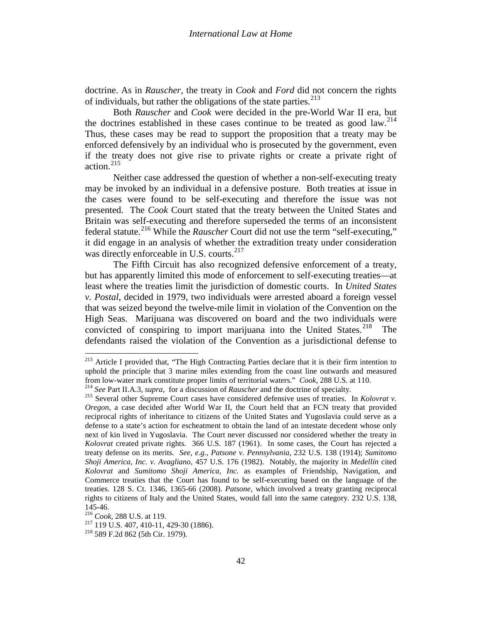doctrine. As in *Rauscher*, the treaty in *Cook* and *Ford* did not concern the rights of individuals, but rather the obligations of the state parties.<sup>[213](#page-40-5)</sup>

Both *Rauscher* and *Cook* were decided in the pre-World War II era, but the doctrines established in these cases continue to be treated as good law.<sup>[214](#page-41-0)</sup> Thus, these cases may be read to support the proposition that a treaty may be enforced defensively by an individual who is prosecuted by the government, even if the treaty does not give rise to private rights or create a private right of action.[215](#page-41-1)

Neither case addressed the question of whether a non-self-executing treaty may be invoked by an individual in a defensive posture. Both treaties at issue in the cases were found to be self-executing and therefore the issue was not presented. The *Cook* Court stated that the treaty between the United States and Britain was self-executing and therefore superseded the terms of an inconsistent federal statute.<sup>[216](#page-41-2)</sup> While the *Rauscher* Court did not use the term "self-executing," it did engage in an analysis of whether the extradition treaty under consideration was directly enforceable in U.S. courts.<sup>217</sup>

The Fifth Circuit has also recognized defensive enforcement of a treaty, but has apparently limited this mode of enforcement to self-executing treaties—at least where the treaties limit the jurisdiction of domestic courts. In *United States v. Postal*, decided in 1979, two individuals were arrested aboard a foreign vessel that was seized beyond the twelve-mile limit in violation of the Convention on the High Seas. Marijuana was discovered on board and the two individuals were convicted of conspiring to import marijuana into the United States.<sup>218</sup> The defendants raised the violation of the Convention as a jurisdictional defense to

<sup>&</sup>lt;sup>213</sup> Article I provided that, "The High Contracting Parties declare that it is their firm intention to uphold the principle that 3 marine miles extending from the coast line outwards and measured from low-water mark constitute proper limits of territorial waters." *Cook*, 288 U.S. at 110.<br><sup>214</sup> See Part II.A.3, *supra*, for a discussion of *Rauscher* and the doctrine of specialty.<br><sup>215</sup> Several other Supreme Court

<span id="page-41-0"></span>

<span id="page-41-5"></span><span id="page-41-1"></span>*Oregon*, a case decided after World War II, the Court held that an FCN treaty that provided reciprocal rights of inheritance to citizens of the United States and Yugoslavia could serve as a defense to a state's action for escheatment to obtain the land of an intestate decedent whose only next of kin lived in Yugoslavia. The Court never discussed nor considered whether the treaty in *Kolovrat* created private rights. 366 U.S. 187 (1961). In some cases, the Court has rejected a treaty defense on its merits. *See, e.g*., *Patsone v. Pennsylvania*, 232 U.S. 138 (1914); *Sumitomo Shoji America, Inc. v. Avagliano*, 457 U.S. 176 (1982). Notably, the majority in *Medellín* cited *Kolovrat* and *Sumitomo Shoji America, Inc.* as examples of Friendship, Navigation, and Commerce treaties that the Court has found to be self-executing based on the language of the treaties. 128 S. Ct. 1346, 1365-66 (2008). *Patsone*, which involved a treaty granting reciprocal rights to citizens of Italy and the United States, would fall into the same category. 232 U.S. 138,

<span id="page-41-3"></span><span id="page-41-2"></span>

<sup>145-46.&</sup>lt;br><sup>216</sup> *Cook*, 288 U.S. at 119.<br><sup>217</sup> 119 U.S. 407, 410-11, 429-30 (1886).<br><sup>218</sup> 589 F.2d 862 (5th Cir. 1979).

<span id="page-41-4"></span>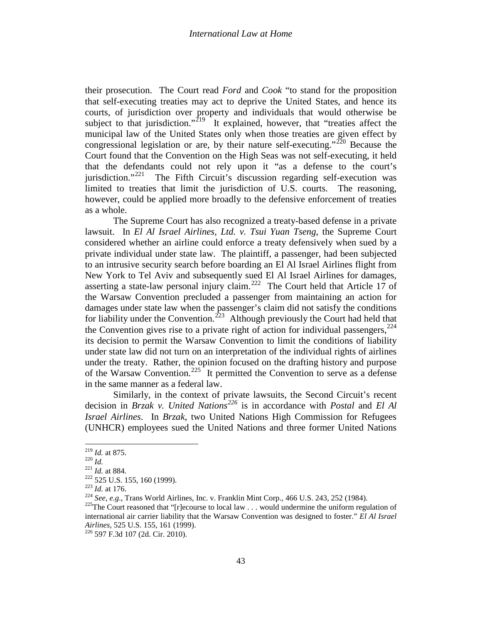their prosecution. The Court read *Ford* and *Cook* "to stand for the proposition that self-executing treaties may act to deprive the United States, and hence its courts, of jurisdiction over property and individuals that would otherwise be subject to that jurisdiction."<sup>219</sup> It explained, however, that "treaties affect the municipal law of the United States only when those treaties are given effect by congressional legislation or are, by their nature self-executing."<sup>[220](#page-42-0)</sup> Because the Court found that the Convention on the High Seas was not self-executing, it held that the defendants could not rely upon it "as a defense to the court's jurisdiction."<sup>221</sup> The Fifth Circuit's discussion regarding self-execution was limited to treaties that limit the jurisdiction of U.S. courts. The reasoning, however, could be applied more broadly to the defensive enforcement of treaties as a whole.

The Supreme Court has also recognized a treaty-based defense in a private lawsuit. In *El Al Israel Airlines, Ltd. v. Tsui Yuan Tseng*, the Supreme Court considered whether an airline could enforce a treaty defensively when sued by a private individual under state law. The plaintiff, a passenger, had been subjected to an intrusive security search before boarding an El Al Israel Airlines flight from New York to Tel Aviv and subsequently sued El Al Israel Airlines for damages, asserting a state-law personal injury claim.<sup>222</sup> The Court held that Article 17 of the Warsaw Convention precluded a passenger from maintaining an action for damages under state law when the passenger's claim did not satisfy the conditions for liability under the Convention.<sup>[223](#page-42-3)</sup> Although previously the Court had held that the Convention gives rise to a private right of action for individual passengers,  $2^{24}$ its decision to permit the Warsaw Convention to limit the conditions of liability under state law did not turn on an interpretation of the individual rights of airlines under the treaty. Rather, the opinion focused on the drafting history and purpose of the Warsaw Convention.<sup>[225](#page-42-5)</sup> It permitted the Convention to serve as a defense in the same manner as a federal law.

<span id="page-42-7"></span>Similarly, in the context of private lawsuits, the Second Circuit's recent decision in *Brzak v. United Nations[226](#page-42-6)* is in accordance with *Postal* and *El Al Israel Airlines*. In *Brzak*, two United Nations High Commission for Refugees (UNHCR) employees sued the United Nations and three former United Nations

<span id="page-42-1"></span><span id="page-42-0"></span>

<span id="page-42-2"></span>

<span id="page-42-3"></span>

<sup>&</sup>lt;sup>219</sup> *Id.* at 875.<br>
<sup>220</sup> *Id.*<br>
<sup>221</sup> *Id.* at 884.<br>
<sup>222</sup> 525 U.S. 155, 160 (1999).<br>
<sup>223</sup> *Id.* at 176.<br>
<sup>224</sup> See, e.g., Trans World Airlines, Inc. v. Franklin Mint Corp., 466 U.S. 243, 252 (1984).<br>
<sup>225</sup>The Court re

<span id="page-42-5"></span><span id="page-42-4"></span>international air carrier liability that the Warsaw Convention was designed to foster." *El Al Israel Airlines*, 525 U.S. 155, 161 (1999). <sup>226</sup> 597 F.3d 107 (2d. Cir. 2010).

<span id="page-42-6"></span>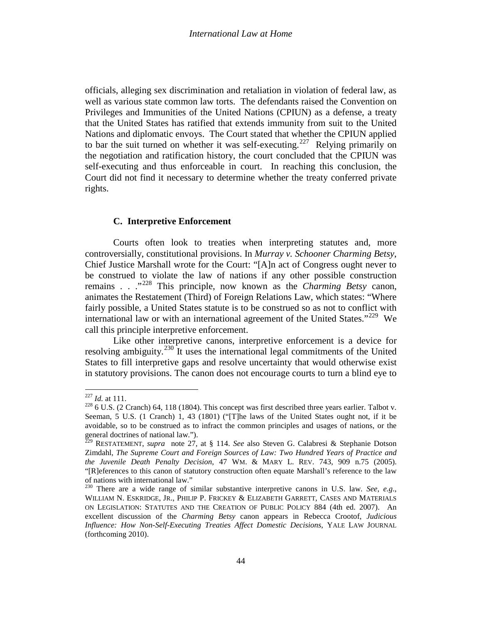officials, alleging sex discrimination and retaliation in violation of federal law, as well as various state common law torts. The defendants raised the Convention on Privileges and Immunities of the United Nations (CPIUN) as a defense, a treaty that the United States has ratified that extends immunity from suit to the United Nations and diplomatic envoys. The Court stated that whether the CPIUN applied to bar the suit turned on whether it was self-executing.<sup>227</sup> Relying primarily on the negotiation and ratification history, the court concluded that the CPIUN was self-executing and thus enforceable in court. In reaching this conclusion, the Court did not find it necessary to determine whether the treaty conferred private rights.

### **C. Interpretive Enforcement**

Courts often look to treaties when interpreting statutes and, more controversially, constitutional provisions. In *Murray v. Schooner Charming Betsy*, Chief Justice Marshall wrote for the Court: "[A]n act of Congress ought never to be construed to violate the law of nations if any other possible construction remains . . ."[228](#page-43-0) This principle, now known as the *Charming Betsy* canon, animates the Restatement (Third) of Foreign Relations Law, which states: "Where fairly possible, a United States statute is to be construed so as not to conflict with international law or with an international agreement of the United States."<sup>229</sup> We call this principle interpretive enforcement.

Like other interpretive canons, interpretive enforcement is a device for resolving ambiguity.<sup>[230](#page-43-2)</sup> It uses the international legal commitments of the United States to fill interpretive gaps and resolve uncertainty that would otherwise exist in statutory provisions. The canon does not encourage courts to turn a blind eye to

<span id="page-43-3"></span><span id="page-43-0"></span><sup>&</sup>lt;sup>227</sup> *Id.* at 111.<br><sup>228</sup> 6 U.S. (2 Cranch) 64, 118 (1804). This concept was first described three years earlier. Talbot v. Seeman, 5 U.S. (1 Cranch) 1, 43 (1801) ("[T]he laws of the United States ought not, if it be avoidable, so to be construed as to infract the common principles and usages of nations, or the general doctrines of national law.").

<span id="page-43-1"></span><sup>229</sup> RESTATEMENT, *supra* note [27,](#page-6-6) at § 114. *See* also Steven G. Calabresi & Stephanie Dotson Zimdahl, *The Supreme Court and Foreign Sources of Law: Two Hundred Years of Practice and the Juvenile Death Penalty Decision*, 47 WM. & MARY L. REV. 743, 909 n.75 (2005). "[R]eferences to this canon of statutory construction often equate Marshall's reference to the law of nations with international law."

<span id="page-43-2"></span><sup>230</sup> There are a wide range of similar substantive interpretive canons in U.S. law. *See, e.g*., WILLIAM N. ESKRIDGE, JR., PHILIP P. FRICKEY & ELIZABETH GARRETT, CASES AND MATERIALS ON LEGISLATION: STATUTES AND THE CREATION OF PUBLIC POLICY 884 (4th ed. 2007). An excellent discussion of the *Charming Betsy* canon appears in Rebecca Crootof, *Judicious Influence: How Non-Self-Executing Treaties Affect Domestic Decisions*, YALE LAW JOURNAL (forthcoming 2010).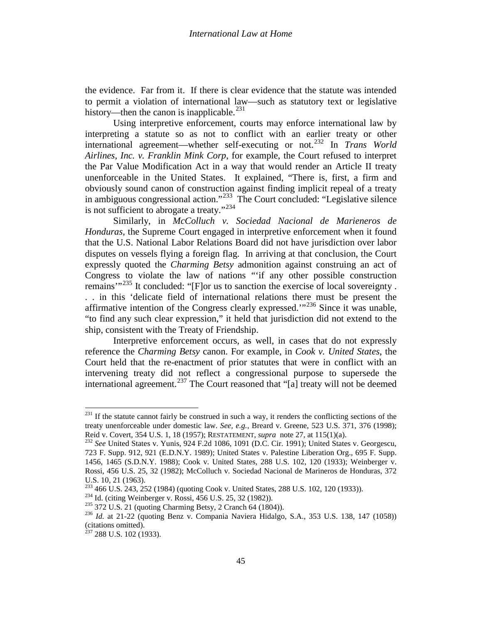the evidence. Far from it. If there is clear evidence that the statute was intended to permit a violation of international law—such as statutory text or legislative history—then the canon is inapplicable.<sup>[231](#page-43-3)</sup>

Using interpretive enforcement, courts may enforce international law by interpreting a statute so as not to conflict with an earlier treaty or other international agreement—whether self-executing or not. [232](#page-44-0) In *Trans World Airlines, Inc. v. Franklin Mink Corp*, for example, the Court refused to interpret the Par Value Modification Act in a way that would render an Article II treaty unenforceable in the United States. It explained, "There is, first, a firm and obviously sound canon of construction against finding implicit repeal of a treaty in ambiguous congressional action."<sup>[233](#page-44-1)</sup> The Court concluded: "Legislative silence is not sufficient to abrogate a treaty." $234$ 

Similarly, in *McColluch v. Sociedad Nacional de Marieneros de Honduras*, the Supreme Court engaged in interpretive enforcement when it found that the U.S. National Labor Relations Board did not have jurisdiction over labor disputes on vessels flying a foreign flag. In arriving at that conclusion, the Court expressly quoted the *Charming Betsy* admonition against construing an act of Congress to violate the law of nations "'if any other possible construction remains'"<sup>[235](#page-44-3)</sup> It concluded: "[F]or us to sanction the exercise of local sovereignty. . . in this 'delicate field of international relations there must be present the affirmative intention of the Congress clearly expressed.'"[236](#page-44-4) Since it was unable,

"to find any such clear expression," it held that jurisdiction did not extend to the ship, consistent with the Treaty of Friendship.

<span id="page-44-6"></span>Interpretive enforcement occurs, as well, in cases that do not expressly reference the *Charming Betsy* canon. For example, in *Cook v. United States*, the Court held that the re-enactment of prior statutes that were in conflict with an intervening treaty did not reflect a congressional purpose to supersede the international agreement.<sup>[237](#page-44-5)</sup> The Court reasoned that "[a] treaty will not be deemed

<sup>&</sup>lt;sup>231</sup> If the statute cannot fairly be construed in such a way, it renders the conflicting sections of the treaty unenforceable under domestic law. *See, e.g.*, Breard v. Greene, 523 U.S. 371, 376 (1998); Reid v. Covert, 354 U.S. 1, 18 (1957); RESTATEMENT, *supra* note [27,](#page-6-6) at 115(1)(a). <sup>232</sup> *See* United States v. Yunis, 924 F.2d 1086, 1091 (D.C. Cir. 1991); United States v. Georgescu,

<span id="page-44-0"></span><sup>723</sup> F. Supp. 912, 921 (E.D.N.Y. 1989); United States v. Palestine Liberation Org., 695 F. Supp. 1456, 1465 (S.D.N.Y. 1988); Cook v. United States, 288 U.S. 102, 120 (1933); Weinberger v. Rossi, 456 U.S. 25, 32 (1982); McColluch v. Sociedad Nacional de Marineros de Honduras, 372 U.S. 10, 21 (1963).<br><sup>233</sup> 466 U.S. 243, 252 (1984) (quoting Cook v. United States, 288 U.S. 102, 120 (1933)).

<span id="page-44-4"></span><span id="page-44-3"></span>

<span id="page-44-2"></span><span id="page-44-1"></span><sup>&</sup>lt;sup>234</sup> Id. (citing Weinberger v. Rossi, 456 U.S. 25, 32 (1982)).<br><sup>235</sup> 372 U.S. 21 (quoting Charming Betsy, 2 Cranch 64 (1804)).<br><sup>236</sup> Id. at 21-22 (quoting Benz v. Compania Naviera Hidalgo, S.A., 353 U.S. 138, 147 (1058)) (citations omitted).

<span id="page-44-5"></span> $^{237}$  288 U.S. 102 (1933).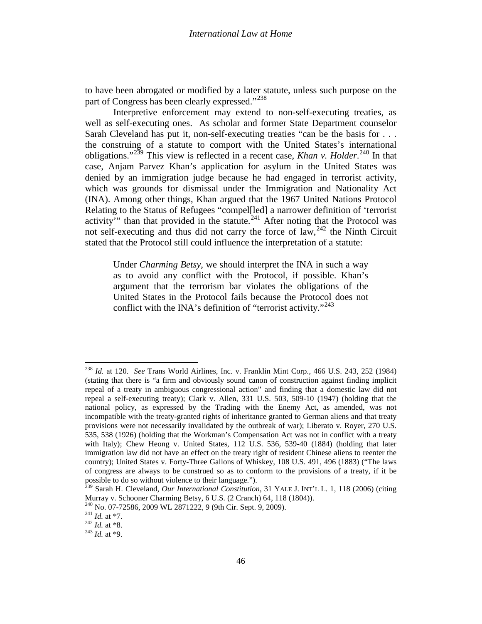to have been abrogated or modified by a later statute, unless such purpose on the part of Congress has been clearly expressed."<sup>[238](#page-44-6)</sup>

Interpretive enforcement may extend to non-self-executing treaties, as well as self-executing ones. As scholar and former State Department counselor Sarah Cleveland has put it, non-self-executing treaties "can be the basis for . . . the construing of a statute to comport with the United States's international obligations."<sup>[239](#page-45-0)</sup> This view is reflected in a recent case, *Khan v. Holder*.<sup>[240](#page-45-1)</sup> In that case, Anjam Parvez Khan's application for asylum in the United States was denied by an immigration judge because he had engaged in terrorist activity, which was grounds for dismissal under the Immigration and Nationality Act (INA). Among other things, Khan argued that the 1967 United Nations Protocol Relating to the Status of Refugees "compel[led] a narrower definition of 'terrorist activity" than that provided in the statute.<sup>[241](#page-45-2)</sup> After noting that the Protocol was not self-executing and thus did not carry the force of law,<sup>[242](#page-45-3)</sup> the Ninth Circuit stated that the Protocol still could influence the interpretation of a statute:

Under *Charming Betsy*, we should interpret the INA in such a way as to avoid any conflict with the Protocol, if possible. Khan's argument that the terrorism bar violates the obligations of the United States in the Protocol fails because the Protocol does not conflict with the INA's definition of "terrorist activity."<sup>[243](#page-45-4)</sup>

<span id="page-45-5"></span><sup>238</sup> *Id.* at 120. *See* Trans World Airlines, Inc. v. Franklin Mint Corp*.*, 466 U.S. 243, 252 (1984) (stating that there is "a firm and obviously sound canon of construction against finding implicit repeal of a treaty in ambiguous congressional action" and finding that a domestic law did not repeal a self-executing treaty); Clark v. Allen, 331 U.S. 503, 509-10 (1947) (holding that the national policy, as expressed by the Trading with the Enemy Act, as amended, was not incompatible with the treaty-granted rights of inheritance granted to German aliens and that treaty provisions were not necessarily invalidated by the outbreak of war); Liberato v. Royer, 270 U.S. 535, 538 (1926) (holding that the Workman's Compensation Act was not in conflict with a treaty with Italy); Chew Heong v. United States, 112 U.S. 536, 539-40 (1884) (holding that later immigration law did not have an effect on the treaty right of resident Chinese aliens to reenter the country); United States v. Forty-Three Gallons of Whiskey, 108 U.S. 491, 496 (1883) ("The laws of congress are always to be construed so as to conform to the provisions of a treaty, if it be possible to do so without violence to their language.").

<span id="page-45-0"></span><sup>239</sup> Sarah H. Cleveland, *Our International Constitution*, 31 YALE J. INT'L L. 1, 118 (2006) (citing Murray v. Schooner Charming Betsy, 6 U.S. (2 Cranch) 64, 118 (1804)).

<span id="page-45-2"></span><span id="page-45-1"></span><sup>240</sup> No. 07-72586, 2009 WL 2871222, 9 (9th Cir. Sept. 9, 2009). <sup>241</sup> *Id.* at \*7. <sup>242</sup> *Id.* at \*8. <sup>243</sup> *Id.* at \*9.

<span id="page-45-3"></span>

<span id="page-45-4"></span>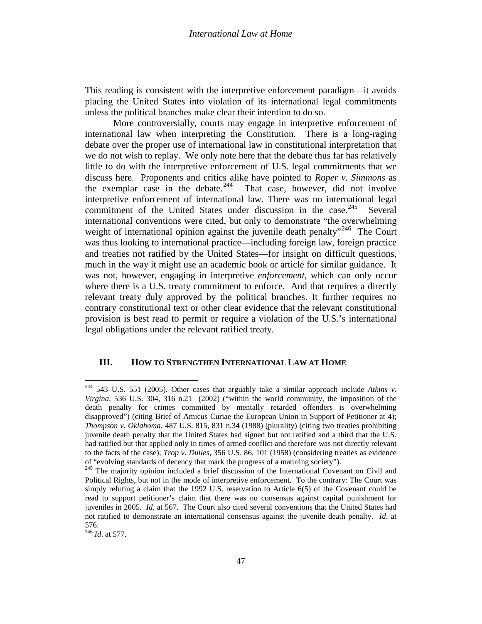This reading is consistent with the interpretive enforcement paradigm—it avoids placing the United States into violation of its international legal commitments unless the political branches make clear their intention to do so.

More controversially, courts may engage in interpretive enforcement of international law when interpreting the Constitution. There is a long-raging debate over the proper use of international law in constitutional interpretation that we do not wish to replay. We only note here that the debate thus far has relatively little to do with the interpretive enforcement of U.S. legal commitments that we discuss here. Proponents and critics alike have pointed to *Roper v. Simmons* as the exemplar case in the debate.<sup>244</sup> That case, however, did not involve interpretive enforcement of international law. There was no international legal commitment of the United States under discussion in the case.  $245$  Several international conventions were cited, but only to demonstrate "the overwhelming weight of international opinion against the juvenile death penalty"<sup>[246](#page-46-1)</sup> The Court was thus looking to international practice—including foreign law, foreign practice and treaties not ratified by the United States—for insight on difficult questions, much in the way it might use an academic book or article for similar guidance. It was not, however, engaging in interpretive *enforcement*, which can only occur where there is a U.S. treaty commitment to enforce. And that requires a directly relevant treaty duly approved by the political branches. It further requires no contrary constitutional text or other clear evidence that the relevant constitutional provision is best read to permit or require a violation of the U.S.'s international legal obligations under the relevant ratified treaty.

#### **III. HOW TO STRENGTHEN INTERNATIONAL LAW AT HOME**

<span id="page-46-1"></span><sup>246</sup> *Id*. at 577.

<span id="page-46-2"></span><sup>244</sup> 543 U.S. 551 (2005). Other cases that arguably take a similar approach include *Atkins v. Virgina*, 536 U.S. 304, 316 n.21 (2002) ("within the world community, the imposition of the death penalty for crimes committed by mentally retarded offenders is overwhelming disapproved") (citing Brief of Amicus Curiae the European Union in Support of Petitioner at 4); *Thompson v. Oklahoma*, 487 U.S. 815, 831 n.34 (1988) (plurality) (citing two treaties prohibiting juvenile death penalty that the United States had signed but not ratified and a third that the U.S. had ratified but that applied only in times of armed conflict and therefore was not directly relevant to the facts of the case); *Trop v. Dulles*, 356 U.S. 86, 101 (1958) (considering treaties as evidence

<span id="page-46-0"></span>of "evolving standards of decency that mark the progress of a maturing society"). 245 The majority opinion included a brief discussion of the International Covenant on Civil and Political Rights, but not in the mode of interpretive enforcement. To the contrary: The Court was simply refuting a claim that the 1992 U.S. reservation to Article 6(5) of the Covenant could be read to support petitioner's claim that there was no consensus against capital punishment for juveniles in 2005. *Id*. at 567. The Court also cited several conventions that the United States had not ratified to demonstrate an international consensus against the juvenile death penalty. *Id*. at 576.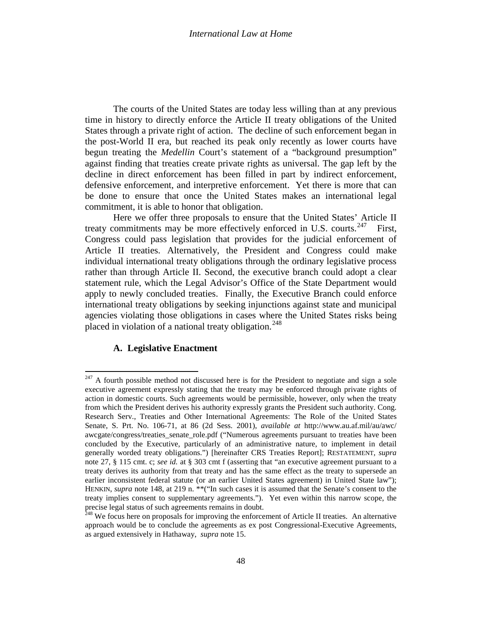The courts of the United States are today less willing than at any previous time in history to directly enforce the Article II treaty obligations of the United States through a private right of action. The decline of such enforcement began in the post-World II era, but reached its peak only recently as lower courts have begun treating the *Medellin* Court's statement of a "background presumption" against finding that treaties create private rights as universal. The gap left by the decline in direct enforcement has been filled in part by indirect enforcement, defensive enforcement, and interpretive enforcement. Yet there is more that can be done to ensure that once the United States makes an international legal commitment, it is able to honor that obligation.

Here we offer three proposals to ensure that the United States' Article II treaty commitments may be more effectively enforced in U.S. courts.<sup>[247](#page-46-2)</sup> First, Congress could pass legislation that provides for the judicial enforcement of Article II treaties. Alternatively, the President and Congress could make individual international treaty obligations through the ordinary legislative process rather than through Article II. Second, the executive branch could adopt a clear statement rule, which the Legal Advisor's Office of the State Department would apply to newly concluded treaties. Finally, the Executive Branch could enforce international treaty obligations by seeking injunctions against state and municipal agencies violating those obligations in cases where the United States risks being placed in violation of a national treaty obligation.<sup>[248](#page-47-0)</sup>

# **A. Legislative Enactment**

<span id="page-47-1"></span> $247$  A fourth possible method not discussed here is for the President to negotiate and sign a sole executive agreement expressly stating that the treaty may be enforced through private rights of action in domestic courts. Such agreements would be permissible, however, only when the treaty from which the President derives his authority expressly grants the President such authority. Cong. Research Serv., Treaties and Other International Agreements: The Role of the United States Senate, S. Prt. No. 106-71, at 86 (2d Sess. 2001), *available at* http://www.au.af.mil/au/awc/ awcgate/congress/treaties\_senate\_role.pdf ("Numerous agreements pursuant to treaties have been concluded by the Executive, particularly of an administrative nature, to implement in detail generally worded treaty obligations.") [hereinafter CRS Treaties Report]; RESTATEMENT, *supra* note [27,](#page-6-5) § 115 cmt. c; *see id.* at § 303 cmt f (asserting that "an executive agreement pursuant to a treaty derives its authority from that treaty and has the same effect as the treaty to supersede an earlier inconsistent federal statute (or an earlier United States agreement) in United State law"); HENKIN, *supra* note [148,](#page-31-6) at 219 n. \*\*("In such cases it is assumed that the Senate's consent to the treaty implies consent to supplementary agreements."). Yet even within this narrow scope, the precise legal status of such agreements remains in doubt.<br><sup>248</sup> We focus here on proposals for improving the enforcement of Article II treaties. An alternative

<span id="page-47-0"></span>approach would be to conclude the agreements as ex post Congressional-Executive Agreements, as argued extensively in Hathaway, *supra* note [15.](#page-3-1)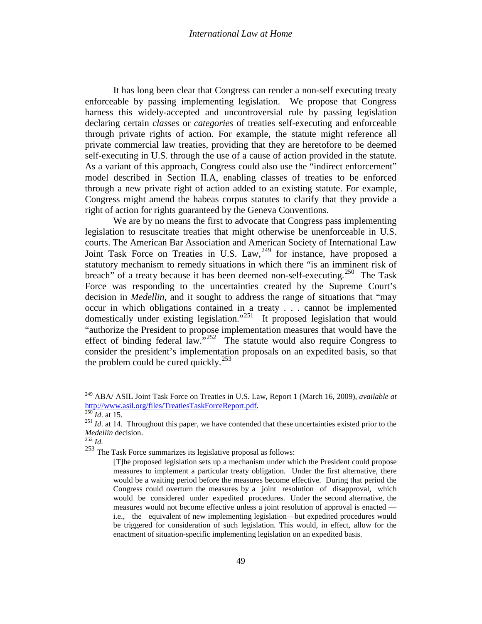It has long been clear that Congress can render a non-self executing treaty enforceable by passing implementing legislation. We propose that Congress harness this widely-accepted and uncontroversial rule by passing legislation declaring certain *classes* or *categories* of treaties self-executing and enforceable through private rights of action. For example, the statute might reference all private commercial law treaties, providing that they are heretofore to be deemed self-executing in U.S. through the use of a cause of action provided in the statute. As a variant of this approach, Congress could also use the "indirect enforcement" model described in Section II.A, enabling classes of treaties to be enforced through a new private right of action added to an existing statute. For example, Congress might amend the habeas corpus statutes to clarify that they provide a right of action for rights guaranteed by the Geneva Conventions.

We are by no means the first to advocate that Congress pass implementing legislation to resuscitate treaties that might otherwise be unenforceable in U.S. courts. The American Bar Association and American Society of International Law Joint Task Force on Treaties in U.S. Law,<sup>[249](#page-47-1)</sup> for instance, have proposed a statutory mechanism to remedy situations in which there "is an imminent risk of breach" of a treaty because it has been deemed non-self-executing.<sup>[250](#page-48-0)</sup> The Task Force was responding to the uncertainties created by the Supreme Court's decision in *Medellin*, and it sought to address the range of situations that "may occur in which obligations contained in a treaty . . . cannot be implemented domestically under existing legislation."<sup>[251](#page-48-1)</sup> It proposed legislation that would "authorize the President to propose implementation measures that would have the effect of binding federal law."<sup>252</sup> The statute would also require Congress to consider the president's implementation proposals on an expedited basis, so that the problem could be cured quickly.<sup>[253](#page-48-3)</sup>

<span id="page-48-4"></span><sup>&</sup>lt;sup>249</sup> ABA/ ASIL Joint Task Force on Treaties in U.S. Law, Report 1 (March 16, 2009), *available at* http://www.asil.org/files/TreatiesTaskForceReport.pdf.

<span id="page-48-1"></span><span id="page-48-0"></span> $\frac{^{250} Id.$  $\frac{^{250} Id.$  $\frac{^{250} Id.$  at 15.<br><sup>251</sup> *Id.* at 14. Throughout this paper, we have contended that these uncertainties existed prior to the *Medellin* decision. 252 *Id.* 

<span id="page-48-2"></span>

<span id="page-48-3"></span><sup>253</sup> The Task Force summarizes its legislative proposal as follows:

<sup>[</sup>T]he proposed legislation sets up a mechanism under which the President could propose measures to implement a particular treaty obligation. Under the first alternative, there would be a waiting period before the measures become effective. During that period the Congress could overturn the measures by a joint resolution of disapproval, which would be considered under expedited procedures. Under the second alternative, the measures would not become effective unless a joint resolution of approval is enacted i.e., the equivalent of new implementing legislation—but expedited procedures would be triggered for consideration of such legislation. This would, in effect, allow for the enactment of situation-specific implementing legislation on an expedited basis.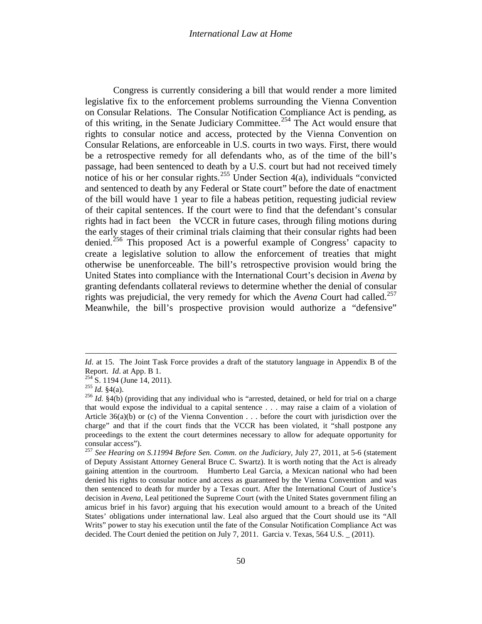#### *International Law at Home*

Congress is currently considering a bill that would render a more limited legislative fix to the enforcement problems surrounding the Vienna Convention on Consular Relations. The Consular Notification Compliance Act is pending, as of this writing, in the Senate Judiciary Committee.<sup>[254](#page-48-4)</sup> The Act would ensure that rights to consular notice and access, protected by the Vienna Convention on Consular Relations, are enforceable in U.S. courts in two ways. First, there would be a retrospective remedy for all defendants who, as of the time of the bill's passage, had been sentenced to death by a U.S. court but had not received timely notice of his or her consular rights.<sup>[255](#page-49-0)</sup> Under Section 4(a), individuals "convicted" and sentenced to death by any Federal or State court" before the date of enactment of the bill would have 1 year to file a habeas petition, requesting judicial review of their capital sentences. If the court were to find that the defendant's consular rights had in fact been the VCCR in future cases, through filing motions during the early stages of their criminal trials claiming that their consular rights had been denied.<sup>[256](#page-49-1)</sup> This proposed Act is a powerful example of Congress' capacity to create a legislative solution to allow the enforcement of treaties that might otherwise be unenforceable. The bill's retrospective provision would bring the United States into compliance with the International Court's decision in *Avena* by granting defendants collateral reviews to determine whether the denial of consular rights was prejudicial, the very remedy for which the *Avena* Court had called.<sup>[257](#page-49-2)</sup> Meanwhile, the bill's prospective provision would authorize a "defensive"

 $\overline{\phantom{a}}$ 

*Id.* at 15. The Joint Task Force provides a draft of the statutory language in Appendix B of the Report. *Id.* at App. B 1.<br><sup>254</sup> S. 1194 (June 14, 2011).<br><sup>255</sup> *Id.* §4(a).<br><sup>256</sup> *Id.* §4(b) (providing that any individual who is "arrested, detained, or held for trial on a charge

<span id="page-49-0"></span>

<span id="page-49-1"></span>that would expose the individual to a capital sentence . . . may raise a claim of a violation of Article 36(a)(b) or (c) of the Vienna Convention . . . before the court with jurisdiction over the charge" and that if the court finds that the VCCR has been violated, it "shall postpone any proceedings to the extent the court determines necessary to allow for adequate opportunity for consular access").

<span id="page-49-3"></span><span id="page-49-2"></span><sup>257</sup> *See Hearing on S.11994 Before Sen. Comm. on the Judiciary*, July 27, 2011, at 5-6 (statement of Deputy Assistant Attorney General Bruce C. Swartz). It is worth noting that the Act is already gaining attention in the courtroom. Humberto Leal Garcia, a Mexican national who had been denied his rights to consular notice and access as guaranteed by the Vienna Convention and was then sentenced to death for murder by a Texas court. After the International Court of Justice's decision in *Avena*, Leal petitioned the Supreme Court (with the United States government filing an amicus brief in his favor) arguing that his execution would amount to a breach of the United States' obligations under international law. Leal also argued that the Court should use its "All Writs" power to stay his execution until the fate of the Consular Notification Compliance Act was decided. The Court denied the petition on July 7, 2011. Garcia v. Texas, 564 U.S. \_ (2011).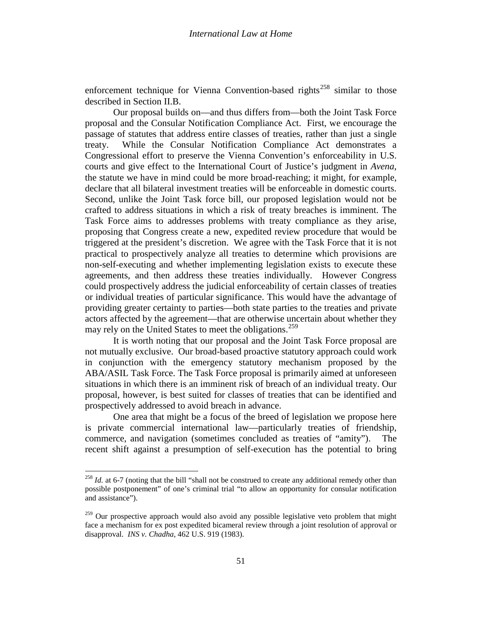enforcement technique for Vienna Convention-based rights<sup>[258](#page-49-3)</sup> similar to those described in Section II.B.

Our proposal builds on—and thus differs from—both the Joint Task Force proposal and the Consular Notification Compliance Act. First, we encourage the passage of statutes that address entire classes of treaties, rather than just a single treaty. While the Consular Notification Compliance Act demonstrates a Congressional effort to preserve the Vienna Convention's enforceability in U.S. courts and give effect to the International Court of Justice's judgment in *Avena*, the statute we have in mind could be more broad-reaching; it might, for example, declare that all bilateral investment treaties will be enforceable in domestic courts. Second, unlike the Joint Task force bill, our proposed legislation would not be crafted to address situations in which a risk of treaty breaches is imminent. The Task Force aims to addresses problems with treaty compliance as they arise, proposing that Congress create a new, expedited review procedure that would be triggered at the president's discretion. We agree with the Task Force that it is not practical to prospectively analyze all treaties to determine which provisions are non-self-executing and whether implementing legislation exists to execute these agreements, and then address these treaties individually. However Congress could prospectively address the judicial enforceability of certain classes of treaties or individual treaties of particular significance. This would have the advantage of providing greater certainty to parties—both state parties to the treaties and private actors affected by the agreement—that are otherwise uncertain about whether they may rely on the United States to meet the obligations.<sup>[259](#page-50-0)</sup>

<span id="page-50-1"></span>It is worth noting that our proposal and the Joint Task Force proposal are not mutually exclusive. Our broad-based proactive statutory approach could work in conjunction with the emergency statutory mechanism proposed by the ABA/ASIL Task Force. The Task Force proposal is primarily aimed at unforeseen situations in which there is an imminent risk of breach of an individual treaty. Our proposal, however, is best suited for classes of treaties that can be identified and prospectively addressed to avoid breach in advance.

One area that might be a focus of the breed of legislation we propose here is private commercial international law—particularly treaties of friendship, commerce, and navigation (sometimes concluded as treaties of "amity"). The recent shift against a presumption of self-execution has the potential to bring

<sup>&</sup>lt;sup>258</sup> *Id.* at 6-7 (noting that the bill "shall not be construed to create any additional remedy other than possible postponement" of one's criminal trial "to allow an opportunity for consular notification and assistance").

<span id="page-50-0"></span> $259$  Our prospective approach would also avoid any possible legislative veto problem that might face a mechanism for ex post expedited bicameral review through a joint resolution of approval or disapproval. *INS v. Chadha*, 462 U.S. 919 (1983).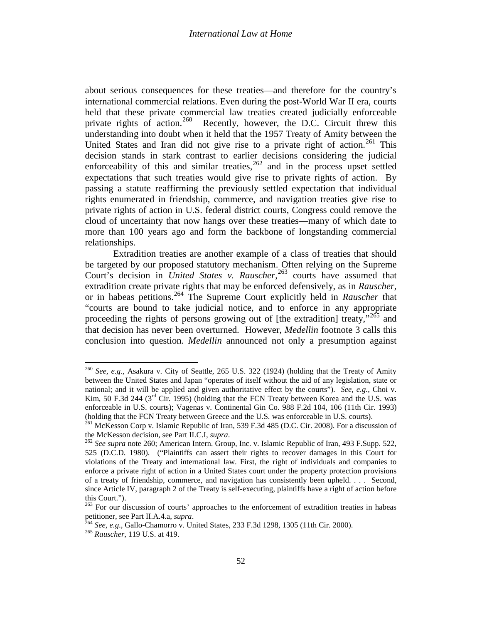<span id="page-51-0"></span>about serious consequences for these treaties—and therefore for the country's international commercial relations. Even during the post-World War II era, courts held that these private commercial law treaties created judicially enforceable private rights of action.<sup>[260](#page-50-1)</sup> Recently, however, the D.C. Circuit threw this understanding into doubt when it held that the 1957 Treaty of Amity between the United States and Iran did not give rise to a private right of action.<sup>[261](#page-51-1)</sup> This decision stands in stark contrast to earlier decisions considering the judicial enforceability of this and similar treaties,  $262$  and in the process upset settled expectations that such treaties would give rise to private rights of action. By passing a statute reaffirming the previously settled expectation that individual rights enumerated in friendship, commerce, and navigation treaties give rise to private rights of action in U.S. federal district courts, Congress could remove the cloud of uncertainty that now hangs over these treaties—many of which date to more than 100 years ago and form the backbone of longstanding commercial relationships.

Extradition treaties are another example of a class of treaties that should be targeted by our proposed statutory mechanism. Often relying on the Supreme Court's decision in *United States v. Rauscher*, [263](#page-51-3) courts have assumed that extradition create private rights that may be enforced defensively, as in *Rauscher*, or in habeas petitions.[264](#page-51-4) The Supreme Court explicitly held in *Rauscher* that "courts are bound to take judicial notice, and to enforce in any appropriate proceeding the rights of persons growing out of [the extradition] treaty,"<sup>[265](#page-51-5)</sup> and that decision has never been overturned. However, *Medellin* footnote 3 calls this conclusion into question. *Medellin* announced not only a presumption against

<sup>260</sup> *See, e.g*., Asakura v. City of Seattle, 265 U.S. 322 (1924) (holding that the Treaty of Amity between the United States and Japan "operates of itself without the aid of any legislation, state or national; and it will be applied and given authoritative effect by the courts"). *See, e.g.*, Choi v. Kim, 50 F.3d 244 ( $3<sup>rd</sup>$  Cir. 1995) (holding that the FCN Treaty between Korea and the U.S. was enforceable in U.S. courts); Vagenas v. Continental Gin Co. 988 F.2d 104, 106 (11th Cir. 1993) (holding that the FCN Treaty between Greece and the U.S. was enforceable in U.S. courts).

<span id="page-51-1"></span> $^{261}$  McKesson Corp v. Islamic Republic of Iran, 539 F.3d 485 (D.C. Cir. 2008). For a discussion of the McKesson decision, see Part II.C.I, *supra*.<br><sup>262</sup> *See supra* note [260;](#page-51-0) American Intern. Group, Inc. v. Islamic Republic of Iran, 493 F.Supp. 522,

<span id="page-51-6"></span><span id="page-51-2"></span><sup>525 (</sup>D.C.D. 1980). ("Plaintiffs can assert their rights to recover damages in this Court for violations of the Treaty and international law. First, the right of individuals and companies to enforce a private right of action in a United States court under the property protection provisions of a treaty of friendship, commerce, and navigation has consistently been upheld. . . . Second, since Article IV, paragraph 2 of the Treaty is self-executing, plaintiffs have a right of action before this Court.").

<span id="page-51-3"></span><sup>&</sup>lt;sup>263</sup> For our discussion of courts' approaches to the enforcement of extradition treaties in habeas petitioner, see Part II.A.4.a, *supra*.

<span id="page-51-4"></span><sup>&</sup>lt;sup>264</sup> *See, e.g.*, Gallo-Chamorro v. United States, 233 F.3d 1298, 1305 (11th Cir. 2000). <sup>265</sup> *Rauscher*, 119 U.S. at 419.

<span id="page-51-5"></span>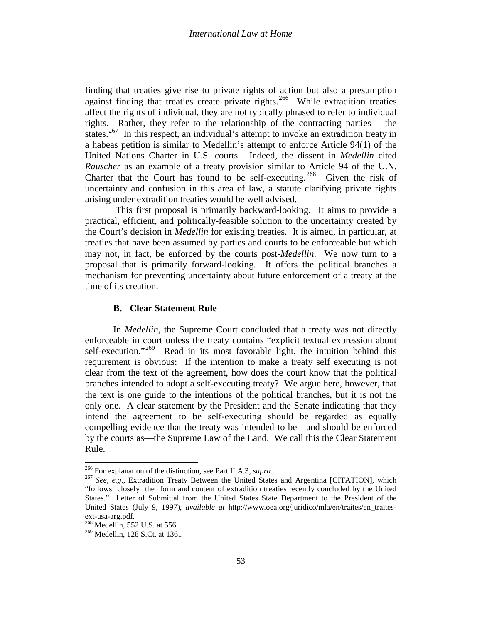finding that treaties give rise to private rights of action but also a presumption against finding that treaties create private rights.<sup>266</sup> While extradition treaties affect the rights of individual, they are not typically phrased to refer to individual rights. Rather, they refer to the relationship of the contracting parties – the states.<sup>[267](#page-52-0)</sup> In this respect, an individual's attempt to invoke an extradition treaty in a habeas petition is similar to Medellin's attempt to enforce Article 94(1) of the United Nations Charter in U.S. courts. Indeed, the dissent in *Medellin* cited *Rauscher* as an example of a treaty provision similar to Article 94 of the U.N. Charter that the Court has found to be self-executing.<sup>268</sup> Given the risk of uncertainty and confusion in this area of law, a statute clarifying private rights arising under extradition treaties would be well advised.

This first proposal is primarily backward-looking. It aims to provide a practical, efficient, and politically-feasible solution to the uncertainty created by the Court's decision in *Medellin* for existing treaties. It is aimed, in particular, at treaties that have been assumed by parties and courts to be enforceable but which may not, in fact, be enforced by the courts post-*Medellin*. We now turn to a proposal that is primarily forward-looking. It offers the political branches a mechanism for preventing uncertainty about future enforcement of a treaty at the time of its creation.

## **B. Clear Statement Rule**

<span id="page-52-3"></span>In *Medellin*, the Supreme Court concluded that a treaty was not directly enforceable in court unless the treaty contains "explicit textual expression about self-execution."<sup>[269](#page-52-2)</sup> Read in its most favorable light, the intuition behind this requirement is obvious: If the intention to make a treaty self executing is not clear from the text of the agreement, how does the court know that the political branches intended to adopt a self-executing treaty? We argue here, however, that the text is one guide to the intentions of the political branches, but it is not the only one. A clear statement by the President and the Senate indicating that they intend the agreement to be self-executing should be regarded as equally compelling evidence that the treaty was intended to be—and should be enforced by the courts as—the Supreme Law of the Land. We call this the Clear Statement Rule.

<span id="page-52-0"></span><sup>&</sup>lt;sup>266</sup> For explanation of the distinction, see Part II.A.3, *supra*.<br><sup>267</sup> *See, e.g.*, Extradition Treaty Between the United States and Argentina [CITATION], which "follows closely the form and content of extradition treaties recently concluded by the United States." Letter of Submittal from the United States State Department to the President of the United States (July 9, 1997), *available at* http://www.oea.org/juridico/mla/en/traites/en\_traitesext-usa-arg.pdf.<br><sup>268</sup> Medellin, 552 U.S. at 556.

<span id="page-52-2"></span><span id="page-52-1"></span><sup>269</sup> Medellin, 128 S.Ct. at 1361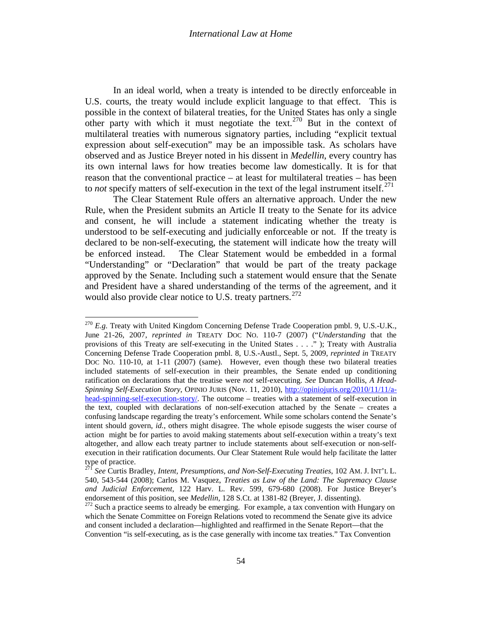In an ideal world, when a treaty is intended to be directly enforceable in U.S. courts, the treaty would include explicit language to that effect. This is possible in the context of bilateral treaties, for the United States has only a single other party with which it must negotiate the text.<sup>[270](#page-52-3)</sup> But in the context of multilateral treaties with numerous signatory parties, including "explicit textual expression about self-execution" may be an impossible task. As scholars have observed and as Justice Breyer noted in his dissent in *Medellin*, every country has its own internal laws for how treaties become law domestically. It is for that reason that the conventional practice – at least for multilateral treaties – has been to *not* specify matters of self-execution in the text of the legal instrument itself. [271](#page-53-0)

<span id="page-53-2"></span>The Clear Statement Rule offers an alternative approach. Under the new Rule, when the President submits an Article II treaty to the Senate for its advice and consent, he will include a statement indicating whether the treaty is understood to be self-executing and judicially enforceable or not. If the treaty is declared to be non-self-executing, the statement will indicate how the treaty will be enforced instead. The Clear Statement would be embedded in a formal "Understanding" or "Declaration" that would be part of the treaty package approved by the Senate. Including such a statement would ensure that the Senate and President have a shared understanding of the terms of the agreement, and it would also provide clear notice to U.S. treaty partners.  $272$ 

<span id="page-53-4"></span><span id="page-53-3"></span> $^{270}$  *E.g.* Treaty with United Kingdom Concerning Defense Trade Cooperation pmbl. 9, U.S.-U.K., June 21-26, 2007, *reprinted in* TREATY DOC NO. 110-7 (2007) ("*Understanding* that the provisions of this Treaty are self-executing in the United States . . . ." ); Treaty with Australia Concerning Defense Trade Cooperation pmbl. 8, U.S.-Austl., Sept. 5, 2009, *reprinted in* TREATY DOC NO. 110-10, at 1-11 (2007) (same). However, even though these two bilateral treaties included statements of self-execution in their preambles, the Senate ended up conditioning ratification on declarations that the treatise were *not* self-executing. *See* Duncan Hollis, *A Head-Spinning Self-Execution Story*, OPINIO JURIS (Nov. 11, 2010), [http://opiniojuris.org/2010/11/11/a](http://opiniojuris.org/2010/11/11/a-head-spinning-self-execution-story/)[head-spinning-self-execution-story/.](http://opiniojuris.org/2010/11/11/a-head-spinning-self-execution-story/) The outcome – treaties with a statement of self-execution in the text, coupled with declarations of non-self-execution attached by the Senate – creates a confusing landscape regarding the treaty's enforcement. While some scholars contend the Senate's intent should govern, *id.*, others might disagree. The whole episode suggests the wiser course of action might be for parties to avoid making statements about self-execution within a treaty's text altogether, and allow each treaty partner to include statements about self-execution or non-selfexecution in their ratification documents. Our Clear Statement Rule would help facilitate the latter type of practice.

<span id="page-53-0"></span><sup>271</sup> *See* Curtis Bradley, *Intent, Presumptions, and Non-Self-Executing Treaties*, 102 AM. J. INT'L L. 540, 543-544 (2008); Carlos M. Vasquez, *Treaties as Law of the Land: The Supremacy Clause*  and Judicial Enforcement, 122 Harv. L. Rev. 599, 679-680 (2008). For Justice Breyer's endorsement of this position, see *Medellin*, 128 S.Ct. at 1381-82 (Breyer, J. dissenting).

<span id="page-53-1"></span><sup>&</sup>lt;sup>272</sup> Such a practice seems to already be emerging. For example, a tax convention with Hungary on which the Senate Committee on Foreign Relations voted to recommend the Senate give its advice and consent included a declaration—highlighted and reaffirmed in the Senate Report—that the Convention "is self-executing, as is the case generally with income tax treaties." Tax Convention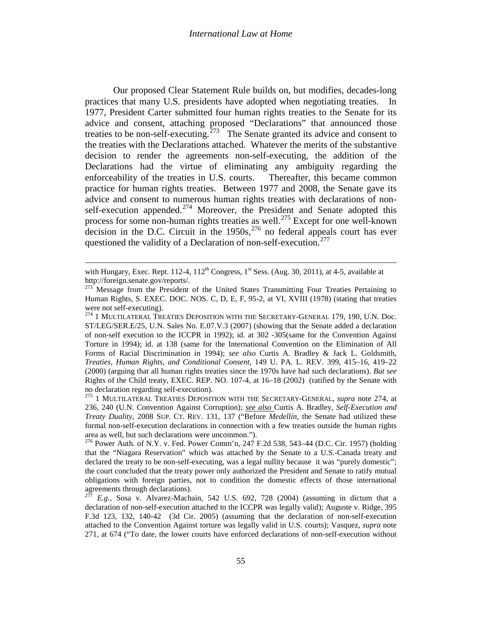Our proposed Clear Statement Rule builds on, but modifies, decades-long practices that many U.S. presidents have adopted when negotiating treaties. In 1977, President Carter submitted four human rights treaties to the Senate for its advice and consent, attaching proposed "Declarations" that announced those treaties to be non-self-executing.<sup> $273$ </sup> The Senate granted its advice and consent to the treaties with the Declarations attached. Whatever the merits of the substantive decision to render the agreements non-self-executing, the addition of the Declarations had the virtue of eliminating any ambiguity regarding the enforceability of the treaties in U.S. courts. Thereafter, this became common practice for human rights treaties. Between 1977 and 2008, the Senate gave its advice and consent to numerous human rights treaties with declarations of non-self-execution appended.<sup>[274](#page-54-1)</sup> Moreover, the President and Senate adopted this process for some non-human rights treaties as well.<sup>[275](#page-54-2)</sup> Except for one well-known decision in the D.C. Circuit in the  $1950s$ ,  $276$  no federal appeals court has ever questioned the validity of a Declaration of non-self-execution.<sup>[277](#page-54-4)</sup>

<span id="page-54-6"></span><span id="page-54-5"></span><span id="page-54-0"></span> $\overline{\phantom{a}}$ 

with Hungary, Exec. Rept. 112-4,  $112^{th}$  Congress,  $1^{st}$  Sess. (Aug. 30, 2011), at 4-5, available at http://foreign.senate.gov/reports/.

<sup>&</sup>lt;sup>273</sup> Message from the President of the United States Transmitting Four Treaties Pertaining to Human Rights, S. EXEC. DOC. NOS. C, D, E, F, 95-2, at VI, XVIII (1978) (stating that treaties were not self-executing).<br><sup>274</sup> 1 MULTILATERAL TREATIES DEPOSITION WITH THE SECRETARY-GENERAL 179, 190, U.N. Doc.

<span id="page-54-1"></span>ST/LEG/SER.E/25, U.N. Sales No. E.07.V.3 (2007) (showing that the Senate added a declaration of non-self execution to the ICCPR in 1992); id. at 302 -305(same for the Convention Against Torture in 1994); id. at 138 (same for the International Convention on the Elimination of All Forms of Racial Discrimination in 1994); *see also* Curtis A. Bradley & Jack L. Goldsmith, *Treaties, Human Rights, and Conditional Consent*, 149 U. PA. L. REV. 399, 415–16, 419–22 (2000) (arguing that all human rights treaties since the 1970s have had such declarations). *But see*  Rights of the Child treaty, EXEC. REP. NO. 107-4, at 16–18 (2002) (ratified by the Senate with

<span id="page-54-2"></span><sup>&</sup>lt;sup>275</sup> 1 MULTILATERAL TREATIES DEPOSITION WITH THE SECRETARY-GENERAL, *supra* note [274,](#page-54-0) at 236, 240 (U.N. Convention Against Corruption); *see also* Curtis A. Bradley, *Self-Execution and Treaty Duality*, 2008 SUP. CT. REV. 131, 137 ("Before *Medellín*, the Senate had utilized these formal non-self-execution declarations in connection with a few treaties outside the human rights area as well, but such declarations were uncommon.").

<span id="page-54-3"></span><sup>276</sup> Power Auth. of N.Y. v. Fed. Power Comm'n, 247 F.2d 538, 543–44 (D.C. Cir. 1957) (holding that the "Niagara Reservation" which was attached by the Senate to a U.S.-Canada treaty and declared the treaty to be non-self-executing, was a legal nullity because it was "purely domestic"; the court concluded that the treaty power only authorized the President and Senate to ratify mutual obligations with foreign parties, not to condition the domestic effects of those international agreements through declarations).

<span id="page-54-4"></span><sup>277</sup> *E.g.*, Sosa v. Alvarez-Machain, 542 U.S. 692, 728 (2004) (assuming in dictum that a declaration of non-self-execution attached to the ICCPR was legally valid); Auguste v. Ridge, 395 F.3d 123, 132, 140-42 (3d Cir. 2005) (assuming that the declaration of non-self-execution attached to the Convention Against torture was legally valid in U.S. courts); Vasquez, *supra* note [271,](#page-53-2) at 674 ("To date, the lower courts have enforced declarations of non-self-execution without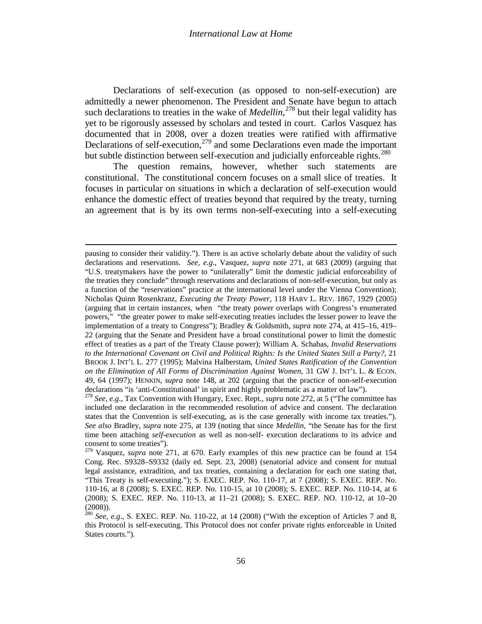Declarations of self-execution (as opposed to non-self-execution) are admittedly a newer phenomenon. The President and Senate have begun to attach such declarations to treaties in the wake of *Medellin*, [278](#page-54-2) but their legal validity has yet to be rigorously assessed by scholars and tested in court. Carlos Vasquez has documented that in 2008, over a dozen treaties were ratified with affirmative Declarations of self-execution,<sup>[279](#page-55-0)</sup> and some Declarations even made the important but subtle distinction between self-execution and judicially enforceable rights.<sup>[280](#page-55-1)</sup>

The question remains, however, whether such statements are constitutional. The constitutional concern focuses on a small slice of treaties. It focuses in particular on situations in which a declaration of self-execution would enhance the domestic effect of treaties beyond that required by the treaty, turning an agreement that is by its own terms non-self-executing into a self-executing

 $\overline{\phantom{a}}$ 

pausing to consider their validity."). There is an active scholarly debate about the validity of such declarations and reservations. *See, e.g*., Vasquez, *supra* note [271,](#page-53-2) at 683 (2009) (arguing that "U.S. treatymakers have the power to "unilaterally" limit the domestic judicial enforceability of the treaties they conclude" through reservations and declarations of non-self-execution, but only as a function of the "reservations" practice at the international level under the Vienna Convention); Nicholas Quinn Rosenkranz, *Executing the Treaty Power*, 118 HARV L. REV. 1867, 1929 (2005) (arguing that in certain instances, when "the treaty power overlaps with Congress's enumerated powers," "the greater power to make self-executing treaties includes the lesser power to leave the implementation of a treaty to Congress"); Bradley & Goldsmith, *supra* note [274,](#page-54-5) at 415–16, 419– 22 (arguing that the Senate and President have a broad constitutional power to limit the domestic effect of treaties as a part of the Treaty Clause power); William A. Schabas, *Invalid Reservations to the International Covenant on Civil and Political Rights: Is the United States Still a Party?,* 21 BROOK J. INT'L L. 277 (1995); Malvina Halberstam, *United States Ratification of the Convention on the Elimination of All Forms of Discrimination Against Women*, 31 GW J. INT'L L. & ECON. 49, 64 (1997); HENKIN, *supra* note [148,](#page-31-6) at 202 (arguing that the practice of non-self-execution declarations "is 'anti-Constitutional' in spirit and highly problematic as a matter of law").

<sup>&</sup>lt;sup>278</sup> See, e.g., Tax Convention with Hungary, Exec. Rept., *supra* note [272,](#page-53-4) at 5 ("The committee has included one declaration in the recommended resolution of advice and consent. The declaration states that the Convention is self-executing, as is the case generally with income tax treaties."). *See also* Bradley, *supra* note [275,](#page-54-6) at 139 (noting that since *Medellin*, "the Senate has for the first time been attaching *self-execution* as well as non-self- execution declarations to its advice and consent to some treaties"). 279 Vasquez, *supra* note [271,](#page-53-2) at 670. Early examples of this new practice can be found at <sup>154</sup>

<span id="page-55-2"></span><span id="page-55-0"></span>Cong. Rec. S9328–S9332 (daily ed. Sept. 23, 2008) (senatorial advice and consent for mutual legal assistance, extradition, and tax treaties, containing a declaration for each one stating that, "This Treaty is self-executing."); S. EXEC. REP. No. 110-17, at 7 (2008); S. EXEC. REP. No. 110-16, at 8 (2008); S. EXEC. REP. No. 110-15, at 10 (2008); S. EXEC. REP. No. 110-14, at 6 (2008); S. EXEC. REP. No. 110-13, at 11–21 (2008); S. EXEC. REP. NO. 110-12, at 10–20  $(2008)$ ).

<span id="page-55-1"></span> $\frac{280}{280}$  *See, e.g.*, S. EXEC. REP. No. 110-22, at 14 (2008) ("With the exception of Articles 7 and 8, this Protocol is self-executing. This Protocol does not confer private rights enforceable in United States courts.").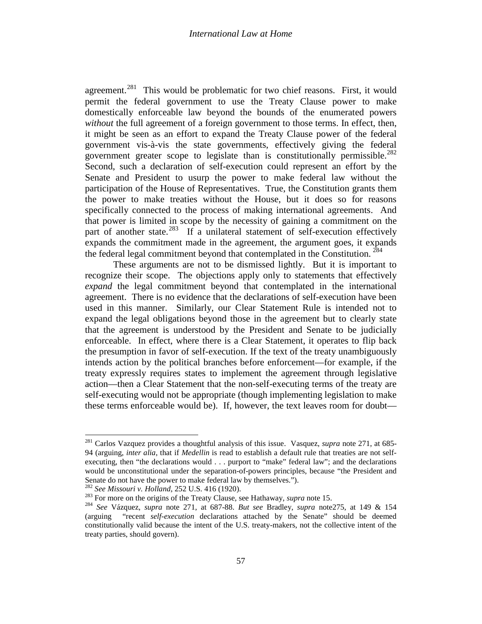agreement.<sup>281</sup> This would be problematic for two chief reasons. First, it would permit the federal government to use the Treaty Clause power to make domestically enforceable law beyond the bounds of the enumerated powers *without* the full agreement of a foreign government to those terms. In effect, then, it might be seen as an effort to expand the Treaty Clause power of the federal government vis-à-vis the state governments, effectively giving the federal government greater scope to legislate than is constitutionally permissible.<sup>[282](#page-56-0)</sup> Second, such a declaration of self-execution could represent an effort by the Senate and President to usurp the power to make federal law without the participation of the House of Representatives. True, the Constitution grants them the power to make treaties without the House, but it does so for reasons specifically connected to the process of making international agreements. And that power is limited in scope by the necessity of gaining a commitment on the part of another state.<sup>283</sup> If a unilateral statement of self-execution effectively expands the commitment made in the agreement, the argument goes, it expands the federal legal commitment beyond that contemplated in the Constitution.  $284$ 

<span id="page-56-3"></span>These arguments are not to be dismissed lightly. But it is important to recognize their scope. The objections apply only to statements that effectively *expand* the legal commitment beyond that contemplated in the international agreement. There is no evidence that the declarations of self-execution have been used in this manner. Similarly, our Clear Statement Rule is intended not to expand the legal obligations beyond those in the agreement but to clearly state that the agreement is understood by the President and Senate to be judicially enforceable. In effect, where there is a Clear Statement, it operates to flip back the presumption in favor of self-execution. If the text of the treaty unambiguously intends action by the political branches before enforcement—for example, if the treaty expressly requires states to implement the agreement through legislative action—then a Clear Statement that the non-self-executing terms of the treaty are self-executing would not be appropriate (though implementing legislation to make these terms enforceable would be). If, however, the text leaves room for doubt—

<span id="page-56-0"></span>

<sup>281</sup> Carlos Vazquez provides a thoughtful analysis of this issue. Vasquez, *supra* note [271,](#page-53-2) at 685- 94 (arguing, *inter alia*, that if *Medellin* is read to establish a default rule that treaties are not selfexecuting, then "the declarations would . . . purport to "make" federal law"; and the declarations would be unconstitutional under the separation-of-powers principles, because "the President and Senate do not have the power to make federal law by themselves.").<br><sup>282</sup> See Missouri v. Holland, 252 U.S. 416 (1920).

<span id="page-56-2"></span><span id="page-56-1"></span><sup>&</sup>lt;sup>283</sup> For more on the origins of the Treaty Clause, see Hathaway, *supra* note [15.](#page-3-1)<br><sup>284</sup> See Vázquez, *supra* note [271,](#page-53-2) at 687-88. *But see* Bradley, *supra* note 275, at 149 & 154 (arguing "recent *self-execution* declarations attached by the Senate" should be deemed constitutionally valid because the intent of the U.S. treaty-makers, not the collective intent of the treaty parties, should govern).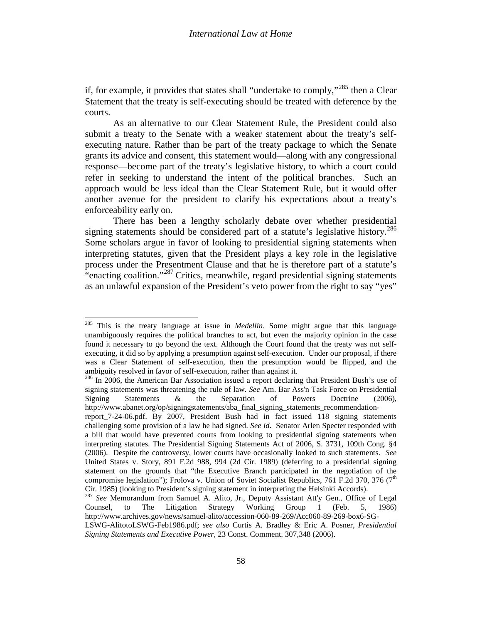if, for example, it provides that states shall "undertake to comply,"<sup>[285](#page-56-3)</sup> then a Clear Statement that the treaty is self-executing should be treated with deference by the courts.

As an alternative to our Clear Statement Rule, the President could also submit a treaty to the Senate with a weaker statement about the treaty's selfexecuting nature. Rather than be part of the treaty package to which the Senate grants its advice and consent, this statement would—along with any congressional response—become part of the treaty's legislative history, to which a court could refer in seeking to understand the intent of the political branches. Such an approach would be less ideal than the Clear Statement Rule, but it would offer another avenue for the president to clarify his expectations about a treaty's enforceability early on.

There has been a lengthy scholarly debate over whether presidential signing statements should be considered part of a statute's legislative history.<sup>[286](#page-57-0)</sup> Some scholars argue in favor of looking to presidential signing statements when interpreting statutes, given that the President plays a key role in the legislative process under the Presentment Clause and that he is therefore part of a statute's "enacting coalition."<sup>[287](#page-57-1)</sup> Critics, meanwhile, regard presidential signing statements as an unlawful expansion of the President's veto power from the right to say "yes"

<span id="page-57-2"></span><sup>285</sup> This is the treaty language at issue in *Medellin*. Some might argue that this language unambiguously requires the political branches to act, but even the majority opinion in the case found it necessary to go beyond the text. Although the Court found that the treaty was not selfexecuting, it did so by applying a presumption against self-execution. Under our proposal, if there was a Clear Statement of self-execution, then the presumption would be flipped, and the ambiguity resolved in favor of self-execution, rather than against it.

<span id="page-57-0"></span> $^{286}$  In 2006, the American Bar Association issued a report declaring that President Bush's use of signing statements was threatening the rule of law. *See* Am. Bar Ass'n Task Force on Presidential Signing Statements & the Separation of Powers Doctrine (2006), http://www.abanet.org/op/signingstatements/aba\_final\_signing\_statements\_recommendation-

report\_7-24-06.pdf. By 2007, President Bush had in fact issued 118 signing statements challenging some provision of a law he had signed. *See id*. Senator Arlen Specter responded with a bill that would have prevented courts from looking to presidential signing statements when interpreting statutes. The Presidential Signing Statements Act of 2006, S. 3731, 109th Cong. §4 (2006). Despite the controversy, lower courts have occasionally looked to such statements. *See* United States v. Story, 891 F.2d 988, 994 (2d Cir. 1989) (deferring to a presidential signing statement on the grounds that "the Executive Branch participated in the negotiation of the compromise legislation"); Frolova v. Union of Soviet Socialist Republics, 761 F.2d 370, 376 ( $7<sup>th</sup>$ Cir. 1985) (looking to President's signing statement in interpreting the Helsinki Accords).

<span id="page-57-1"></span><sup>287</sup> *See* Memorandum from Samuel A. Alito, Jr., Deputy Assistant Att'y Gen., Office of Legal Counsel, to The Litigation Strategy Working Group 1 (Feb. 5, 1986) http://www.archives.gov/news/samuel-alito/accession-060-89-269/Acc060-89-269-box6-SG-

LSWG-AlitotoLSWG-Feb1986.pdf; *see also* Curtis A. Bradley & Eric A. Posner, *Presidential Signing Statements and Executive Power*, 23 Const. Comment. 307,348 (2006).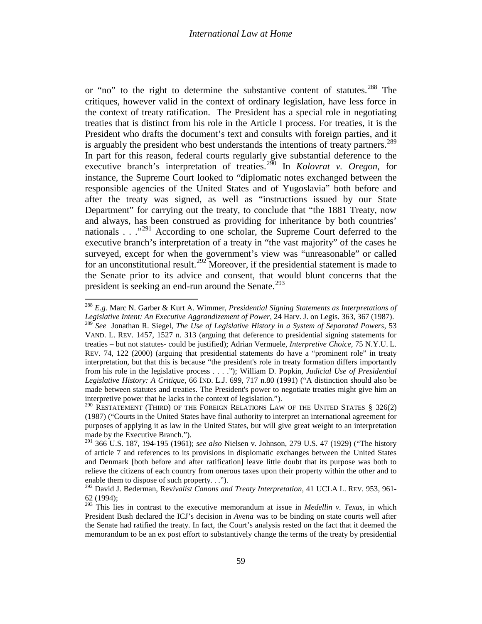or "no" to the right to determine the substantive content of statutes.<sup>[288](#page-57-2)</sup> The critiques, however valid in the context of ordinary legislation, have less force in the context of treaty ratification. The President has a special role in negotiating treaties that is distinct from his role in the Article I process. For treaties, it is the President who drafts the document's text and consults with foreign parties, and it is arguably the president who best understands the intentions of treaty partners.<sup>[289](#page-58-0)</sup> In part for this reason, federal courts regularly give substantial deference to the executive branch's interpretation of treaties.<sup>[290](#page-58-1)</sup> In *Kolovrat v. Oregon*, for instance, the Supreme Court looked to "diplomatic notes exchanged between the responsible agencies of the United States and of Yugoslavia" both before and after the treaty was signed, as well as "instructions issued by our State Department" for carrying out the treaty, to conclude that "the 1881 Treaty, now and always, has been construed as providing for inheritance by both countries' nationals . . ."<sup>[291](#page-58-2)</sup> According to one scholar, the Supreme Court deferred to the executive branch's interpretation of a treaty in "the vast majority" of the cases he surveyed, except for when the government's view was "unreasonable" or called for an unconstitutional result.<sup>[292](#page-58-3)</sup>Moreover, if the presidential statement is made to the Senate prior to its advice and consent, that would blunt concerns that the president is seeking an end-run around the Senate. $293$ 

<span id="page-58-0"></span><sup>288</sup> *E.g.* Marc N. Garber & Kurt A. Wimmer, *Presidential Signing Statements as Interpretations of Legislative Intent: An Executive Aggrandizement of Power*, 24 Harv. J. on Legis. 363, 367 (1987). <sup>289</sup> *See* Jonathan R. Siegel, *The Use of Legislative History in a System of Separated Powers*, 53 VAND. L. REV. 1457, 1527 n. 313 (arguing that deference to presidential signing statements for treaties – but not statutes- could be justified); Adrian Vermuele, *Interpretive Choice*, 75 N.Y.U. L. REV. 74, 122 (2000) (arguing that presidential statements do have a "prominent role" in treaty interpretation, but that this is because "the president's role in treaty formation differs importantly from his role in the legislative process . . . ."); William D. Popkin, *Judicial Use of Presidential Legislative History: A Critique,* 66 IND. L.J. 699, 717 n.80 (1991) ("A distinction should also be made between statutes and treaties. The President's power to negotiate treaties might give him an interpretive power that he lacks in the context of legislation.").

<span id="page-58-1"></span> $290$  RESTATEMENT (THIRD) OF THE FOREIGN RELATIONS LAW OF THE UNITED STATES  $\S$  326(2) (1987) ("Courts in the United States have final authority to interpret an international agreement for purposes of applying it as law in the United States, but will give great weight to an interpretation made by the Executive Branch.").

<span id="page-58-2"></span><sup>291</sup> 366 U.S. 187, 194-195 (1961); *see also* Nielsen v. Johnson, 279 U.S. 47 (1929) ("The history of article 7 and references to its provisions in displomatic exchanges between the United States and Denmark [both before and after ratification] leave little doubt that its purpose was both to relieve the citizens of each country from onerous taxes upon their property within the other and to enable them to dispose of such property. . .").

<span id="page-58-3"></span><sup>292</sup> David J. Bederman, Rev*ivalist Canons and Treaty Interpretation,* 41 UCLA L. REV. 953, 961- 62 (1994);

<span id="page-58-5"></span><span id="page-58-4"></span><sup>293</sup> This lies in contrast to the executive memorandum at issue in *Medellin v. Texas*, in which President Bush declared the ICJ's decision in *Avena* was to be binding on state courts well after the Senate had ratified the treaty. In fact, the Court's analysis rested on the fact that it deemed the memorandum to be an ex post effort to substantively change the terms of the treaty by presidential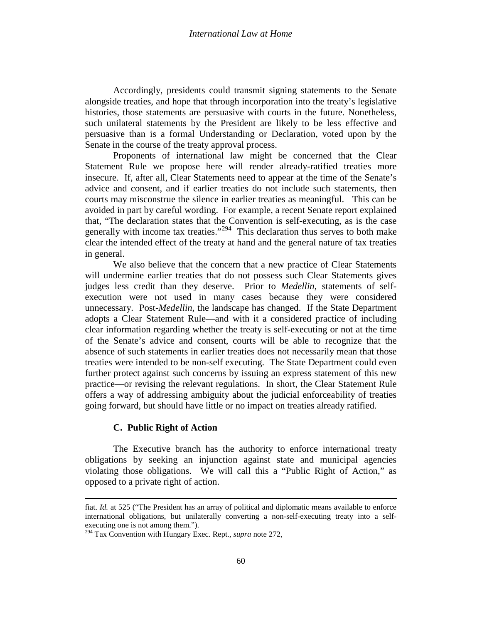Accordingly, presidents could transmit signing statements to the Senate alongside treaties, and hope that through incorporation into the treaty's legislative histories, those statements are persuasive with courts in the future. Nonetheless, such unilateral statements by the President are likely to be less effective and persuasive than is a formal Understanding or Declaration, voted upon by the Senate in the course of the treaty approval process.

Proponents of international law might be concerned that the Clear Statement Rule we propose here will render already-ratified treaties more insecure. If, after all, Clear Statements need to appear at the time of the Senate's advice and consent, and if earlier treaties do not include such statements, then courts may misconstrue the silence in earlier treaties as meaningful. This can be avoided in part by careful wording. For example, a recent Senate report explained that, "The declaration states that the Convention is self-executing, as is the case generally with income tax treaties."<sup>[294](#page-58-5)</sup> This declaration thus serves to both make clear the intended effect of the treaty at hand and the general nature of tax treaties in general.

We also believe that the concern that a new practice of Clear Statements will undermine earlier treaties that do not possess such Clear Statements gives judges less credit than they deserve. Prior to *Medellin*, statements of selfexecution were not used in many cases because they were considered unnecessary. Post-*Medellin*, the landscape has changed. If the State Department adopts a Clear Statement Rule—and with it a considered practice of including clear information regarding whether the treaty is self-executing or not at the time of the Senate's advice and consent, courts will be able to recognize that the absence of such statements in earlier treaties does not necessarily mean that those treaties were intended to be non-self executing. The State Department could even further protect against such concerns by issuing an express statement of this new practice—or revising the relevant regulations. In short, the Clear Statement Rule offers a way of addressing ambiguity about the judicial enforceability of treaties going forward, but should have little or no impact on treaties already ratified.

# **C. Public Right of Action**

l

<span id="page-59-0"></span>The Executive branch has the authority to enforce international treaty obligations by seeking an injunction against state and municipal agencies violating those obligations. We will call this a "Public Right of Action," as opposed to a private right of action.

fiat. *Id.* at 525 ("The President has an array of political and diplomatic means available to enforce international obligations, but unilaterally converting a non-self-executing treaty into a selfexecuting one is not among them.").

<sup>294</sup> Tax Convention with Hungary Exec. Rept., *supra* note [272,](#page-53-4)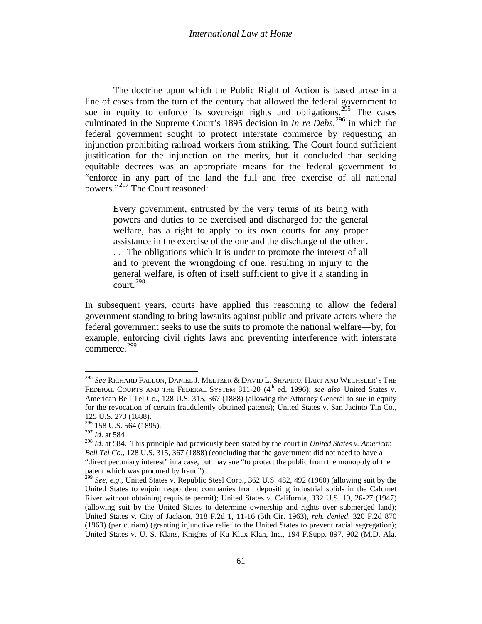The doctrine upon which the Public Right of Action is based arose in a line of cases from the turn of the century that allowed the federal government to sue in equity to enforce its sovereign rights and obligations.<sup>[295](#page-59-0)</sup> The cases culminated in the Supreme Court's 1895 decision in *In re Debs*, [296](#page-60-0) in which the federal government sought to protect interstate commerce by requesting an injunction prohibiting railroad workers from striking. The Court found sufficient justification for the injunction on the merits, but it concluded that seeking equitable decrees was an appropriate means for the federal government to "enforce in any part of the land the full and free exercise of all national powers."[297](#page-60-1) The Court reasoned:

Every government, entrusted by the very terms of its being with powers and duties to be exercised and discharged for the general welfare, has a right to apply to its own courts for any proper assistance in the exercise of the one and the discharge of the other . . . The obligations which it is under to promote the interest of all and to prevent the wrongdoing of one, resulting in injury to the general welfare, is often of itself sufficient to give it a standing in  $\frac{298}{2}$  $\frac{298}{2}$  $\frac{298}{2}$ 

In subsequent years, courts have applied this reasoning to allow the federal government standing to bring lawsuits against public and private actors where the federal government seeks to use the suits to promote the national welfare—by, for example, enforcing civil rights laws and preventing interference with interstate commerce. [299](#page-60-3)

<span id="page-60-4"></span><sup>295</sup> *See* RICHARD FALLON, DANIEL J. MELTZER & DAVID L. SHAPIRO, HART AND WECHSLER'S THE FEDERAL COURTS AND THE FEDERAL SYSTEM 811-20 (4<sup>th</sup> ed, 1996); *see also* United States v. American Bell Tel Co., 128 U.S. 315, 367 (1888) (allowing the Attorney General to sue in equity for the revocation of certain fraudulently obtained patents); United States v. San Jacinto Tin Co., 125 U.S. 273 (1888).

 $296$  158 U.S. 564 (1895).

<span id="page-60-1"></span><span id="page-60-0"></span><sup>297</sup> *Id*. at 584

<span id="page-60-2"></span><sup>298</sup> *Id*. at 584. This principle had previously been stated by the court in *United States v. American Bell Tel Co.*, 128 U.S. 315, 367 (1888) (concluding that the government did not need to have a "direct pecuniary interest" in a case, but may sue "to protect the public from the monopoly of the patent which was procured by fraud").<br><sup>299</sup> *See, e.g.*, United States v. Republic Steel Corp., 362 U.S. 482, 492 (1960) (allowing suit by the

<span id="page-60-3"></span>United States to enjoin respondent companies from depositing industrial solids in the Calumet River without obtaining requisite permit); United States v. California, 332 U.S. 19, 26-27 (1947) (allowing suit by the United States to determine ownership and rights over submerged land); United States v. City of Jackson, 318 F.2d 1, 11-16 (5th Cir. 1963), *reh. denied*, 320 F.2d 870 (1963) (per curiam) (granting injunctive relief to the United States to prevent racial segregation); United States v. U. S. Klans, Knights of Ku Klux Klan, Inc., 194 F.Supp. 897, 902 (M.D. Ala.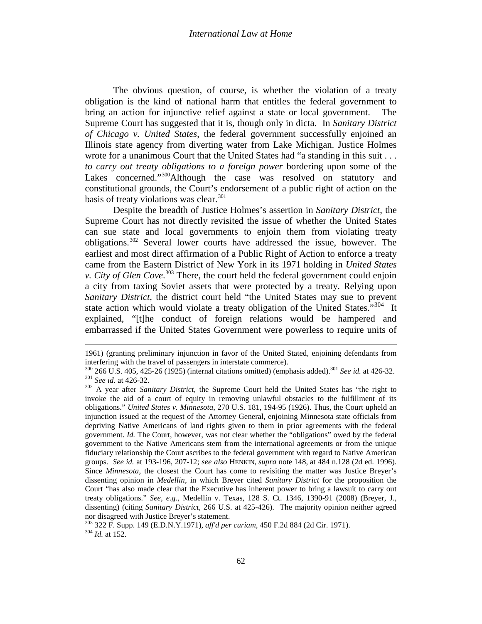The obvious question, of course, is whether the violation of a treaty obligation is the kind of national harm that entitles the federal government to bring an action for injunctive relief against a state or local government. The Supreme Court has suggested that it is, though only in dicta. In *Sanitary District of Chicago v. United States*, the federal government successfully enjoined an Illinois state agency from diverting water from Lake Michigan. Justice Holmes wrote for a unanimous Court that the United States had "a standing in this suit . . . *to carry out treaty obligations to a foreign power* bordering upon some of the Lakes concerned."<sup>[300](#page-60-4)</sup>Although the case was resolved on statutory and constitutional grounds, the Court's endorsement of a public right of action on the basis of treaty violations was clear. $301$ 

Despite the breadth of Justice Holmes's assertion in *Sanitary District*, the Supreme Court has not directly revisited the issue of whether the United States can sue state and local governments to enjoin them from violating treaty obligations. [302](#page-61-1) Several lower courts have addressed the issue, however. The earliest and most direct affirmation of a Public Right of Action to enforce a treaty came from the Eastern District of New York in its 1971 holding in *United States v. City of Glen Cove*. [303](#page-61-2) There, the court held the federal government could enjoin a city from taxing Soviet assets that were protected by a treaty. Relying upon *Sanitary District*, the district court held "the United States may sue to prevent state action which would violate a treaty obligation of the United States.<sup> $304$ </sup> It explained, "[t]he conduct of foreign relations would be hampered and embarrassed if the United States Government were powerless to require units of

 $\overline{\phantom{a}}$ 

<sup>1961) (</sup>granting preliminary injunction in favor of the United Stated, enjoining defendants from interfering with the travel of passengers in interstate commerce).<br> $^{300}$  266 U.S. 405, 425-26 (1925) (internal citations omitted) (emphasis added).<sup>301</sup> See id. at 426-32.

<span id="page-61-0"></span> $^{301}$  See id. at 426-32.<br> $^{302}$  A year after *Sanitary District*, the Supreme Court held the United States has "the right to

<span id="page-61-4"></span><span id="page-61-1"></span>invoke the aid of a court of equity in removing unlawful obstacles to the fulfillment of its obligations." *United States v. Minnesota*, 270 U.S. 181, 194-95 (1926). Thus, the Court upheld an injunction issued at the request of the Attorney General, enjoining Minnesota state officials from depriving Native Americans of land rights given to them in prior agreements with the federal government. *Id.* The Court, however, was not clear whether the "obligations" owed by the federal government to the Native Americans stem from the international agreements or from the unique fiduciary relationship the Court ascribes to the federal government with regard to Native American groups. *See id.* at 193-196, 207-12; *see also* HENKIN, *supra* note [148,](#page-31-6) at 484 n.128 (2d ed. 1996). Since *Minnesota*, the closest the Court has come to revisiting the matter was Justice Breyer's dissenting opinion in *Medellin,* in which Breyer cited *Sanitary District* for the proposition the Court "has also made clear that the Executive has inherent power to bring a lawsuit to carry out treaty obligations." *See, e.g.*, Medellín v. Texas, 128 S. Ct. 1346, 1390-91 (2008) (Breyer, J., dissenting) (citing *Sanitary District*, 266 U.S. at 425-426). The majority opinion neither agreed nor disagreed with Justice Breyer's statement.

<span id="page-61-2"></span><sup>303</sup> 322 F. Supp. 149 (E.D.N.Y.1971), *aff'd per curiam*, 450 F.2d 884 (2d Cir. 1971). <sup>304</sup> *Id.* at 152.

<span id="page-61-3"></span>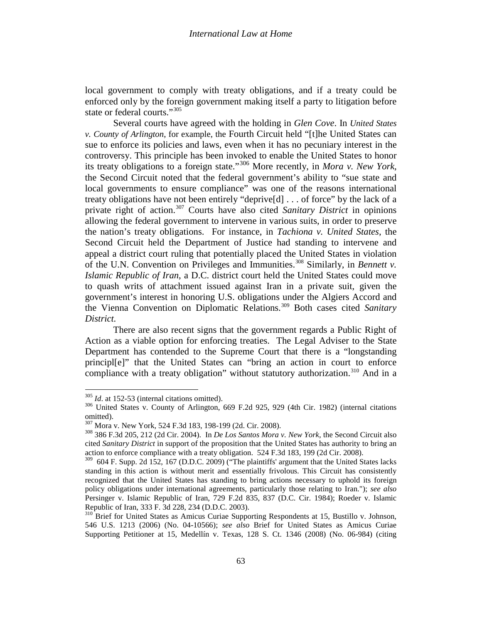local government to comply with treaty obligations, and if a treaty could be enforced only by the foreign government making itself a party to litigation before state or federal courts."[305](#page-61-4)

Several courts have agreed with the holding in *Glen Cove*. In *United States v. County of Arlington*, for example, the Fourth Circuit held "[t]he United States can sue to enforce its policies and laws, even when it has no pecuniary interest in the controversy. This principle has been invoked to enable the United States to honor its treaty obligations to a foreign state."[306](#page-62-0) More recently, in *Mora v. New York*, the Second Circuit noted that the federal government's ability to "sue state and local governments to ensure compliance" was one of the reasons international treaty obligations have not been entirely "deprive[d] . . . of force" by the lack of a private right of action.[307](#page-62-1) Courts have also cited *Sanitary District* in opinions allowing the federal government to intervene in various suits, in order to preserve the nation's treaty obligations. For instance, in *Tachiona v. United States*, the Second Circuit held the Department of Justice had standing to intervene and appeal a district court ruling that potentially placed the United States in violation of the U.N. Convention on Privileges and Immunities. [308](#page-62-2) Similarly, in *Bennett v. Islamic Republic of Iran*, a D.C. district court held the United States could move to quash writs of attachment issued against Iran in a private suit, given the government's interest in honoring U.S. obligations under the Algiers Accord and the Vienna Convention on Diplomatic Relations.[309](#page-62-3) Both cases cited *Sanitary District.*

There are also recent signs that the government regards a Public Right of Action as a viable option for enforcing treaties. The Legal Adviser to the State Department has contended to the Supreme Court that there is a "longstanding principl[e]" that the United States can "bring an action in court to enforce compliance with a treaty obligation" without statutory authorization.<sup>[310](#page-62-4)</sup> And in a

<span id="page-62-0"></span> $\frac{305}{104}$  *Id*. at 152-53 (internal citations omitted).<br><sup>306</sup> United States v. County of Arlington, 669 F.2d 925, 929 (4th Cir. 1982) (internal citations omitted).<br><sup>307</sup> Mora v. New York, 524 F.3d 183, 198-199 (2d. Cir. 2008).

<span id="page-62-2"></span><span id="page-62-1"></span><sup>&</sup>lt;sup>308</sup> 386 F.3d 205, 212 (2d Cir. 2004). In *De Los Santos Mora v. New York*, the Second Circuit also cited *Sanitary District* in support of the proposition that the United States has authority to bring an action to enforce compliance with a treaty obligation. 524 F.3d 183, 199 (2d Cir. 2008).

<span id="page-62-5"></span><span id="page-62-3"></span><sup>309 604</sup> F. Supp. 2d 152, 167 (D.D.C. 2009) ("The plaintiffs' argument that the United States lacks standing in this action is without merit and essentially frivolous. This Circuit has consistently recognized that the United States has standing to bring actions necessary to uphold its foreign policy obligations under international agreements, particularly those relating to Iran."); *see also* Persinger v. Islamic Republic of Iran, 729 F.2d 835, 837 (D.C. Cir. 1984); Roeder v. Islamic Republic of Iran, 333 F. 3d 228, 234 (D.D.C. 2003).

<span id="page-62-4"></span><sup>&</sup>lt;sup>310</sup> Brief for United States as Amicus Curiae Supporting Respondents at 15, Bustillo v. Johnson, 546 U.S. 1213 (2006) (No. 04-10566); *see also* Brief for United States as Amicus Curiae Supporting Petitioner at 15, Medellín v. Texas, 128 S. Ct. 1346 (2008) (No. 06-984) (citing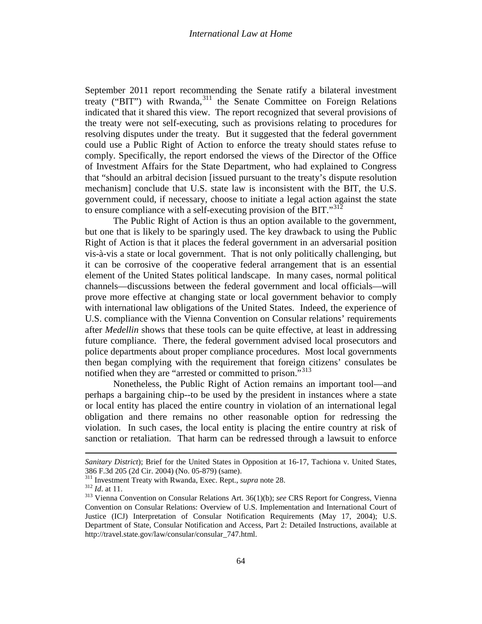September 2011 report recommending the Senate ratify a bilateral investment treaty ("BIT") with Rwanda,<sup>[311](#page-62-5)</sup> the Senate Committee on Foreign Relations indicated that it shared this view. The report recognized that several provisions of the treaty were not self-executing, such as provisions relating to procedures for resolving disputes under the treaty. But it suggested that the federal government could use a Public Right of Action to enforce the treaty should states refuse to comply. Specifically, the report endorsed the views of the Director of the Office of Investment Affairs for the State Department, who had explained to Congress that "should an arbitral decision [issued pursuant to the treaty's dispute resolution mechanism] conclude that U.S. state law is inconsistent with the BIT, the U.S. government could, if necessary, choose to initiate a legal action against the state to ensure compliance with a self-executing provision of the BIT." $312$ 

The Public Right of Action is thus an option available to the government, but one that is likely to be sparingly used. The key drawback to using the Public Right of Action is that it places the federal government in an adversarial position vis-à-vis a state or local government. That is not only politically challenging, but it can be corrosive of the cooperative federal arrangement that is an essential element of the United States political landscape. In many cases, normal political channels—discussions between the federal government and local officials—will prove more effective at changing state or local government behavior to comply with international law obligations of the United States. Indeed, the experience of U.S. compliance with the Vienna Convention on Consular relations' requirements after *Medellin* shows that these tools can be quite effective, at least in addressing future compliance. There, the federal government advised local prosecutors and police departments about proper compliance procedures. Most local governments then began complying with the requirement that foreign citizens' consulates be notified when they are "arrested or committed to prison."<sup>[313](#page-63-1)</sup>

Nonetheless, the Public Right of Action remains an important tool—and perhaps a bargaining chip--to be used by the president in instances where a state or local entity has placed the entire country in violation of an international legal obligation and there remains no other reasonable option for redressing the violation. In such cases, the local entity is placing the entire country at risk of sanction or retaliation. That harm can be redressed through a lawsuit to enforce

 $\overline{\phantom{a}}$ 

<span id="page-63-2"></span>*Sanitary District*); Brief for the United States in Opposition at 16-17, Tachiona v. United States, 386 F.3d 205 (2d Cir. 2004) (No. 05-879) (same).<br><sup>311</sup> Investment Treaty with Rwanda, Exec. Rept., *supra* note [28.](#page-6-7)<br><sup>312</sup> Id. at 11.<br><sup>313</sup> Vienna Convention on Consular Relations Art. 36(1)(b); *see* CRS Report for Congre

<span id="page-63-1"></span><span id="page-63-0"></span>Convention on Consular Relations: Overview of U.S. Implementation and International Court of Justice (ICJ) Interpretation of Consular Notification Requirements (May 17, 2004); U.S. Department of State, Consular Notification and Access, Part 2: Detailed Instructions, available at http://travel.state.gov/law/consular/consular\_747.html.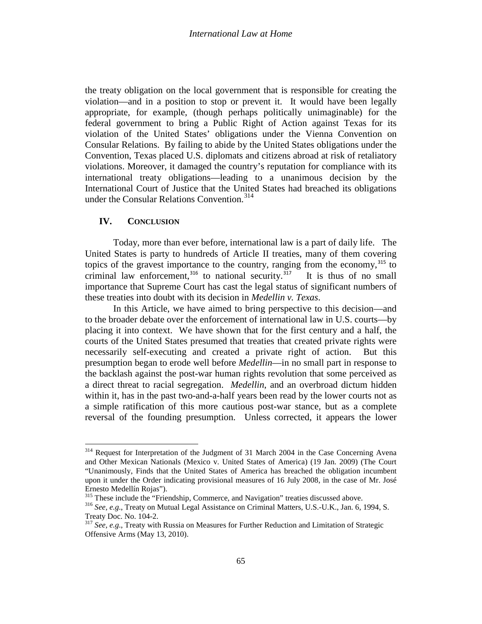the treaty obligation on the local government that is responsible for creating the violation—and in a position to stop or prevent it. It would have been legally appropriate, for example, (though perhaps politically unimaginable) for the federal government to bring a Public Right of Action against Texas for its violation of the United States' obligations under the Vienna Convention on Consular Relations. By failing to abide by the United States obligations under the Convention, Texas placed U.S. diplomats and citizens abroad at risk of retaliatory violations. Moreover, it damaged the country's reputation for compliance with its international treaty obligations—leading to a unanimous decision by the International Court of Justice that the United States had breached its obligations under the Consular Relations Convention.<sup>[314](#page-63-2)</sup>

## **IV. CONCLUSION**

Today, more than ever before, international law is a part of daily life. The United States is party to hundreds of Article II treaties, many of them covering topics of the gravest importance to the country, ranging from the economy,  $315$  to criminal law enforcement,<sup>[316](#page-64-1)</sup> to national security.<sup>[317](#page-64-2)</sup> It is thus of no small importance that Supreme Court has cast the legal status of significant numbers of these treaties into doubt with its decision in *Medellin v. Texas*.

In this Article, we have aimed to bring perspective to this decision—and to the broader debate over the enforcement of international law in U.S. courts—by placing it into context. We have shown that for the first century and a half, the courts of the United States presumed that treaties that created private rights were necessarily self-executing and created a private right of action. But this presumption began to erode well before *Medellin*—in no small part in response to the backlash against the post-war human rights revolution that some perceived as a direct threat to racial segregation. *Medellin*, and an overbroad dictum hidden within it, has in the past two-and-a-half years been read by the lower courts not as a simple ratification of this more cautious post-war stance, but as a complete reversal of the founding presumption. Unless corrected, it appears the lower

<sup>&</sup>lt;sup>314</sup> Request for Interpretation of the Judgment of 31 March 2004 in the Case Concerning Avena and Other Mexican Nationals (Mexico v. United States of America) (19 Jan. 2009) (The Court "Unanimously, Finds that the United States of America has breached the obligation incumbent upon it under the Order indicating provisional measures of 16 July 2008, in the case of Mr. José Ernesto Medellín Rojas").<br><sup>315</sup> These include the "Friendship, Commerce, and Navigation" treaties discussed above.

<span id="page-64-0"></span>

<span id="page-64-1"></span><sup>&</sup>lt;sup>316</sup> See, e.g., Treaty on Mutual Legal Assistance on Criminal Matters, U.S.-U.K., Jan. 6, 1994, S. Treaty Doc. No. 104-2. <sup>317</sup> *See, e.g*., Treaty with Russia on Measures for Further Reduction and Limitation of Strategic

<span id="page-64-2"></span>Offensive Arms (May 13, 2010).